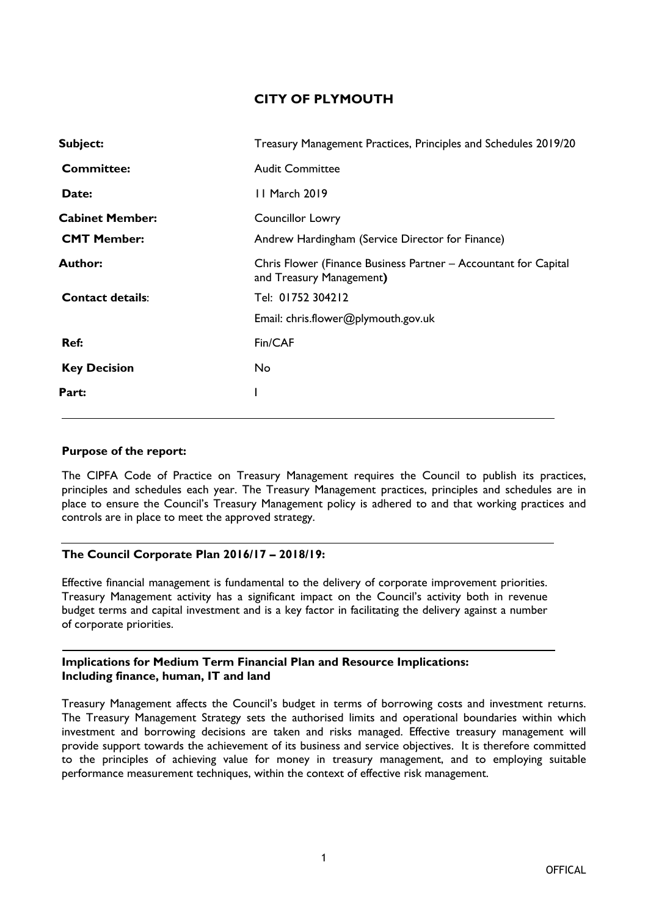# **CITY OF PLYMOUTH**

| Subject:                | Treasury Management Practices, Principles and Schedules 2019/20                             |
|-------------------------|---------------------------------------------------------------------------------------------|
| <b>Committee:</b>       | <b>Audit Committee</b>                                                                      |
| Date:                   | 11 March 2019                                                                               |
| <b>Cabinet Member:</b>  | <b>Councillor Lowry</b>                                                                     |
| <b>CMT Member:</b>      | Andrew Hardingham (Service Director for Finance)                                            |
| <b>Author:</b>          | Chris Flower (Finance Business Partner - Accountant for Capital<br>and Treasury Management) |
| <b>Contact details:</b> | Tel: 01752 304212                                                                           |
|                         | Email: chris.flower@plymouth.gov.uk                                                         |
| Ref:                    | Fin/CAF                                                                                     |
| <b>Key Decision</b>     | No                                                                                          |
| Part:                   |                                                                                             |
|                         |                                                                                             |

#### **Purpose of the report:**

The CIPFA Code of Practice on Treasury Management requires the Council to publish its practices, principles and schedules each year. The Treasury Management practices, principles and schedules are in place to ensure the Council's Treasury Management policy is adhered to and that working practices and controls are in place to meet the approved strategy.

#### **The Council Corporate Plan 2016/17 – 2018/19:**

Effective financial management is fundamental to the delivery of corporate improvement priorities. Treasury Management activity has a significant impact on the Council's activity both in revenue budget terms and capital investment and is a key factor in facilitating the delivery against a number of corporate priorities.

#### **Implications for Medium Term Financial Plan and Resource Implications: Including finance, human, IT and land**

Treasury Management affects the Council's budget in terms of borrowing costs and investment returns. The Treasury Management Strategy sets the authorised limits and operational boundaries within which investment and borrowing decisions are taken and risks managed. Effective treasury management will provide support towards the achievement of its business and service objectives. It is therefore committed to the principles of achieving value for money in treasury management, and to employing suitable performance measurement techniques, within the context of effective risk management.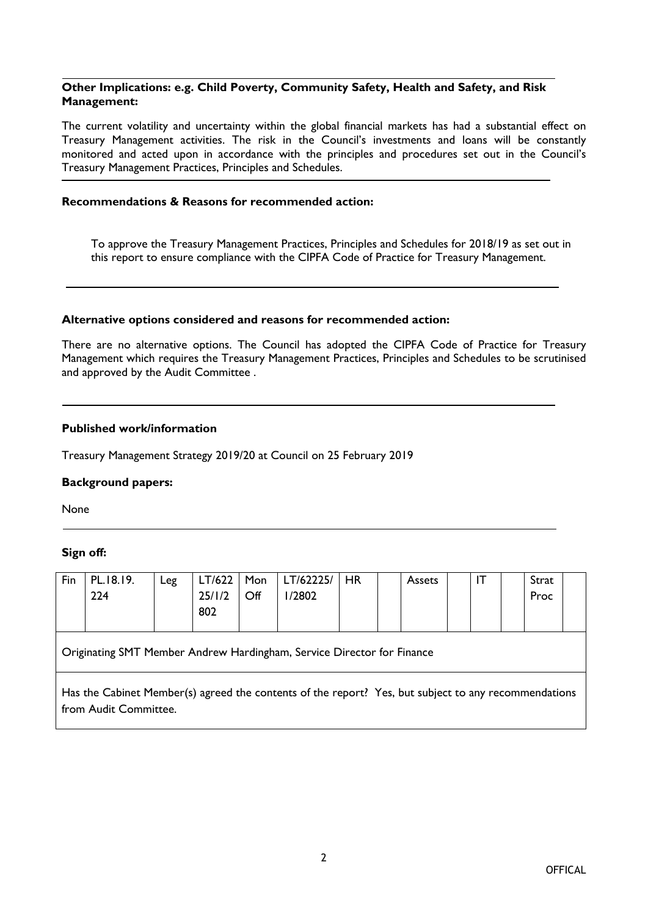#### **Other Implications: e.g. Child Poverty, Community Safety, Health and Safety, and Risk Management:**

The current volatility and uncertainty within the global financial markets has had a substantial effect on Treasury Management activities. The risk in the Council's investments and loans will be constantly monitored and acted upon in accordance with the principles and procedures set out in the Council's Treasury Management Practices, Principles and Schedules.

#### **Recommendations & Reasons for recommended action:**

To approve the Treasury Management Practices, Principles and Schedules for 2018/19 as set out in this report to ensure compliance with the CIPFA Code of Practice for Treasury Management.

#### **Alternative options considered and reasons for recommended action:**

There are no alternative options. The Council has adopted the CIPFA Code of Practice for Treasury Management which requires the Treasury Management Practices, Principles and Schedules to be scrutinised and approved by the Audit Committee .

#### **Published work/information**

Treasury Management Strategy 2019/20 at Council on 25 February 2019

#### **Background papers:**

None

#### **Sign off:**

| Fin                                                                                                                           | PL.18.19.<br>224 | Leg | LT/622<br>25/1/2<br>802 | Mon<br>$\mathsf{Off}$ | LT/62225/<br>1/2802 | <b>HR</b> |  | Assets |  | IT |  | Strat<br>Proc |  |
|-------------------------------------------------------------------------------------------------------------------------------|------------------|-----|-------------------------|-----------------------|---------------------|-----------|--|--------|--|----|--|---------------|--|
| Originating SMT Member Andrew Hardingham, Service Director for Finance                                                        |                  |     |                         |                       |                     |           |  |        |  |    |  |               |  |
| Has the Cabinet Member(s) agreed the contents of the report? Yes, but subject to any recommendations<br>from Audit Committee. |                  |     |                         |                       |                     |           |  |        |  |    |  |               |  |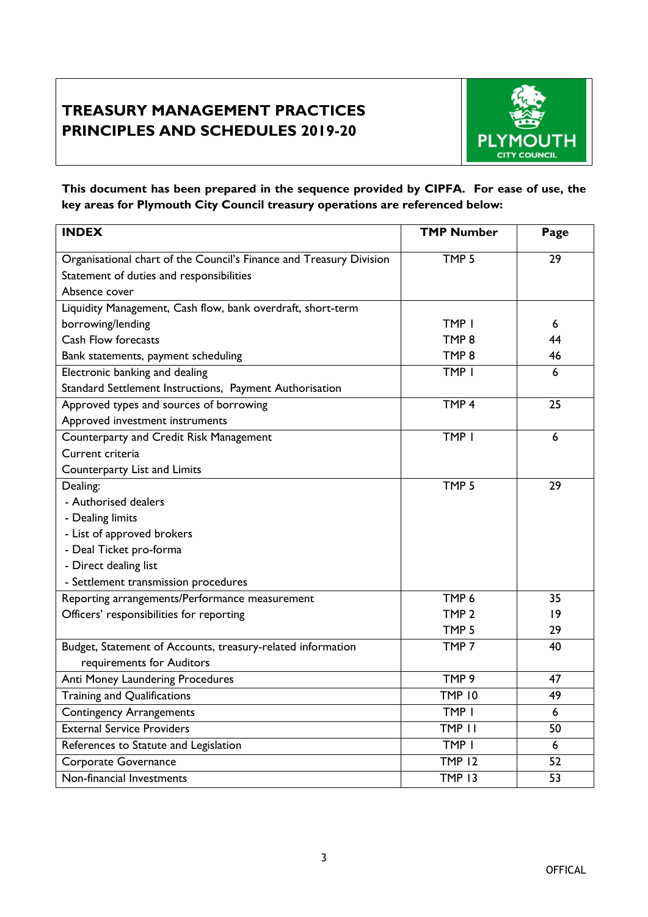# **TREASURY MANAGEMENT PRACTICES PRINCIPLES AND SCHEDULES 2019-20**



**This document has been prepared in the sequence provided by CIPFA. For ease of use, the key areas for Plymouth City Council treasury operations are referenced below:**

| <b>INDEX</b>                                                        | <b>TMP Number</b> | Page |
|---------------------------------------------------------------------|-------------------|------|
| Organisational chart of the Council's Finance and Treasury Division | TMP <sub>5</sub>  | 29   |
| Statement of duties and responsibilities                            |                   |      |
| Absence cover                                                       |                   |      |
| Liquidity Management, Cash flow, bank overdraft, short-term         |                   |      |
| borrowing/lending                                                   | TMP I             | 6    |
| <b>Cash Flow forecasts</b>                                          | TMP <sub>8</sub>  | 44   |
| Bank statements, payment scheduling                                 | TMP <sub>8</sub>  | 46   |
| Electronic banking and dealing                                      | TMP I             | 6    |
| Standard Settlement Instructions, Payment Authorisation             |                   |      |
| Approved types and sources of borrowing                             | TMP <sub>4</sub>  | 25   |
| Approved investment instruments                                     |                   |      |
| Counterparty and Credit Risk Management                             | TMP I             | 6    |
| Current criteria                                                    |                   |      |
| Counterparty List and Limits                                        |                   |      |
| Dealing:                                                            | TMP <sub>5</sub>  | 29   |
| - Authorised dealers                                                |                   |      |
| - Dealing limits                                                    |                   |      |
| - List of approved brokers                                          |                   |      |
| - Deal Ticket pro-forma                                             |                   |      |
| - Direct dealing list                                               |                   |      |
| - Settlement transmission procedures                                |                   |      |
| Reporting arrangements/Performance measurement                      | TMP <sub>6</sub>  | 35   |
| Officers' responsibilities for reporting                            | TMP <sub>2</sub>  | 9    |
|                                                                     | TMP <sub>5</sub>  | 29   |
| Budget, Statement of Accounts, treasury-related information         | TMP <sub>7</sub>  | 40   |
| requirements for Auditors                                           |                   |      |
| Anti Money Laundering Procedures                                    | TMP 9             | 47   |
| Training and Qualifications                                         | <b>TMP 10</b>     | 49   |
| <b>Contingency Arrangements</b>                                     | TMP I             | 6    |
| <b>External Service Providers</b>                                   | TMP II            | 50   |
| References to Statute and Legislation                               | TMP I             | 6    |
| Corporate Governance                                                | <b>TMP 12</b>     | 52   |
| Non-financial Investments                                           | <b>TMP 13</b>     | 53   |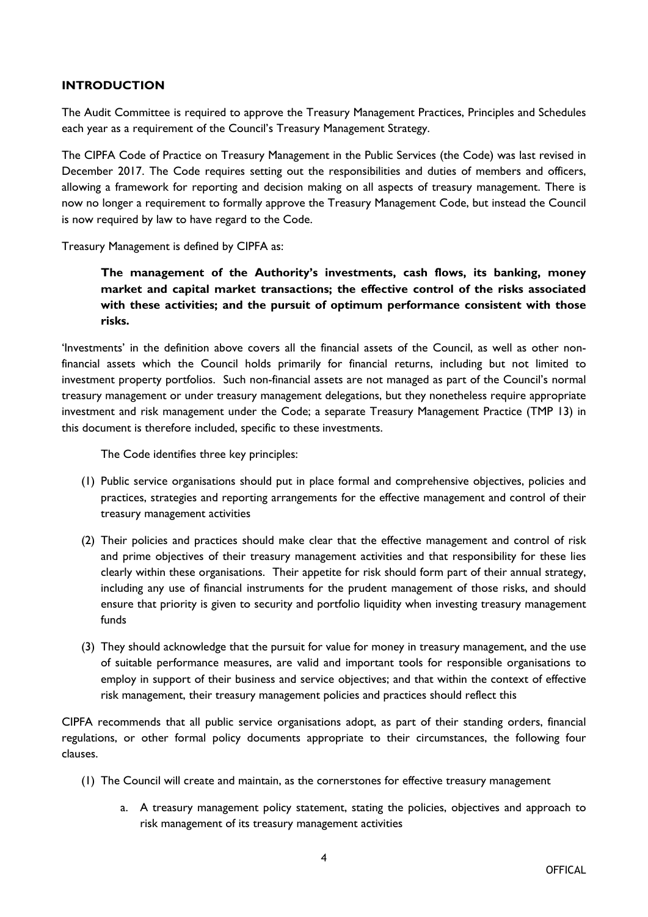#### **INTRODUCTION**

The Audit Committee is required to approve the Treasury Management Practices, Principles and Schedules each year as a requirement of the Council's Treasury Management Strategy.

The CIPFA Code of Practice on Treasury Management in the Public Services (the Code) was last revised in December 2017. The Code requires setting out the responsibilities and duties of members and officers, allowing a framework for reporting and decision making on all aspects of treasury management. There is now no longer a requirement to formally approve the Treasury Management Code, but instead the Council is now required by law to have regard to the Code.

Treasury Management is defined by CIPFA as:

**The management of the Authority's investments, cash flows, its banking, money market and capital market transactions; the effective control of the risks associated with these activities; and the pursuit of optimum performance consistent with those risks.**

'Investments' in the definition above covers all the financial assets of the Council, as well as other nonfinancial assets which the Council holds primarily for financial returns, including but not limited to investment property portfolios. Such non-financial assets are not managed as part of the Council's normal treasury management or under treasury management delegations, but they nonetheless require appropriate investment and risk management under the Code; a separate Treasury Management Practice (TMP 13) in this document is therefore included, specific to these investments.

The Code identifies three key principles:

- (1) Public service organisations should put in place formal and comprehensive objectives, policies and practices, strategies and reporting arrangements for the effective management and control of their treasury management activities
- (2) Their policies and practices should make clear that the effective management and control of risk and prime objectives of their treasury management activities and that responsibility for these lies clearly within these organisations. Their appetite for risk should form part of their annual strategy, including any use of financial instruments for the prudent management of those risks, and should ensure that priority is given to security and portfolio liquidity when investing treasury management funds
- (3) They should acknowledge that the pursuit for value for money in treasury management, and the use of suitable performance measures, are valid and important tools for responsible organisations to employ in support of their business and service objectives; and that within the context of effective risk management, their treasury management policies and practices should reflect this

CIPFA recommends that all public service organisations adopt, as part of their standing orders, financial regulations, or other formal policy documents appropriate to their circumstances, the following four clauses.

- (1) The Council will create and maintain, as the cornerstones for effective treasury management
	- a. A treasury management policy statement, stating the policies, objectives and approach to risk management of its treasury management activities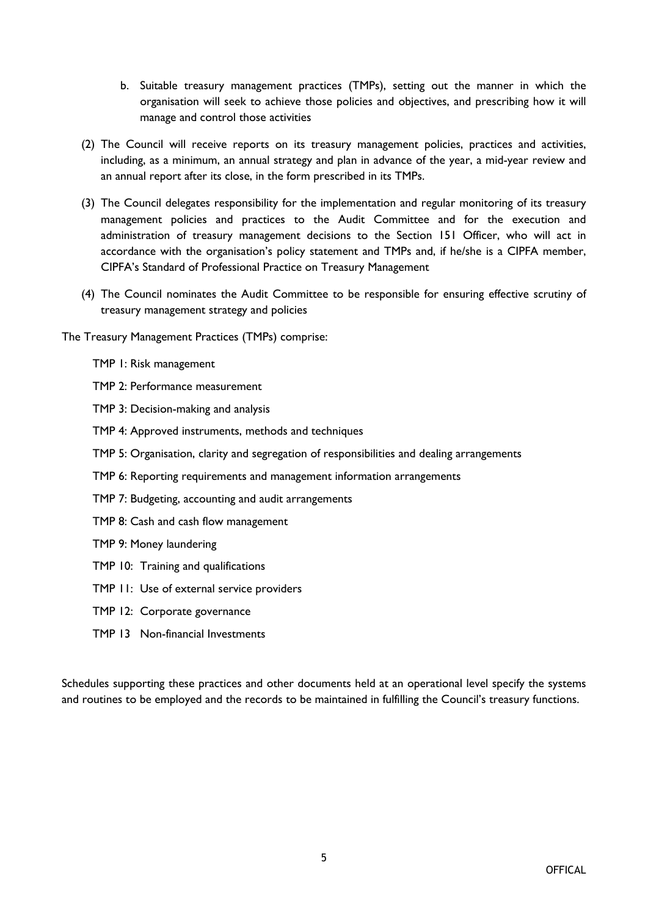- b. Suitable treasury management practices (TMPs), setting out the manner in which the organisation will seek to achieve those policies and objectives, and prescribing how it will manage and control those activities
- (2) The Council will receive reports on its treasury management policies, practices and activities, including, as a minimum, an annual strategy and plan in advance of the year, a mid-year review and an annual report after its close, in the form prescribed in its TMPs.
- (3) The Council delegates responsibility for the implementation and regular monitoring of its treasury management policies and practices to the Audit Committee and for the execution and administration of treasury management decisions to the Section 151 Officer, who will act in accordance with the organisation's policy statement and TMPs and, if he/she is a CIPFA member, CIPFA's Standard of Professional Practice on Treasury Management
- (4) The Council nominates the Audit Committee to be responsible for ensuring effective scrutiny of treasury management strategy and policies

The Treasury Management Practices (TMPs) comprise:

- TMP 1: Risk management
- TMP 2: Performance measurement
- TMP 3: Decision-making and analysis
- TMP 4: Approved instruments, methods and techniques
- TMP 5: Organisation, clarity and segregation of responsibilities and dealing arrangements
- TMP 6: Reporting requirements and management information arrangements
- TMP 7: Budgeting, accounting and audit arrangements
- TMP 8: Cash and cash flow management
- TMP 9: Money laundering
- TMP 10: Training and qualifications
- TMP 11: Use of external service providers
- TMP 12: Corporate governance
- TMP 13 Non-financial Investments

Schedules supporting these practices and other documents held at an operational level specify the systems and routines to be employed and the records to be maintained in fulfilling the Council's treasury functions.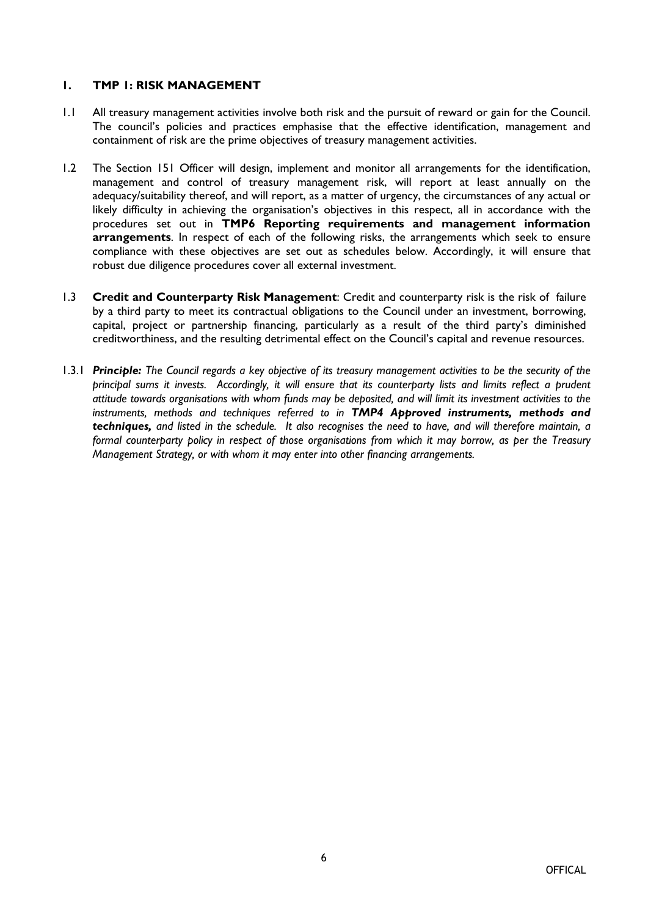#### **1. TMP 1: RISK MANAGEMENT**

- 1.1 All treasury management activities involve both risk and the pursuit of reward or gain for the Council. The council's policies and practices emphasise that the effective identification, management and containment of risk are the prime objectives of treasury management activities.
- 1.2 The Section 151 Officer will design, implement and monitor all arrangements for the identification, management and control of treasury management risk, will report at least annually on the adequacy/suitability thereof, and will report, as a matter of urgency, the circumstances of any actual or likely difficulty in achieving the organisation's objectives in this respect, all in accordance with the procedures set out in **TMP6 Reporting requirements and management information arrangements**. In respect of each of the following risks, the arrangements which seek to ensure compliance with these objectives are set out as schedules below. Accordingly, it will ensure that robust due diligence procedures cover all external investment.
- 1.3 **Credit and Counterparty Risk Management**: Credit and counterparty risk is the risk of failure by a third party to meet its contractual obligations to the Council under an investment, borrowing, capital, project or partnership financing, particularly as a result of the third party's diminished creditworthiness, and the resulting detrimental effect on the Council's capital and revenue resources.
- 1.3.1 Principle: The Council regards a key objective of its treasury management activities to be the security of the *principal sums it invests. Accordingly, it will ensure that its counterparty lists and limits reflect a prudent* attitude towards organisations with whom funds may be deposited, and will limit its investment activities to the *instruments, methods and techniques referred to in TMP4 Approved instruments, methods and* techniques, and listed in the schedule. It also recognises the need to have, and will therefore maintain, a formal counterparty policy in respect of those organisations from which it may borrow, as per the Treasury *Management Strategy, or with whom it may enter into other financing arrangements.*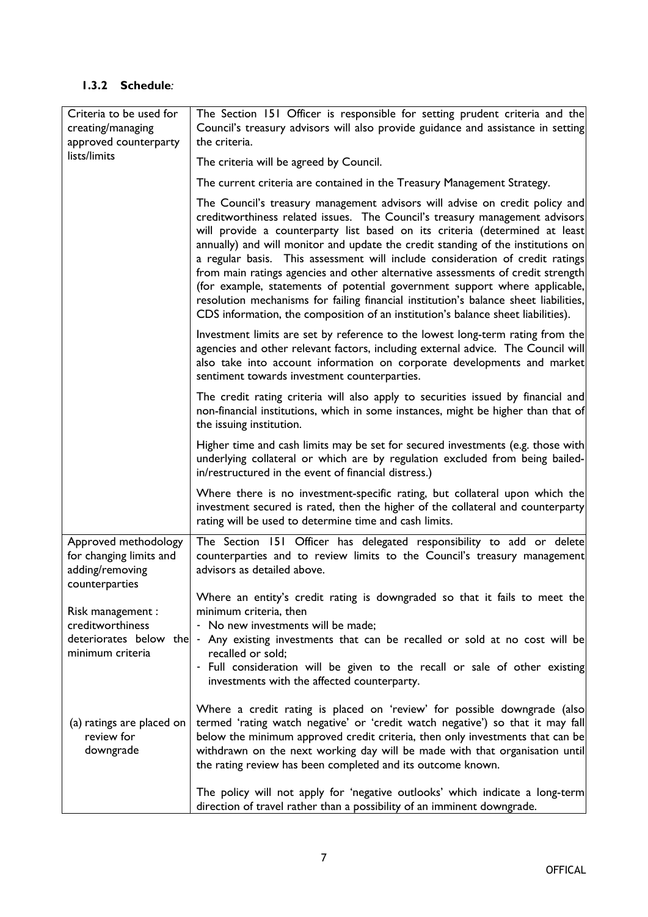| Criteria to be used for<br>creating/managing<br>approved counterparty                | The Section 151 Officer is responsible for setting prudent criteria and the<br>Council's treasury advisors will also provide guidance and assistance in setting<br>the criteria.                                                                                                                                                                                                                                                                                                                                                                                                                                                                                                                                                                            |
|--------------------------------------------------------------------------------------|-------------------------------------------------------------------------------------------------------------------------------------------------------------------------------------------------------------------------------------------------------------------------------------------------------------------------------------------------------------------------------------------------------------------------------------------------------------------------------------------------------------------------------------------------------------------------------------------------------------------------------------------------------------------------------------------------------------------------------------------------------------|
| lists/limits                                                                         | The criteria will be agreed by Council.                                                                                                                                                                                                                                                                                                                                                                                                                                                                                                                                                                                                                                                                                                                     |
|                                                                                      | The current criteria are contained in the Treasury Management Strategy.                                                                                                                                                                                                                                                                                                                                                                                                                                                                                                                                                                                                                                                                                     |
|                                                                                      | The Council's treasury management advisors will advise on credit policy and<br>creditworthiness related issues. The Council's treasury management advisors<br>will provide a counterparty list based on its criteria (determined at least<br>annually) and will monitor and update the credit standing of the institutions on<br>a regular basis. This assessment will include consideration of credit ratings<br>from main ratings agencies and other alternative assessments of credit strength<br>(for example, statements of potential government support where applicable,<br>resolution mechanisms for failing financial institution's balance sheet liabilities,<br>CDS information, the composition of an institution's balance sheet liabilities). |
|                                                                                      | Investment limits are set by reference to the lowest long-term rating from the<br>agencies and other relevant factors, including external advice. The Council will<br>also take into account information on corporate developments and market<br>sentiment towards investment counterparties.                                                                                                                                                                                                                                                                                                                                                                                                                                                               |
|                                                                                      | The credit rating criteria will also apply to securities issued by financial and<br>non-financial institutions, which in some instances, might be higher than that of<br>the issuing institution.                                                                                                                                                                                                                                                                                                                                                                                                                                                                                                                                                           |
|                                                                                      | Higher time and cash limits may be set for secured investments (e.g. those with<br>underlying collateral or which are by regulation excluded from being bailed-<br>in/restructured in the event of financial distress.)                                                                                                                                                                                                                                                                                                                                                                                                                                                                                                                                     |
|                                                                                      | Where there is no investment-specific rating, but collateral upon which the<br>investment secured is rated, then the higher of the collateral and counterparty<br>rating will be used to determine time and cash limits.                                                                                                                                                                                                                                                                                                                                                                                                                                                                                                                                    |
| Approved methodology<br>for changing limits and<br>adding/removing<br>counterparties | The Section 151 Officer has delegated responsibility to add or delete<br>counterparties and to review limits to the Council's treasury management<br>advisors as detailed above.                                                                                                                                                                                                                                                                                                                                                                                                                                                                                                                                                                            |
| Risk management :<br>creditworthiness                                                | Where an entity's credit rating is downgraded so that it fails to meet the<br>minimum criteria, then<br>- No new investments will be made;                                                                                                                                                                                                                                                                                                                                                                                                                                                                                                                                                                                                                  |
| deteriorates below the<br>minimum criteria                                           | - Any existing investments that can be recalled or sold at no cost will be<br>recalled or sold;<br>- Full consideration will be given to the recall or sale of other existing<br>investments with the affected counterparty.                                                                                                                                                                                                                                                                                                                                                                                                                                                                                                                                |
| (a) ratings are placed on<br>review for<br>downgrade                                 | Where a credit rating is placed on 'review' for possible downgrade (also<br>termed 'rating watch negative' or 'credit watch negative') so that it may fall<br>below the minimum approved credit criteria, then only investments that can be<br>withdrawn on the next working day will be made with that organisation until<br>the rating review has been completed and its outcome known.                                                                                                                                                                                                                                                                                                                                                                   |
|                                                                                      | The policy will not apply for 'negative outlooks' which indicate a long-term<br>direction of travel rather than a possibility of an imminent downgrade.                                                                                                                                                                                                                                                                                                                                                                                                                                                                                                                                                                                                     |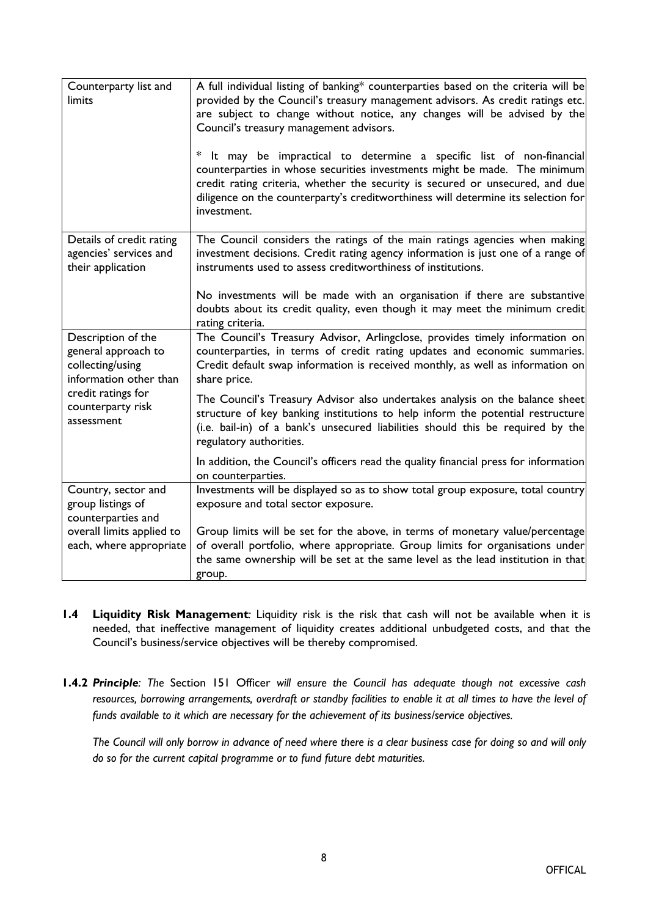| Counterparty list and<br>limits                                                         | A full individual listing of banking* counterparties based on the criteria will be<br>provided by the Council's treasury management advisors. As credit ratings etc.<br>are subject to change without notice, any changes will be advised by the<br>Council's treasury management advisors.<br>* It may be impractical to determine a specific list of non-financial<br>counterparties in whose securities investments might be made. The minimum<br>credit rating criteria, whether the security is secured or unsecured, and due<br>diligence on the counterparty's creditworthiness will determine its selection for<br>investment. |
|-----------------------------------------------------------------------------------------|----------------------------------------------------------------------------------------------------------------------------------------------------------------------------------------------------------------------------------------------------------------------------------------------------------------------------------------------------------------------------------------------------------------------------------------------------------------------------------------------------------------------------------------------------------------------------------------------------------------------------------------|
| Details of credit rating<br>agencies' services and<br>their application                 | The Council considers the ratings of the main ratings agencies when making<br>investment decisions. Credit rating agency information is just one of a range of<br>instruments used to assess creditworthiness of institutions.                                                                                                                                                                                                                                                                                                                                                                                                         |
|                                                                                         | No investments will be made with an organisation if there are substantive<br>doubts about its credit quality, even though it may meet the minimum credit<br>rating criteria.                                                                                                                                                                                                                                                                                                                                                                                                                                                           |
| Description of the<br>general approach to<br>collecting/using<br>information other than | The Council's Treasury Advisor, Arlingclose, provides timely information on<br>counterparties, in terms of credit rating updates and economic summaries.<br>Credit default swap information is received monthly, as well as information on<br>share price.                                                                                                                                                                                                                                                                                                                                                                             |
| credit ratings for<br>counterparty risk<br>assessment                                   | The Council's Treasury Advisor also undertakes analysis on the balance sheet<br>structure of key banking institutions to help inform the potential restructure<br>(i.e. bail-in) of a bank's unsecured liabilities should this be required by the<br>regulatory authorities.                                                                                                                                                                                                                                                                                                                                                           |
|                                                                                         | In addition, the Council's officers read the quality financial press for information<br>on counterparties.                                                                                                                                                                                                                                                                                                                                                                                                                                                                                                                             |
| Country, sector and<br>group listings of<br>counterparties and                          | Investments will be displayed so as to show total group exposure, total country<br>exposure and total sector exposure.                                                                                                                                                                                                                                                                                                                                                                                                                                                                                                                 |
| overall limits applied to<br>each, where appropriate                                    | Group limits will be set for the above, in terms of monetary value/percentage<br>of overall portfolio, where appropriate. Group limits for organisations under<br>the same ownership will be set at the same level as the lead institution in that<br>group.                                                                                                                                                                                                                                                                                                                                                                           |

- **1.4 Liquidity Risk Management***:* Liquidity risk is the risk that cash will not be available when it is needed, that ineffective management of liquidity creates additional unbudgeted costs, and that the Council's business/service objectives will be thereby compromised.
- **1.4.2** *Principle: The* Section 151 Officer *will ensure the Council has adequate though not excessive cash* resources, borrowing arrangements, overdraft or standby facilities to enable it at all times to have the level of *funds available to it which are necessary for the achievement of its business/service objectives.*

The Council will only borrow in advance of need where there is a clear business case for doing so and will only *do so for the current capital programme or to fund future debt maturities.*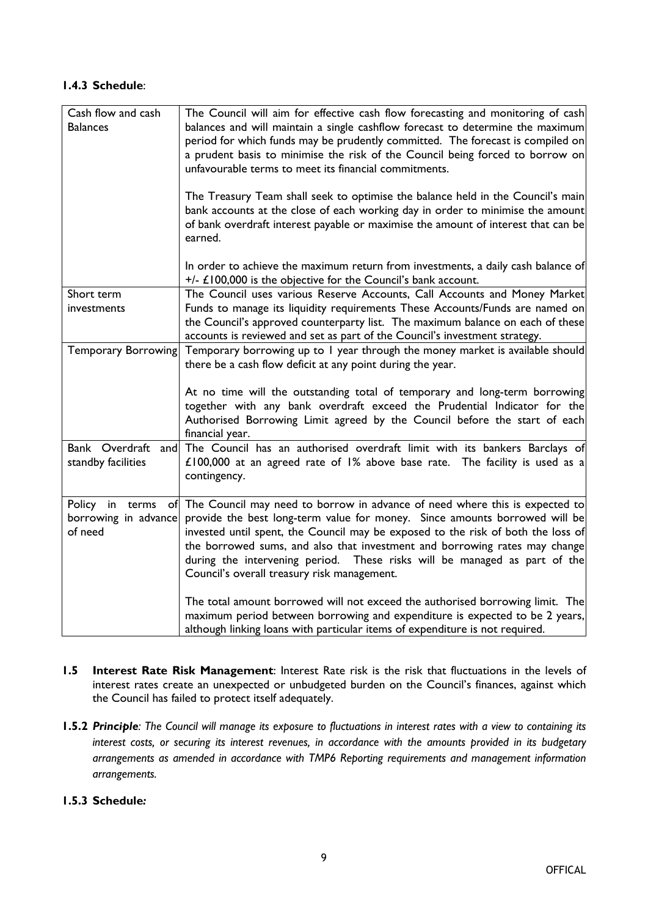## **1.4.3 Schedule**:

| Cash flow and cash<br><b>Balances</b>                 | The Council will aim for effective cash flow forecasting and monitoring of cash<br>balances and will maintain a single cashflow forecast to determine the maximum<br>period for which funds may be prudently committed. The forecast is compiled on<br>a prudent basis to minimise the risk of the Council being forced to borrow on<br>unfavourable terms to meet its financial commitments.<br>The Treasury Team shall seek to optimise the balance held in the Council's main<br>bank accounts at the close of each working day in order to minimise the amount<br>of bank overdraft interest payable or maximise the amount of interest that can be<br>earned.<br>In order to achieve the maximum return from investments, a daily cash balance of |
|-------------------------------------------------------|--------------------------------------------------------------------------------------------------------------------------------------------------------------------------------------------------------------------------------------------------------------------------------------------------------------------------------------------------------------------------------------------------------------------------------------------------------------------------------------------------------------------------------------------------------------------------------------------------------------------------------------------------------------------------------------------------------------------------------------------------------|
|                                                       | $+/-$ £100,000 is the objective for the Council's bank account.                                                                                                                                                                                                                                                                                                                                                                                                                                                                                                                                                                                                                                                                                        |
| Short term<br>investments                             | The Council uses various Reserve Accounts, Call Accounts and Money Market<br>Funds to manage its liquidity requirements These Accounts/Funds are named on<br>the Council's approved counterparty list. The maximum balance on each of these<br>accounts is reviewed and set as part of the Council's investment strategy.                                                                                                                                                                                                                                                                                                                                                                                                                              |
| Temporary Borrowing                                   | Temporary borrowing up to 1 year through the money market is available should<br>there be a cash flow deficit at any point during the year.                                                                                                                                                                                                                                                                                                                                                                                                                                                                                                                                                                                                            |
|                                                       | At no time will the outstanding total of temporary and long-term borrowing<br>together with any bank overdraft exceed the Prudential Indicator for the<br>Authorised Borrowing Limit agreed by the Council before the start of each<br>financial year.                                                                                                                                                                                                                                                                                                                                                                                                                                                                                                 |
| standby facilities                                    | Bank Overdraft and The Council has an authorised overdraft limit with its bankers Barclays of<br>£100,000 at an agreed rate of 1% above base rate. The facility is used as a<br>contingency.                                                                                                                                                                                                                                                                                                                                                                                                                                                                                                                                                           |
| Policy in<br>terms<br>borrowing in advance<br>of need | of The Council may need to borrow in advance of need where this is expected to<br>provide the best long-term value for money. Since amounts borrowed will be<br>invested until spent, the Council may be exposed to the risk of both the loss of<br>the borrowed sums, and also that investment and borrowing rates may change<br>during the intervening period. These risks will be managed as part of the<br>Council's overall treasury risk management.                                                                                                                                                                                                                                                                                             |
|                                                       | The total amount borrowed will not exceed the authorised borrowing limit. The<br>maximum period between borrowing and expenditure is expected to be 2 years,<br>although linking loans with particular items of expenditure is not required.                                                                                                                                                                                                                                                                                                                                                                                                                                                                                                           |

- **1.5 Interest Rate Risk Management**: Interest Rate risk is the risk that fluctuations in the levels of interest rates create an unexpected or unbudgeted burden on the Council's finances, against which the Council has failed to protect itself adequately.
- 1.5.2 Principle: The Council will manage its exposure to fluctuations in interest rates with a view to containing its *interest costs, or securing its interest revenues, in accordance with the amounts provided in its budgetary arrangements as amended in accordance with TMP6 Reporting requirements and management information arrangements.*

#### **1.5.3 Schedule***:*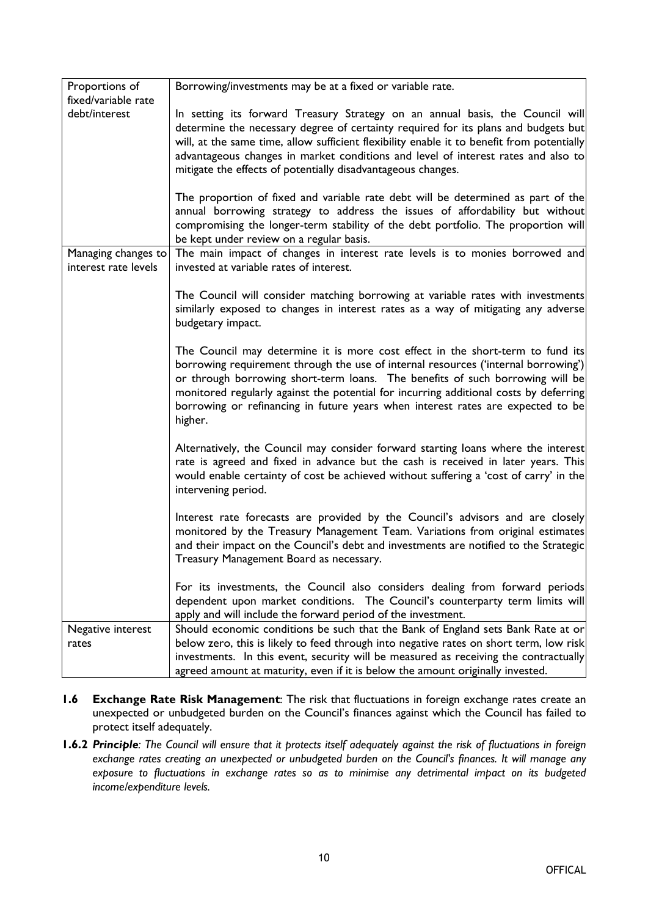| Proportions of                              | Borrowing/investments may be at a fixed or variable rate.                                                                                                                                                                                                                                                                                                                                                                                    |
|---------------------------------------------|----------------------------------------------------------------------------------------------------------------------------------------------------------------------------------------------------------------------------------------------------------------------------------------------------------------------------------------------------------------------------------------------------------------------------------------------|
| fixed/variable rate                         |                                                                                                                                                                                                                                                                                                                                                                                                                                              |
| debt/interest                               | In setting its forward Treasury Strategy on an annual basis, the Council will<br>determine the necessary degree of certainty required for its plans and budgets but<br>will, at the same time, allow sufficient flexibility enable it to benefit from potentially<br>advantageous changes in market conditions and level of interest rates and also to<br>mitigate the effects of potentially disadvantageous changes.                       |
|                                             | The proportion of fixed and variable rate debt will be determined as part of the<br>annual borrowing strategy to address the issues of affordability but without<br>compromising the longer-term stability of the debt portfolio. The proportion will<br>be kept under review on a regular basis.                                                                                                                                            |
| Managing changes to<br>interest rate levels | The main impact of changes in interest rate levels is to monies borrowed and<br>invested at variable rates of interest.                                                                                                                                                                                                                                                                                                                      |
|                                             | The Council will consider matching borrowing at variable rates with investments<br>similarly exposed to changes in interest rates as a way of mitigating any adverse<br>budgetary impact.                                                                                                                                                                                                                                                    |
|                                             | The Council may determine it is more cost effect in the short-term to fund its<br>borrowing requirement through the use of internal resources ('internal borrowing')<br>or through borrowing short-term loans. The benefits of such borrowing will be<br>monitored regularly against the potential for incurring additional costs by deferring<br>borrowing or refinancing in future years when interest rates are expected to be<br>higher. |
|                                             | Alternatively, the Council may consider forward starting loans where the interest<br>rate is agreed and fixed in advance but the cash is received in later years. This<br>would enable certainty of cost be achieved without suffering a 'cost of carry' in the<br>intervening period.                                                                                                                                                       |
|                                             | Interest rate forecasts are provided by the Council's advisors and are closely<br>monitored by the Treasury Management Team. Variations from original estimates<br>and their impact on the Council's debt and investments are notified to the Strategic<br>Treasury Management Board as necessary.                                                                                                                                           |
|                                             | For its investments, the Council also considers dealing from forward periods<br>dependent upon market conditions. The Council's counterparty term limits will<br>apply and will include the forward period of the investment.                                                                                                                                                                                                                |
| Negative interest                           | Should economic conditions be such that the Bank of England sets Bank Rate at or                                                                                                                                                                                                                                                                                                                                                             |
| rates                                       | below zero, this is likely to feed through into negative rates on short term, low risk                                                                                                                                                                                                                                                                                                                                                       |
|                                             | investments. In this event, security will be measured as receiving the contractually<br>agreed amount at maturity, even if it is below the amount originally invested.                                                                                                                                                                                                                                                                       |
|                                             |                                                                                                                                                                                                                                                                                                                                                                                                                                              |

- **1.6 Exchange Rate Risk Management**: The risk that fluctuations in foreign exchange rates create an unexpected or unbudgeted burden on the Council's finances against which the Council has failed to protect itself adequately.
- 1.6.2 Principle: The Council will ensure that it protects itself adequately against the risk of fluctuations in foreign *exchange rates creating an unexpected or unbudgeted burden on the Council's finances. It will manage any exposure to fluctuations in exchange rates so as to minimise any detrimental impact on its budgeted income/expenditure levels.*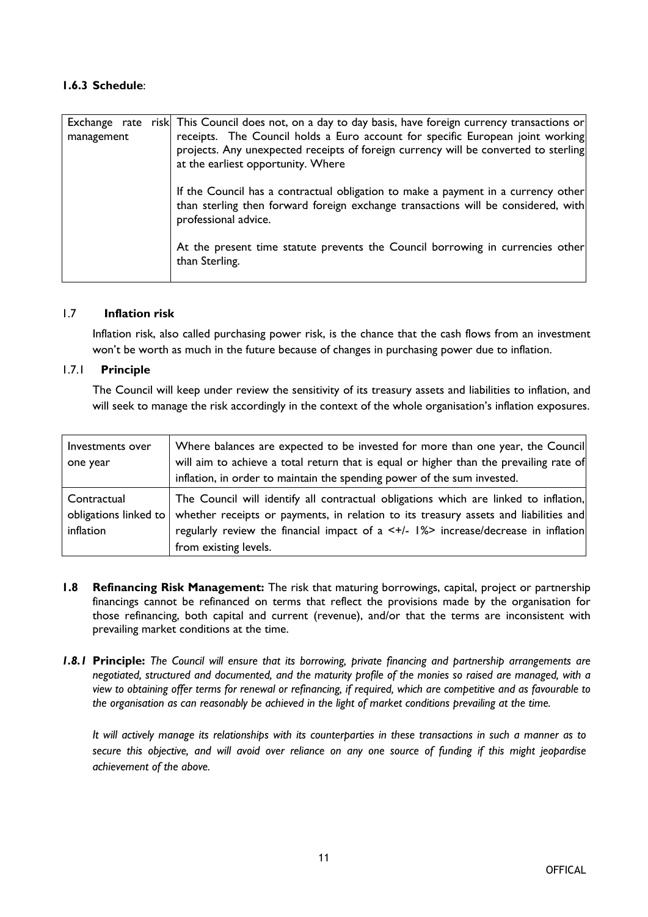# **1.6.3 Schedule**:

| Exchange rate<br>management | risk This Council does not, on a day to day basis, have foreign currency transactions or<br>receipts. The Council holds a Euro account for specific European joint working<br>projects. Any unexpected receipts of foreign currency will be converted to sterling<br>at the earliest opportunity. Where |
|-----------------------------|---------------------------------------------------------------------------------------------------------------------------------------------------------------------------------------------------------------------------------------------------------------------------------------------------------|
|                             | If the Council has a contractual obligation to make a payment in a currency other<br>than sterling then forward foreign exchange transactions will be considered, with<br>professional advice.                                                                                                          |
|                             | At the present time statute prevents the Council borrowing in currencies other<br>than Sterling.                                                                                                                                                                                                        |

#### 1.7 **Inflation risk**

Inflation risk, also called purchasing power risk, is the chance that the cash flows from an investment won't be worth as much in the future because of changes in purchasing power due to inflation.

#### 1.7.1 **Principle**

The Council will keep under review the sensitivity of its treasury assets and liabilities to inflation, and will seek to manage the risk accordingly in the context of the whole organisation's inflation exposures.

| Investments over | Where balances are expected to be invested for more than one year, the Council                             |
|------------------|------------------------------------------------------------------------------------------------------------|
| one year         | will aim to achieve a total return that is equal or higher than the prevailing rate of                     |
|                  | inflation, in order to maintain the spending power of the sum invested.                                    |
| Contractual      | The Council will identify all contractual obligations which are linked to inflation,                       |
|                  | obligations linked to whether receipts or payments, in relation to its treasury assets and liabilities and |
| inflation        | regularly review the financial impact of a $\lt +/$ - $\frac{1}{2}$ increase/decrease in inflation         |
|                  | from existing levels.                                                                                      |

- **1.8 Refinancing Risk Management:** The risk that maturing borrowings, capital, project or partnership financings cannot be refinanced on terms that reflect the provisions made by the organisation for those refinancing, both capital and current (revenue), and/or that the terms are inconsistent with prevailing market conditions at the time.
- *1.8.1* **Principle:** *The Council will ensure that its borrowing, private financing and partnership arrangements are* negotiated, structured and documented, and the maturity profile of the monies so raised are managed, with a view to obtaining offer terms for renewal or refinancing, if required, which are competitive and as favourable to *the organisation as can reasonably be achieved in the light of market conditions prevailing at the time.*

It will actively manage its relationships with its counterparties in these transactions in such a manner as to secure this objective, and will avoid over reliance on any one source of funding if this might jeopardise *achievement of the above.*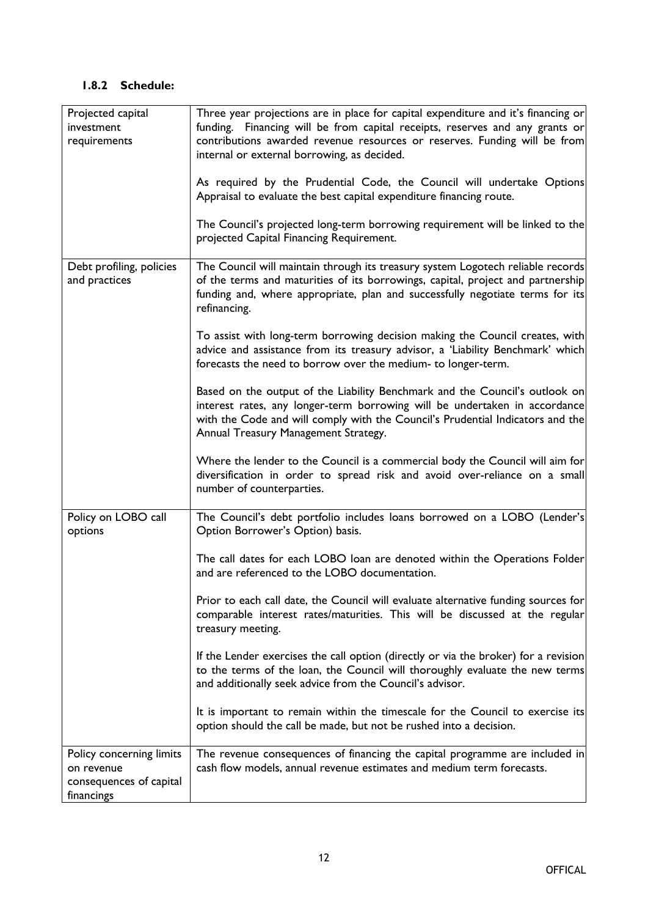| Projected capital        | Three year projections are in place for capital expenditure and it's financing or                                                                                                                                               |
|--------------------------|---------------------------------------------------------------------------------------------------------------------------------------------------------------------------------------------------------------------------------|
| investment               | funding. Financing will be from capital receipts, reserves and any grants or                                                                                                                                                    |
| requirements             | contributions awarded revenue resources or reserves. Funding will be from                                                                                                                                                       |
|                          | internal or external borrowing, as decided.                                                                                                                                                                                     |
|                          | As required by the Prudential Code, the Council will undertake Options                                                                                                                                                          |
|                          | Appraisal to evaluate the best capital expenditure financing route.                                                                                                                                                             |
|                          |                                                                                                                                                                                                                                 |
|                          | The Council's projected long-term borrowing requirement will be linked to the<br>projected Capital Financing Requirement.                                                                                                       |
| Debt profiling, policies | The Council will maintain through its treasury system Logotech reliable records                                                                                                                                                 |
| and practices            | of the terms and maturities of its borrowings, capital, project and partnership<br>funding and, where appropriate, plan and successfully negotiate terms for its<br>refinancing.                                                |
|                          |                                                                                                                                                                                                                                 |
|                          | To assist with long-term borrowing decision making the Council creates, with<br>advice and assistance from its treasury advisor, a 'Liability Benchmark' which<br>forecasts the need to borrow over the medium- to longer-term. |
|                          | Based on the output of the Liability Benchmark and the Council's outlook on                                                                                                                                                     |
|                          | interest rates, any longer-term borrowing will be undertaken in accordance                                                                                                                                                      |
|                          | with the Code and will comply with the Council's Prudential Indicators and the                                                                                                                                                  |
|                          | Annual Treasury Management Strategy.                                                                                                                                                                                            |
|                          |                                                                                                                                                                                                                                 |
|                          | Where the lender to the Council is a commercial body the Council will aim for<br>diversification in order to spread risk and avoid over-reliance on a small<br>number of counterparties.                                        |
| Policy on LOBO call      | The Council's debt portfolio includes loans borrowed on a LOBO (Lender's                                                                                                                                                        |
| options                  | Option Borrower's Option) basis.                                                                                                                                                                                                |
|                          | The call dates for each LOBO loan are denoted within the Operations Folder<br>and are referenced to the LOBO documentation.                                                                                                     |
|                          | Prior to each call date, the Council will evaluate alternative funding sources for<br>comparable interest rates/maturities. This will be discussed at the regular<br>treasury meeting.                                          |
|                          | If the Lender exercises the call option (directly or via the broker) for a revision<br>to the terms of the loan, the Council will thoroughly evaluate the new terms<br>and additionally seek advice from the Council's advisor. |
|                          | It is important to remain within the timescale for the Council to exercise its<br>option should the call be made, but not be rushed into a decision.                                                                            |
| Policy concerning limits | The revenue consequences of financing the capital programme are included in                                                                                                                                                     |
| on revenue               | cash flow models, annual revenue estimates and medium term forecasts.                                                                                                                                                           |
| consequences of capital  |                                                                                                                                                                                                                                 |
| financings               |                                                                                                                                                                                                                                 |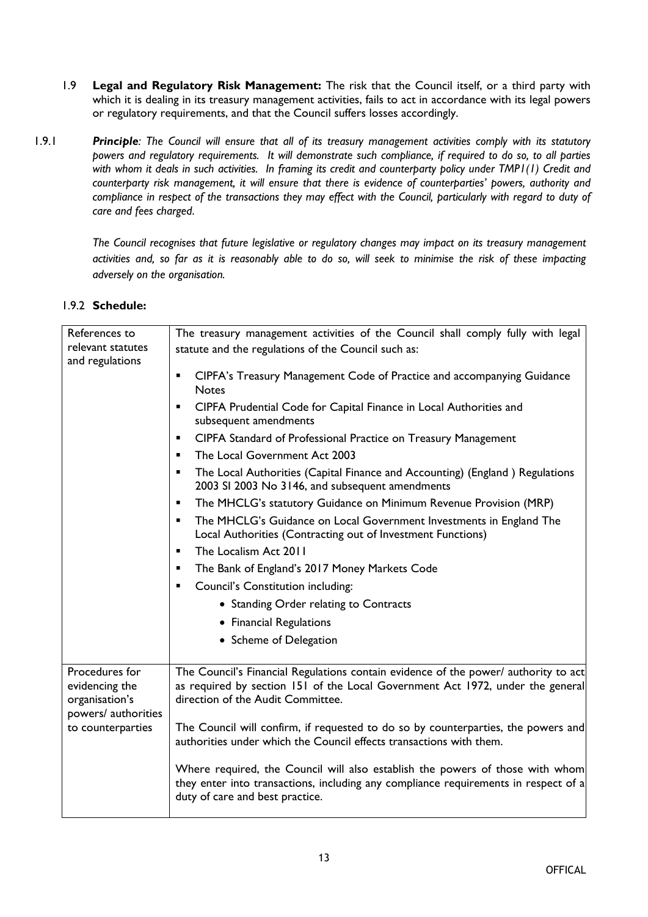- 1.9 **Legal and Regulatory Risk Management:** The risk that the Council itself, or a third party with which it is dealing in its treasury management activities, fails to act in accordance with its legal powers or regulatory requirements, and that the Council suffers losses accordingly.
- 1.9.1 **Principle**: The Council will ensure that all of its treasury management activities comply with its statutory *powers and regulatory requirements. It will demonstrate such compliance, if required to do so, to all parties* with whom it deals in such activities. In framing its credit and counterparty policy under TMPI(I) Credit and *counterparty risk management, it will ensure that there is evidence of counterparties' powers, authority and* compliance in respect of the transactions they may effect with the Council, particularly with regard to duty of *care and fees charged*.

*The Council recognises that future legislative or regulatory changes may impact on its treasury management* activities and, so far as it is reasonably able to do so, will seek to minimise the risk of these impacting *adversely on the organisation.*

| References to                                      | The treasury management activities of the Council shall comply fully with legal                                                                                                                            |
|----------------------------------------------------|------------------------------------------------------------------------------------------------------------------------------------------------------------------------------------------------------------|
| relevant statutes<br>and regulations               | statute and the regulations of the Council such as:                                                                                                                                                        |
|                                                    | CIPFA's Treasury Management Code of Practice and accompanying Guidance<br>$\blacksquare$<br><b>Notes</b>                                                                                                   |
|                                                    | CIPFA Prudential Code for Capital Finance in Local Authorities and<br>٠<br>subsequent amendments                                                                                                           |
|                                                    | CIPFA Standard of Professional Practice on Treasury Management<br>$\blacksquare$                                                                                                                           |
|                                                    | The Local Government Act 2003<br>$\blacksquare$                                                                                                                                                            |
|                                                    | The Local Authorities (Capital Finance and Accounting) (England) Regulations<br>٠<br>2003 SI 2003 No 3146, and subsequent amendments                                                                       |
|                                                    | The MHCLG's statutory Guidance on Minimum Revenue Provision (MRP)<br>٠                                                                                                                                     |
|                                                    | The MHCLG's Guidance on Local Government Investments in England The<br>$\blacksquare$<br>Local Authorities (Contracting out of Investment Functions)                                                       |
|                                                    | The Localism Act 2011<br>$\blacksquare$                                                                                                                                                                    |
|                                                    | The Bank of England's 2017 Money Markets Code<br>٠                                                                                                                                                         |
|                                                    | Council's Constitution including:<br>٠                                                                                                                                                                     |
|                                                    | • Standing Order relating to Contracts                                                                                                                                                                     |
|                                                    | • Financial Regulations                                                                                                                                                                                    |
|                                                    | • Scheme of Delegation                                                                                                                                                                                     |
| Procedures for<br>evidencing the<br>organisation's | The Council's Financial Regulations contain evidence of the power/ authority to act<br>as required by section 151 of the Local Government Act 1972, under the general<br>direction of the Audit Committee. |
| powers/ authorities<br>to counterparties           | The Council will confirm, if requested to do so by counterparties, the powers and<br>authorities under which the Council effects transactions with them.                                                   |
|                                                    | Where required, the Council will also establish the powers of those with whom<br>they enter into transactions, including any compliance requirements in respect of a<br>duty of care and best practice.    |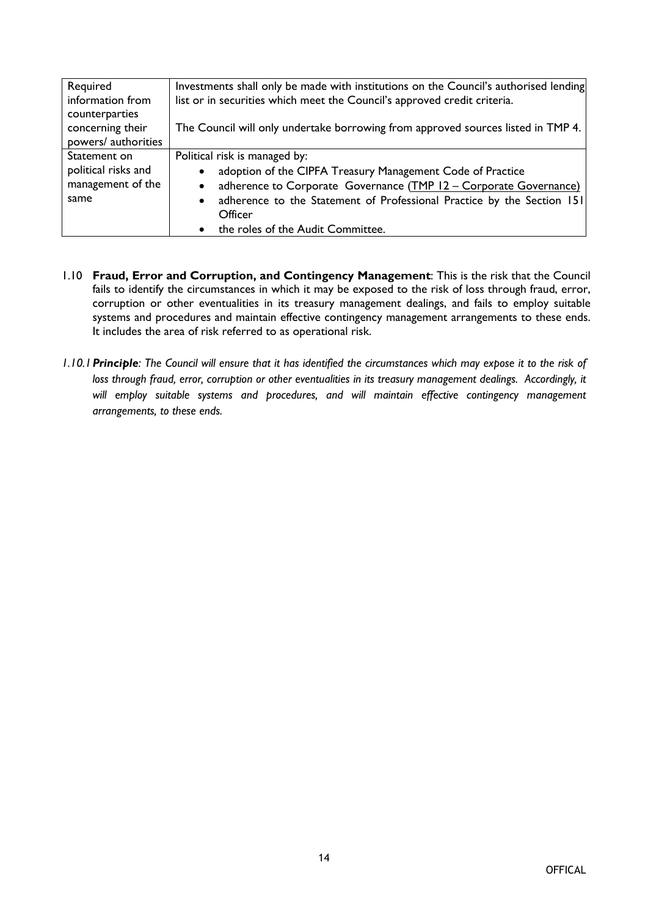| Required            | Investments shall only be made with institutions on the Council's authorised lending |
|---------------------|--------------------------------------------------------------------------------------|
| information from    | list or in securities which meet the Council's approved credit criteria.             |
| counterparties      |                                                                                      |
| concerning their    | The Council will only undertake borrowing from approved sources listed in TMP 4.     |
| powers/ authorities |                                                                                      |
| Statement on        | Political risk is managed by:                                                        |
| political risks and | adoption of the CIPFA Treasury Management Code of Practice<br>$\bullet$              |
| management of the   | adherence to Corporate Governance (TMP 12 - Corporate Governance)<br>$\bullet$       |
| same                | adherence to the Statement of Professional Practice by the Section 151<br>$\bullet$  |
|                     | Officer                                                                              |
|                     | the roles of the Audit Committee.                                                    |

- 1.10 **Fraud, Error and Corruption, and Contingency Management**: This is the risk that the Council fails to identify the circumstances in which it may be exposed to the risk of loss through fraud, error, corruption or other eventualities in its treasury management dealings, and fails to employ suitable systems and procedures and maintain effective contingency management arrangements to these ends. It includes the area of risk referred to as operational risk.
- 1.10.1 Principle: The Council will ensure that it has identified the circumstances which may expose it to the risk of *loss through fraud, error, corruption or other eventualities in its treasury management dealings. Accordingly, it will employ suitable systems and procedures, and will maintain effective contingency management arrangements, to these ends.*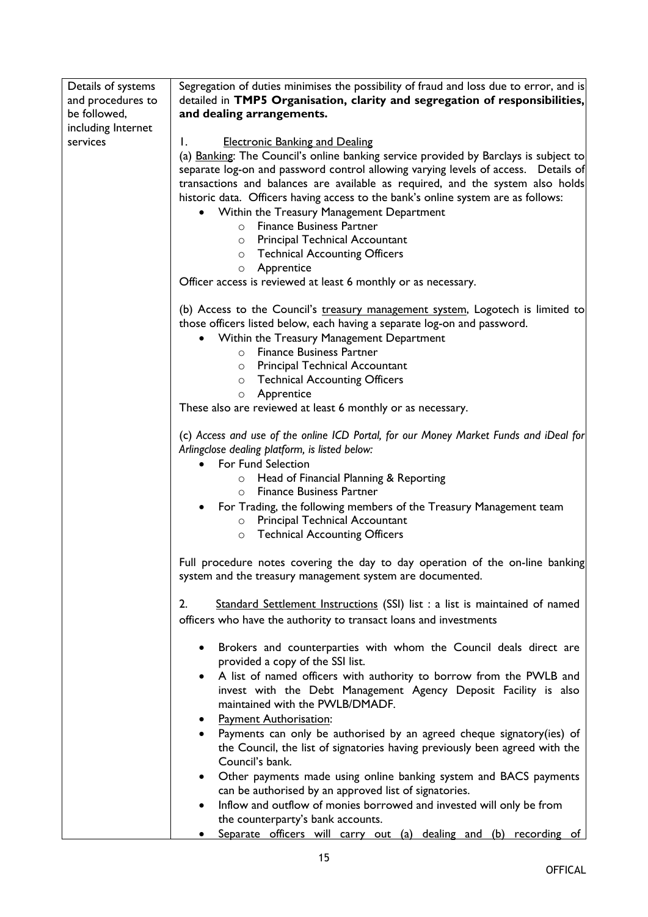| Details of systems<br>and procedures to<br>be followed, | Segregation of duties minimises the possibility of fraud and loss due to error, and is<br>detailed in TMP5 Organisation, clarity and segregation of responsibilities,<br>and dealing arrangements.      |
|---------------------------------------------------------|---------------------------------------------------------------------------------------------------------------------------------------------------------------------------------------------------------|
| including Internet<br>services                          | <b>Electronic Banking and Dealing</b><br>I.                                                                                                                                                             |
|                                                         | (a) Banking: The Council's online banking service provided by Barclays is subject to                                                                                                                    |
|                                                         | separate log-on and password control allowing varying levels of access.  Details of                                                                                                                     |
|                                                         | transactions and balances are available as required, and the system also holds                                                                                                                          |
|                                                         | historic data. Officers having access to the bank's online system are as follows:                                                                                                                       |
|                                                         | Within the Treasury Management Department                                                                                                                                                               |
|                                                         | <b>Finance Business Partner</b><br>$\circ$                                                                                                                                                              |
|                                                         | <b>Principal Technical Accountant</b><br>$\circ$                                                                                                                                                        |
|                                                         | o Technical Accounting Officers                                                                                                                                                                         |
|                                                         | Apprentice<br>$\circ$                                                                                                                                                                                   |
|                                                         | Officer access is reviewed at least 6 monthly or as necessary.                                                                                                                                          |
|                                                         | (b) Access to the Council's treasury management system, Logotech is limited to<br>those officers listed below, each having a separate log-on and password.<br>Within the Treasury Management Department |
|                                                         | <b>Finance Business Partner</b><br>$\circ$                                                                                                                                                              |
|                                                         | <b>Principal Technical Accountant</b><br>$\circ$                                                                                                                                                        |
|                                                         | <b>Technical Accounting Officers</b><br>$\circ$                                                                                                                                                         |
|                                                         | Apprentice<br>$\circ$                                                                                                                                                                                   |
|                                                         | These also are reviewed at least 6 monthly or as necessary.                                                                                                                                             |
|                                                         | (c) Access and use of the online ICD Portal, for our Money Market Funds and iDeal for<br>Arlingclose dealing platform, is listed below:<br>For Fund Selection                                           |
|                                                         | Head of Financial Planning & Reporting<br>$\circ$                                                                                                                                                       |
|                                                         | <b>Finance Business Partner</b><br>$\circ$                                                                                                                                                              |
|                                                         | For Trading, the following members of the Treasury Management team                                                                                                                                      |
|                                                         | Principal Technical Accountant<br>$\circ$                                                                                                                                                               |
|                                                         | <b>Technical Accounting Officers</b><br>$\circ$                                                                                                                                                         |
|                                                         | Full procedure notes covering the day to day operation of the on-line banking<br>system and the treasury management system are documented.                                                              |
|                                                         | Standard Settlement Instructions (SSI) list : a list is maintained of named<br>2.                                                                                                                       |
|                                                         | officers who have the authority to transact loans and investments                                                                                                                                       |
|                                                         | Brokers and counterparties with whom the Council deals direct are<br>provided a copy of the SSI list.                                                                                                   |
|                                                         | A list of named officers with authority to borrow from the PWLB and<br>$\bullet$                                                                                                                        |
|                                                         | invest with the Debt Management Agency Deposit Facility is also<br>maintained with the PWLB/DMADF.                                                                                                      |
|                                                         | <b>Payment Authorisation:</b>                                                                                                                                                                           |
|                                                         | Payments can only be authorised by an agreed cheque signatory(ies) of<br>the Council, the list of signatories having previously been agreed with the                                                    |
|                                                         | Council's bank.                                                                                                                                                                                         |
|                                                         | Other payments made using online banking system and BACS payments<br>can be authorised by an approved list of signatories.                                                                              |
|                                                         | Inflow and outflow of monies borrowed and invested will only be from                                                                                                                                    |
|                                                         | the counterparty's bank accounts.                                                                                                                                                                       |
|                                                         | Separate officers will carry out (a) dealing and (b) recording of                                                                                                                                       |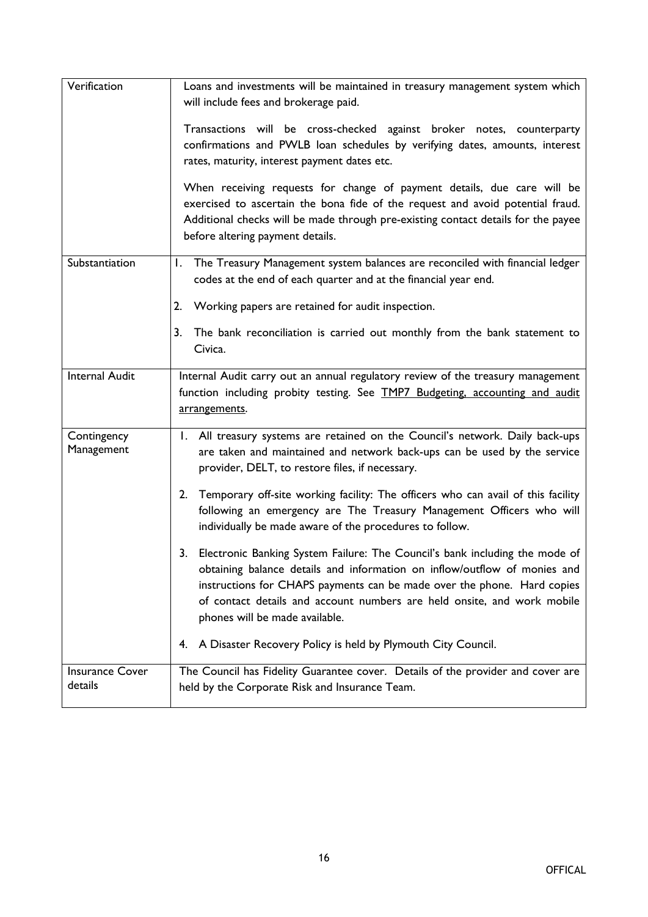| Verification                      | Loans and investments will be maintained in treasury management system which<br>will include fees and brokerage paid.<br>Transactions will be cross-checked against broker notes, counterparty<br>confirmations and PWLB loan schedules by verifying dates, amounts, interest<br>rates, maturity, interest payment dates etc.<br>When receiving requests for change of payment details, due care will be<br>exercised to ascertain the bona fide of the request and avoid potential fraud.<br>Additional checks will be made through pre-existing contact details for the payee<br>before altering payment details.                                                                                                                                                                                                                                                 |
|-----------------------------------|---------------------------------------------------------------------------------------------------------------------------------------------------------------------------------------------------------------------------------------------------------------------------------------------------------------------------------------------------------------------------------------------------------------------------------------------------------------------------------------------------------------------------------------------------------------------------------------------------------------------------------------------------------------------------------------------------------------------------------------------------------------------------------------------------------------------------------------------------------------------|
| Substantiation                    | The Treasury Management system balances are reconciled with financial ledger<br>Ι.<br>codes at the end of each quarter and at the financial year end.<br>2.<br>Working papers are retained for audit inspection.<br>3.<br>The bank reconciliation is carried out monthly from the bank statement to<br>Civica.                                                                                                                                                                                                                                                                                                                                                                                                                                                                                                                                                      |
| Internal Audit                    | Internal Audit carry out an annual regulatory review of the treasury management<br>function including probity testing. See TMP7 Budgeting, accounting and audit<br>arrangements.                                                                                                                                                                                                                                                                                                                                                                                                                                                                                                                                                                                                                                                                                    |
| Contingency<br>Management         | 1. All treasury systems are retained on the Council's network. Daily back-ups<br>are taken and maintained and network back-ups can be used by the service<br>provider, DELT, to restore files, if necessary.<br>2. Temporary off-site working facility: The officers who can avail of this facility<br>following an emergency are The Treasury Management Officers who will<br>individually be made aware of the procedures to follow.<br>3. Electronic Banking System Failure: The Council's bank including the mode of<br>obtaining balance details and information on inflow/outflow of monies and<br>instructions for CHAPS payments can be made over the phone. Hard copies<br>of contact details and account numbers are held onsite, and work mobile<br>phones will be made available.<br>A Disaster Recovery Policy is held by Plymouth City Council.<br>4. |
| <b>Insurance Cover</b><br>details | The Council has Fidelity Guarantee cover. Details of the provider and cover are<br>held by the Corporate Risk and Insurance Team.                                                                                                                                                                                                                                                                                                                                                                                                                                                                                                                                                                                                                                                                                                                                   |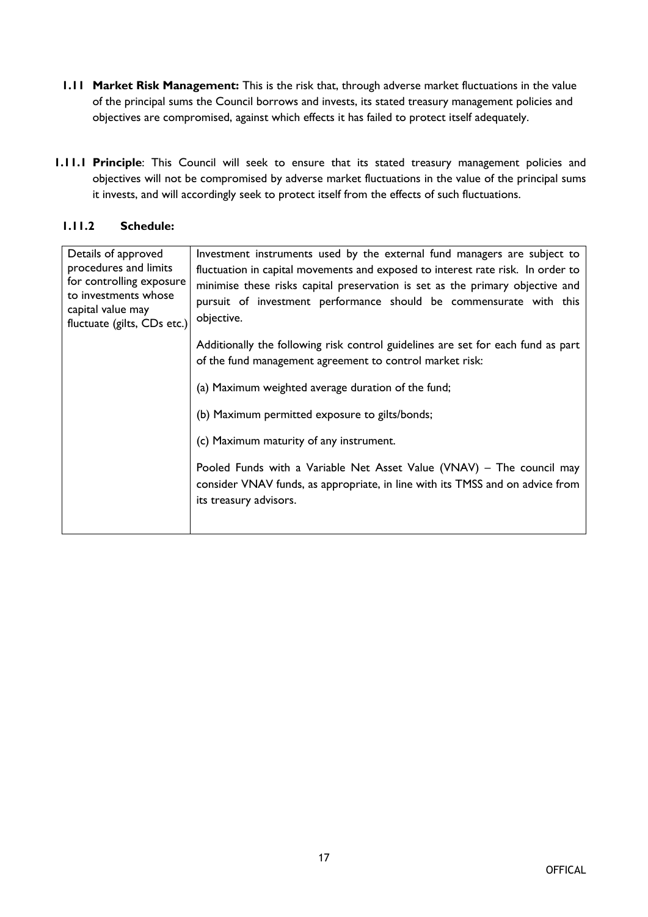- **1.11 Market Risk Management:** This is the risk that, through adverse market fluctuations in the value of the principal sums the Council borrows and invests, its stated treasury management policies and objectives are compromised, against which effects it has failed to protect itself adequately.
- **1.11.1 Principle**: This Council will seek to ensure that its stated treasury management policies and objectives will not be compromised by adverse market fluctuations in the value of the principal sums it invests, and will accordingly seek to protect itself from the effects of such fluctuations.

## **1.11.2 Schedule:**

| Details of approved<br>procedures and limits<br>for controlling exposure<br>to investments whose<br>capital value may<br>fluctuate (gilts, CDs etc.) | Investment instruments used by the external fund managers are subject to<br>fluctuation in capital movements and exposed to interest rate risk. In order to<br>minimise these risks capital preservation is set as the primary objective and<br>pursuit of investment performance should be commensurate with this<br>objective. |
|------------------------------------------------------------------------------------------------------------------------------------------------------|----------------------------------------------------------------------------------------------------------------------------------------------------------------------------------------------------------------------------------------------------------------------------------------------------------------------------------|
|                                                                                                                                                      | Additionally the following risk control guidelines are set for each fund as part<br>of the fund management agreement to control market risk:                                                                                                                                                                                     |
|                                                                                                                                                      | (a) Maximum weighted average duration of the fund;                                                                                                                                                                                                                                                                               |
|                                                                                                                                                      | (b) Maximum permitted exposure to gilts/bonds;                                                                                                                                                                                                                                                                                   |
|                                                                                                                                                      | (c) Maximum maturity of any instrument.                                                                                                                                                                                                                                                                                          |
|                                                                                                                                                      | Pooled Funds with a Variable Net Asset Value (VNAV) – The council may<br>consider VNAV funds, as appropriate, in line with its TMSS and on advice from<br>its treasury advisors.                                                                                                                                                 |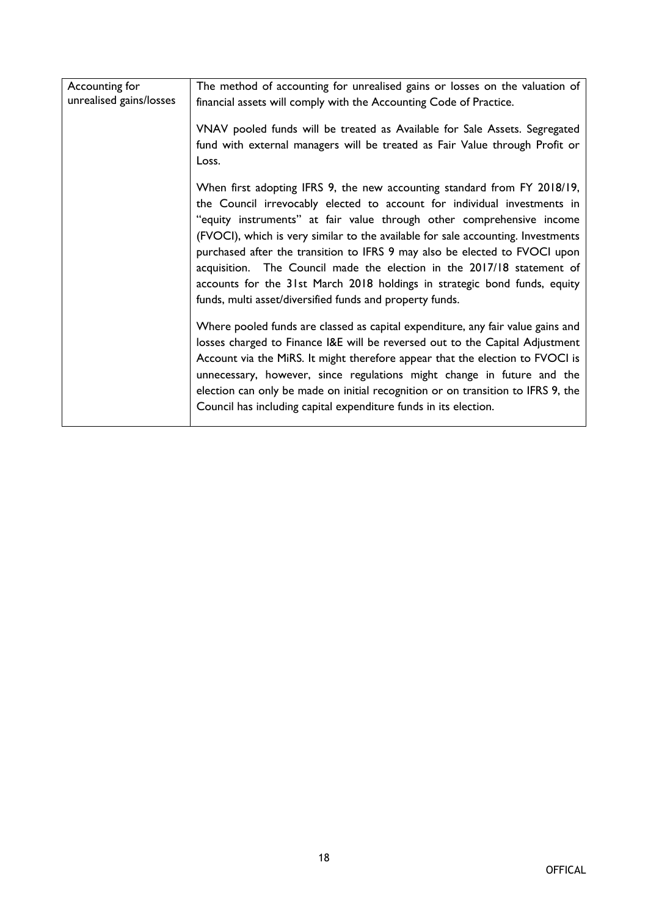| Accounting for          | The method of accounting for unrealised gains or losses on the valuation of                                                                               |
|-------------------------|-----------------------------------------------------------------------------------------------------------------------------------------------------------|
| unrealised gains/losses | financial assets will comply with the Accounting Code of Practice.                                                                                        |
|                         | VNAV pooled funds will be treated as Available for Sale Assets. Segregated                                                                                |
|                         | fund with external managers will be treated as Fair Value through Profit or<br>Loss.                                                                      |
|                         | When first adopting IFRS 9, the new accounting standard from FY 2018/19,                                                                                  |
|                         | the Council irrevocably elected to account for individual investments in                                                                                  |
|                         | "equity instruments" at fair value through other comprehensive income<br>(FVOCI), which is very similar to the available for sale accounting. Investments |
|                         | purchased after the transition to IFRS 9 may also be elected to FVOCI upon                                                                                |
|                         | acquisition. The Council made the election in the 2017/18 statement of                                                                                    |
|                         | accounts for the 31st March 2018 holdings in strategic bond funds, equity                                                                                 |
|                         | funds, multi asset/diversified funds and property funds.                                                                                                  |
|                         | Where pooled funds are classed as capital expenditure, any fair value gains and                                                                           |
|                         | losses charged to Finance I&E will be reversed out to the Capital Adjustment                                                                              |
|                         | Account via the MiRS. It might therefore appear that the election to FVOCI is<br>unnecessary, however, since regulations might change in future and the   |
|                         | election can only be made on initial recognition or on transition to IFRS 9, the                                                                          |
|                         | Council has including capital expenditure funds in its election.                                                                                          |
|                         |                                                                                                                                                           |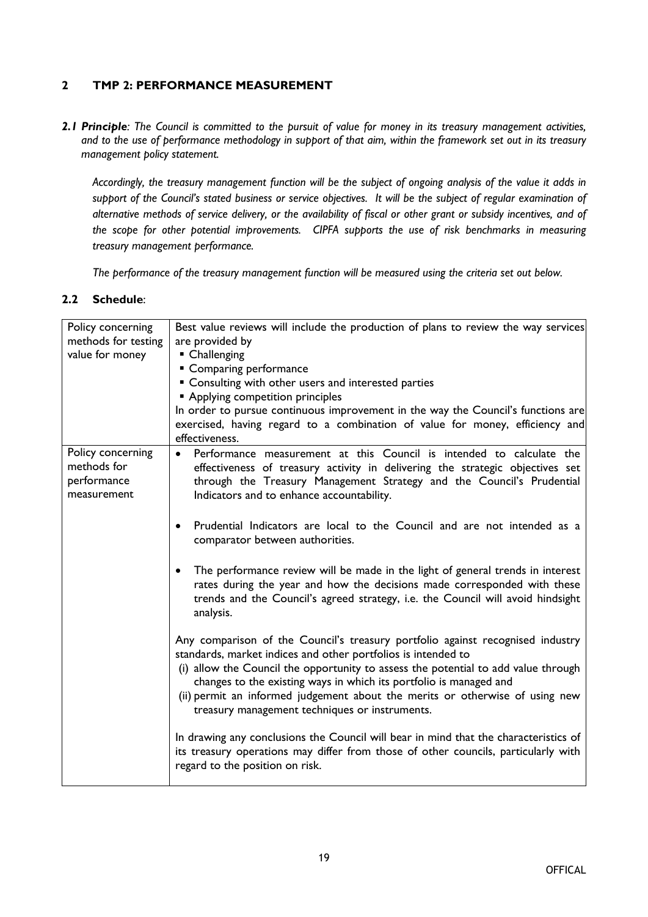### **2 TMP 2: PERFORMANCE MEASUREMENT**

2.1 Principle: The Council is committed to the pursuit of value for money in its treasury management activities, and to the use of performance methodology in support of that aim, within the framework set out in its treasury *management policy statement.*

Accordingly, the treasury management function will be the subject of ongoing analysis of the value it adds in support of the Council's stated business or service objectives. It will be the subject of regular examination of alternative methods of service delivery, or the availability of fiscal or other grant or subsidy incentives, and of *the scope for other potential improvements. CIPFA supports the use of risk benchmarks in measuring treasury management performance.*

*The performance of the treasury management function will be measured using the criteria set out below.*

| Policy concerning<br>methods for testing<br>value for money    | Best value reviews will include the production of plans to review the way services<br>are provided by<br>• Challenging<br>• Comparing performance<br>" Consulting with other users and interested parties<br><b>Applying competition principles</b><br>In order to pursue continuous improvement in the way the Council's functions are<br>exercised, having regard to a combination of value for money, efficiency and<br>effectiveness.                                                                                                                                                                                                                                                                                                                                                                                                                                                                                                                                                                                                                                                                                                                                                                                                                                                                                                                         |
|----------------------------------------------------------------|-------------------------------------------------------------------------------------------------------------------------------------------------------------------------------------------------------------------------------------------------------------------------------------------------------------------------------------------------------------------------------------------------------------------------------------------------------------------------------------------------------------------------------------------------------------------------------------------------------------------------------------------------------------------------------------------------------------------------------------------------------------------------------------------------------------------------------------------------------------------------------------------------------------------------------------------------------------------------------------------------------------------------------------------------------------------------------------------------------------------------------------------------------------------------------------------------------------------------------------------------------------------------------------------------------------------------------------------------------------------|
| Policy concerning<br>methods for<br>performance<br>measurement | Performance measurement at this Council is intended to calculate the<br>$\bullet$<br>effectiveness of treasury activity in delivering the strategic objectives set<br>through the Treasury Management Strategy and the Council's Prudential<br>Indicators and to enhance accountability.<br>Prudential Indicators are local to the Council and are not intended as a<br>$\bullet$<br>comparator between authorities.<br>The performance review will be made in the light of general trends in interest<br>$\bullet$<br>rates during the year and how the decisions made corresponded with these<br>trends and the Council's agreed strategy, i.e. the Council will avoid hindsight<br>analysis.<br>Any comparison of the Council's treasury portfolio against recognised industry<br>standards, market indices and other portfolios is intended to<br>(i) allow the Council the opportunity to assess the potential to add value through<br>changes to the existing ways in which its portfolio is managed and<br>(ii) permit an informed judgement about the merits or otherwise of using new<br>treasury management techniques or instruments.<br>In drawing any conclusions the Council will bear in mind that the characteristics of<br>its treasury operations may differ from those of other councils, particularly with<br>regard to the position on risk. |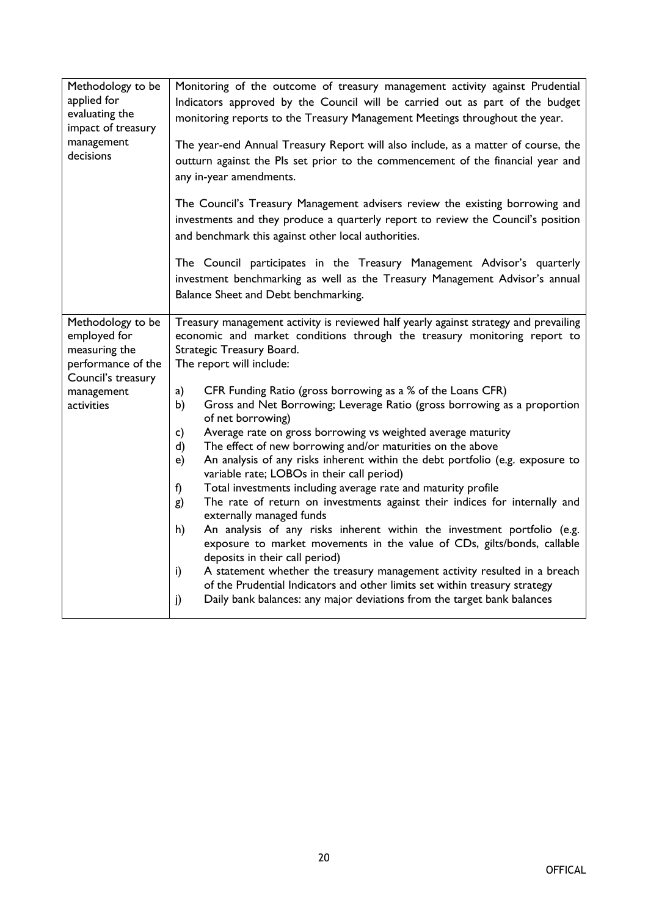| Methodology to be<br>applied for<br>evaluating the<br>impact of treasury<br>management<br>decisions                        | Monitoring of the outcome of treasury management activity against Prudential<br>Indicators approved by the Council will be carried out as part of the budget<br>monitoring reports to the Treasury Management Meetings throughout the year.<br>The year-end Annual Treasury Report will also include, as a matter of course, the<br>outturn against the Pls set prior to the commencement of the financial year and<br>any in-year amendments.<br>The Council's Treasury Management advisers review the existing borrowing and<br>investments and they produce a quarterly report to review the Council's position<br>and benchmark this against other local authorities.<br>The Council participates in the Treasury Management Advisor's quarterly<br>investment benchmarking as well as the Treasury Management Advisor's annual<br>Balance Sheet and Debt benchmarking.                                                                                                                                                                                                                                                                                                                                                                                                                                                 |
|----------------------------------------------------------------------------------------------------------------------------|-----------------------------------------------------------------------------------------------------------------------------------------------------------------------------------------------------------------------------------------------------------------------------------------------------------------------------------------------------------------------------------------------------------------------------------------------------------------------------------------------------------------------------------------------------------------------------------------------------------------------------------------------------------------------------------------------------------------------------------------------------------------------------------------------------------------------------------------------------------------------------------------------------------------------------------------------------------------------------------------------------------------------------------------------------------------------------------------------------------------------------------------------------------------------------------------------------------------------------------------------------------------------------------------------------------------------------|
| Methodology to be<br>employed for<br>measuring the<br>performance of the<br>Council's treasury<br>management<br>activities | Treasury management activity is reviewed half yearly against strategy and prevailing<br>economic and market conditions through the treasury monitoring report to<br>Strategic Treasury Board.<br>The report will include:<br>CFR Funding Ratio (gross borrowing as a % of the Loans CFR)<br>a)<br>Gross and Net Borrowing; Leverage Ratio (gross borrowing as a proportion<br>b)<br>of net borrowing)<br>Average rate on gross borrowing vs weighted average maturity<br>c)<br>The effect of new borrowing and/or maturities on the above<br>d)<br>An analysis of any risks inherent within the debt portfolio (e.g. exposure to<br>e)<br>variable rate; LOBOs in their call period)<br>Total investments including average rate and maturity profile<br>f)<br>The rate of return on investments against their indices for internally and<br>g)<br>externally managed funds<br>An analysis of any risks inherent within the investment portfolio (e.g.<br>h)<br>exposure to market movements in the value of CDs, gilts/bonds, callable<br>deposits in their call period)<br>A statement whether the treasury management activity resulted in a breach<br>i)<br>of the Prudential Indicators and other limits set within treasury strategy<br>Daily bank balances: any major deviations from the target bank balances<br>j) |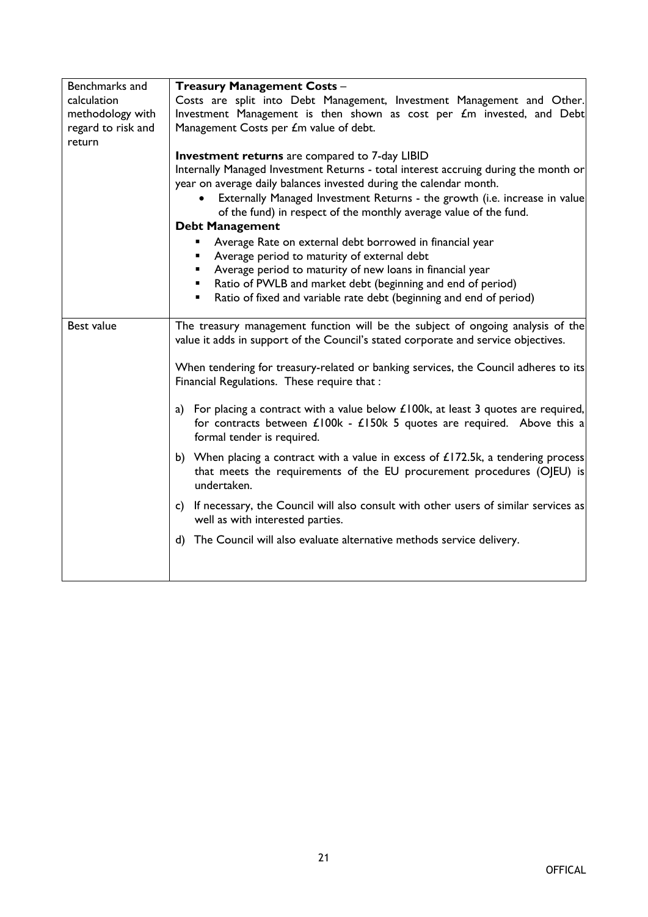| Benchmarks and     | <b>Treasury Management Costs -</b>                                                                                                                                                              |
|--------------------|-------------------------------------------------------------------------------------------------------------------------------------------------------------------------------------------------|
| calculation        | Costs are split into Debt Management, Investment Management and Other.                                                                                                                          |
| methodology with   | Investment Management is then shown as cost per £m invested, and Debt                                                                                                                           |
| regard to risk and | Management Costs per £m value of debt.                                                                                                                                                          |
| return             | <b>Investment returns</b> are compared to 7-day LIBID                                                                                                                                           |
|                    | Internally Managed Investment Returns - total interest accruing during the month or                                                                                                             |
|                    | year on average daily balances invested during the calendar month.                                                                                                                              |
|                    | Externally Managed Investment Returns - the growth (i.e. increase in value                                                                                                                      |
|                    | of the fund) in respect of the monthly average value of the fund.                                                                                                                               |
|                    | <b>Debt Management</b>                                                                                                                                                                          |
|                    | Average Rate on external debt borrowed in financial year<br>٠                                                                                                                                   |
|                    | Average period to maturity of external debt<br>٠                                                                                                                                                |
|                    | Average period to maturity of new loans in financial year<br>$\blacksquare$                                                                                                                     |
|                    | Ratio of PWLB and market debt (beginning and end of period)<br>$\blacksquare$<br>Ratio of fixed and variable rate debt (beginning and end of period)<br>٠                                       |
|                    |                                                                                                                                                                                                 |
| Best value         | The treasury management function will be the subject of ongoing analysis of the<br>value it adds in support of the Council's stated corporate and service objectives.                           |
|                    | When tendering for treasury-related or banking services, the Council adheres to its<br>Financial Regulations. These require that:                                                               |
|                    | a) For placing a contract with a value below $£100k$ , at least 3 quotes are required,<br>for contracts between £100k - £150k 5 quotes are required. Above this a<br>formal tender is required. |
|                    | b) When placing a contract with a value in excess of $£172.5k$ , a tendering process                                                                                                            |
|                    | that meets the requirements of the EU procurement procedures (OJEU) is<br>undertaken.                                                                                                           |
|                    | If necessary, the Council will also consult with other users of similar services as<br>c)<br>well as with interested parties.                                                                   |
|                    | d) The Council will also evaluate alternative methods service delivery.                                                                                                                         |
|                    |                                                                                                                                                                                                 |
|                    |                                                                                                                                                                                                 |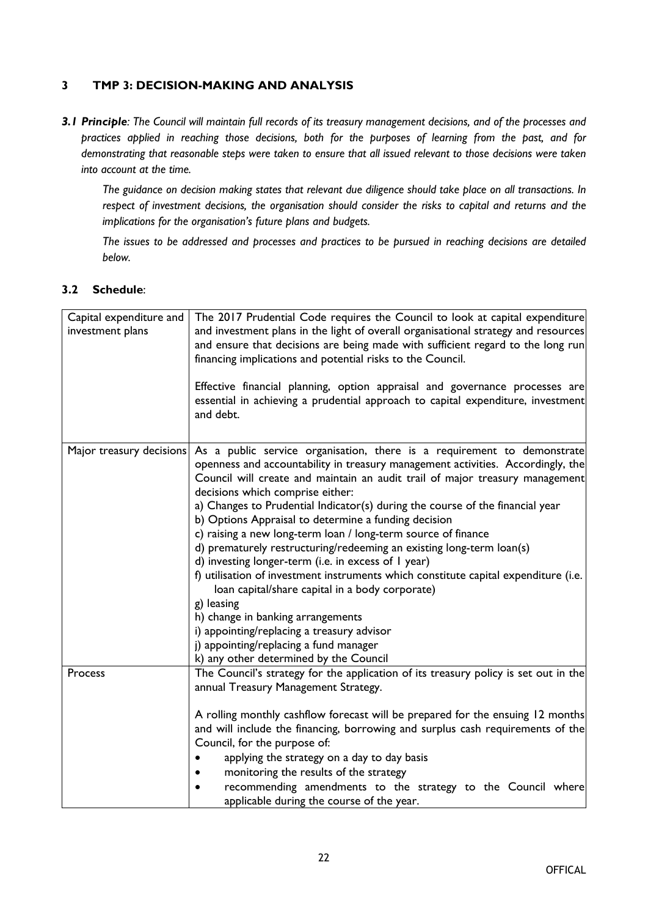# **3 TMP 3: DECISION-MAKING AND ANALYSIS**

3.1 Principle: The Council will maintain full records of its treasury management decisions, and of the processes and *practices applied in reaching those decisions, both for the purposes of learning from the past, and for* demonstrating that reasonable steps were taken to ensure that all issued relevant to those decisions were taken *into account at the time.*

The guidance on decision making states that relevant due diligence should take place on all transactions. In *respect of investment decisions, the organisation should consider the risks to capital and returns and the implications for the organisation's future plans and budgets.*

*The issues to be addressed and processes and practices to be pursued in reaching decisions are detailed below.*

| Capital expenditure and<br>investment plans | The 2017 Prudential Code requires the Council to look at capital expenditure<br>and investment plans in the light of overall organisational strategy and resources<br>and ensure that decisions are being made with sufficient regard to the long run<br>financing implications and potential risks to the Council.                                                                                                                                                                                                                                                                                                                                                                                                                                                                                                                                                                                          |
|---------------------------------------------|--------------------------------------------------------------------------------------------------------------------------------------------------------------------------------------------------------------------------------------------------------------------------------------------------------------------------------------------------------------------------------------------------------------------------------------------------------------------------------------------------------------------------------------------------------------------------------------------------------------------------------------------------------------------------------------------------------------------------------------------------------------------------------------------------------------------------------------------------------------------------------------------------------------|
|                                             | Effective financial planning, option appraisal and governance processes are<br>essential in achieving a prudential approach to capital expenditure, investment<br>and debt.                                                                                                                                                                                                                                                                                                                                                                                                                                                                                                                                                                                                                                                                                                                                  |
| Major treasury decisions                    | As a public service organisation, there is a requirement to demonstrate<br>openness and accountability in treasury management activities. Accordingly, the<br>Council will create and maintain an audit trail of major treasury management<br>decisions which comprise either:<br>a) Changes to Prudential Indicator(s) during the course of the financial year<br>b) Options Appraisal to determine a funding decision<br>c) raising a new long-term loan / long-term source of finance<br>d) prematurely restructuring/redeeming an existing long-term loan(s)<br>d) investing longer-term (i.e. in excess of I year)<br>f) utilisation of investment instruments which constitute capital expenditure (i.e.<br>loan capital/share capital in a body corporate)<br>g) leasing<br>h) change in banking arrangements<br>i) appointing/replacing a treasury advisor<br>j) appointing/replacing a fund manager |
|                                             | k) any other determined by the Council                                                                                                                                                                                                                                                                                                                                                                                                                                                                                                                                                                                                                                                                                                                                                                                                                                                                       |
| Process                                     | The Council's strategy for the application of its treasury policy is set out in the<br>annual Treasury Management Strategy.                                                                                                                                                                                                                                                                                                                                                                                                                                                                                                                                                                                                                                                                                                                                                                                  |
|                                             | A rolling monthly cashflow forecast will be prepared for the ensuing 12 months<br>and will include the financing, borrowing and surplus cash requirements of the<br>Council, for the purpose of:                                                                                                                                                                                                                                                                                                                                                                                                                                                                                                                                                                                                                                                                                                             |
|                                             | applying the strategy on a day to day basis                                                                                                                                                                                                                                                                                                                                                                                                                                                                                                                                                                                                                                                                                                                                                                                                                                                                  |
|                                             | monitoring the results of the strategy                                                                                                                                                                                                                                                                                                                                                                                                                                                                                                                                                                                                                                                                                                                                                                                                                                                                       |
|                                             | recommending amendments to the strategy to the Council where<br>applicable during the course of the year.                                                                                                                                                                                                                                                                                                                                                                                                                                                                                                                                                                                                                                                                                                                                                                                                    |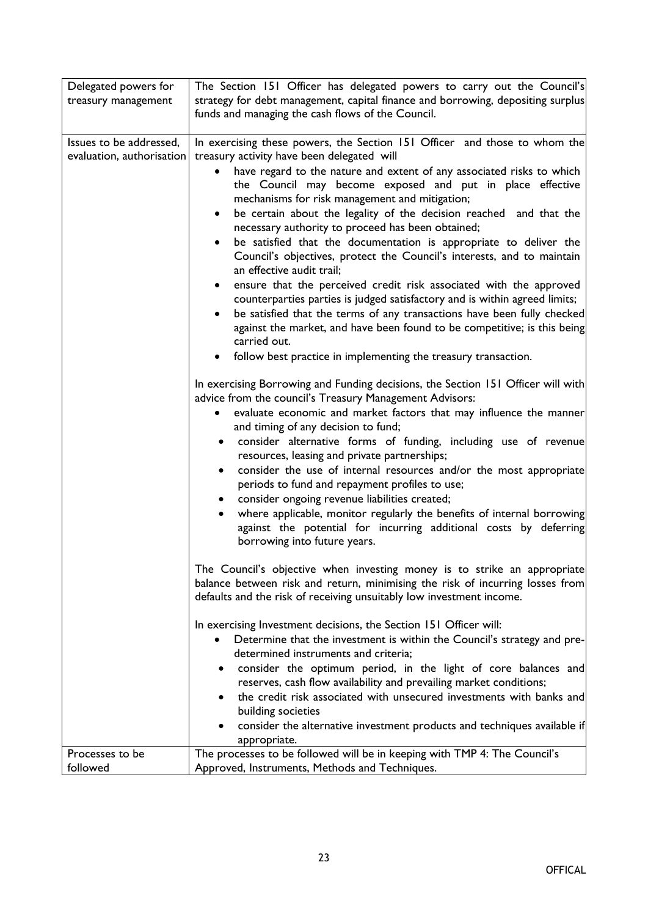| Delegated powers for                                 | The Section 151 Officer has delegated powers to carry out the Council's                                                                                  |
|------------------------------------------------------|----------------------------------------------------------------------------------------------------------------------------------------------------------|
| treasury management                                  | strategy for debt management, capital finance and borrowing, depositing surplus                                                                          |
|                                                      | funds and managing the cash flows of the Council.                                                                                                        |
|                                                      |                                                                                                                                                          |
| Issues to be addressed,<br>evaluation, authorisation | In exercising these powers, the Section 151 Officer and those to whom the<br>treasury activity have been delegated will                                  |
|                                                      | have regard to the nature and extent of any associated risks to which<br>٠                                                                               |
|                                                      | the Council may become exposed and put in place effective                                                                                                |
|                                                      | mechanisms for risk management and mitigation;                                                                                                           |
|                                                      | be certain about the legality of the decision reached and that the<br>٠                                                                                  |
|                                                      | necessary authority to proceed has been obtained;                                                                                                        |
|                                                      | be satisfied that the documentation is appropriate to deliver the<br>$\bullet$                                                                           |
|                                                      | Council's objectives, protect the Council's interests, and to maintain                                                                                   |
|                                                      | an effective audit trail;                                                                                                                                |
|                                                      | ensure that the perceived credit risk associated with the approved                                                                                       |
|                                                      | counterparties parties is judged satisfactory and is within agreed limits;                                                                               |
|                                                      | be satisfied that the terms of any transactions have been fully checked<br>٠<br>against the market, and have been found to be competitive; is this being |
|                                                      | carried out.                                                                                                                                             |
|                                                      | follow best practice in implementing the treasury transaction.                                                                                           |
|                                                      |                                                                                                                                                          |
|                                                      | In exercising Borrowing and Funding decisions, the Section 151 Officer will with                                                                         |
|                                                      | advice from the council's Treasury Management Advisors:                                                                                                  |
|                                                      | evaluate economic and market factors that may influence the manner                                                                                       |
|                                                      | and timing of any decision to fund;                                                                                                                      |
|                                                      | consider alternative forms of funding, including use of revenue<br>$\bullet$<br>resources, leasing and private partnerships;                             |
|                                                      | consider the use of internal resources and/or the most appropriate<br>٠                                                                                  |
|                                                      | periods to fund and repayment profiles to use;                                                                                                           |
|                                                      | consider ongoing revenue liabilities created;                                                                                                            |
|                                                      | where applicable, monitor regularly the benefits of internal borrowing<br>$\bullet$                                                                      |
|                                                      | against the potential for incurring additional costs by deferring                                                                                        |
|                                                      | borrowing into future years.                                                                                                                             |
|                                                      | The Council's objective when investing money is to strike an appropriate                                                                                 |
|                                                      | balance between risk and return, minimising the risk of incurring losses from                                                                            |
|                                                      | defaults and the risk of receiving unsuitably low investment income.                                                                                     |
|                                                      | In exercising Investment decisions, the Section 151 Officer will:                                                                                        |
|                                                      | Determine that the investment is within the Council's strategy and pre-                                                                                  |
|                                                      | determined instruments and criteria;                                                                                                                     |
|                                                      | consider the optimum period, in the light of core balances and<br>٠                                                                                      |
|                                                      | reserves, cash flow availability and prevailing market conditions;                                                                                       |
|                                                      | the credit risk associated with unsecured investments with banks and                                                                                     |
|                                                      | building societies                                                                                                                                       |
|                                                      | consider the alternative investment products and techniques available if                                                                                 |
| Processes to be                                      | appropriate.<br>The processes to be followed will be in keeping with TMP 4: The Council's                                                                |
| followed                                             | Approved, Instruments, Methods and Techniques.                                                                                                           |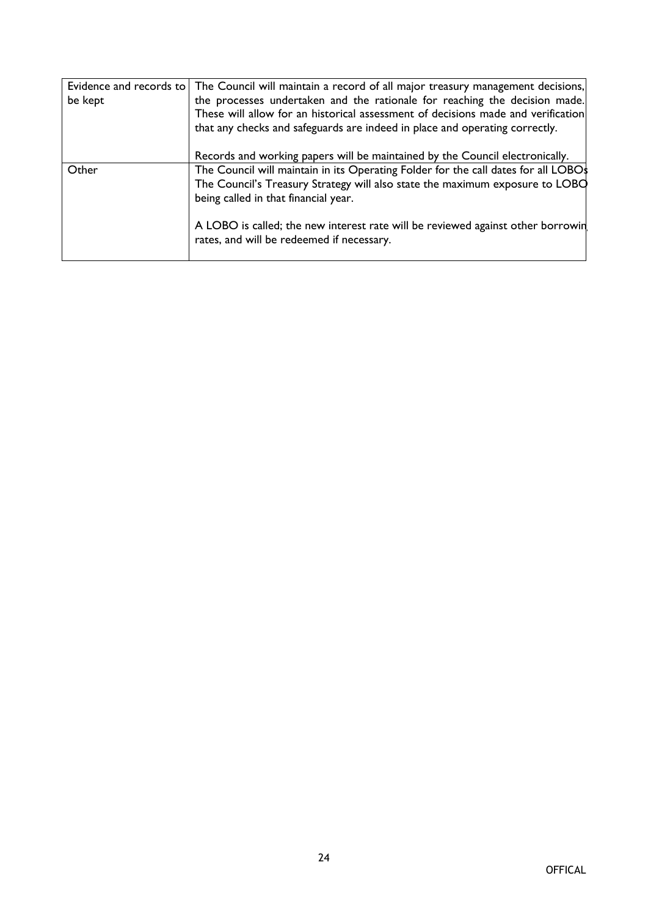| be kept | Evidence and records to The Council will maintain a record of all major treasury management decisions,<br>the processes undertaken and the rationale for reaching the decision made.<br>These will allow for an historical assessment of decisions made and verification<br>that any checks and safeguards are indeed in place and operating correctly. |
|---------|---------------------------------------------------------------------------------------------------------------------------------------------------------------------------------------------------------------------------------------------------------------------------------------------------------------------------------------------------------|
| Other   | Records and working papers will be maintained by the Council electronically.<br>The Council will maintain in its Operating Folder for the call dates for all LOBOs<br>The Council's Treasury Strategy will also state the maximum exposure to LOBO<br>being called in that financial year.                                                              |
|         | A LOBO is called; the new interest rate will be reviewed against other borrowin<br>rates, and will be redeemed if necessary.                                                                                                                                                                                                                            |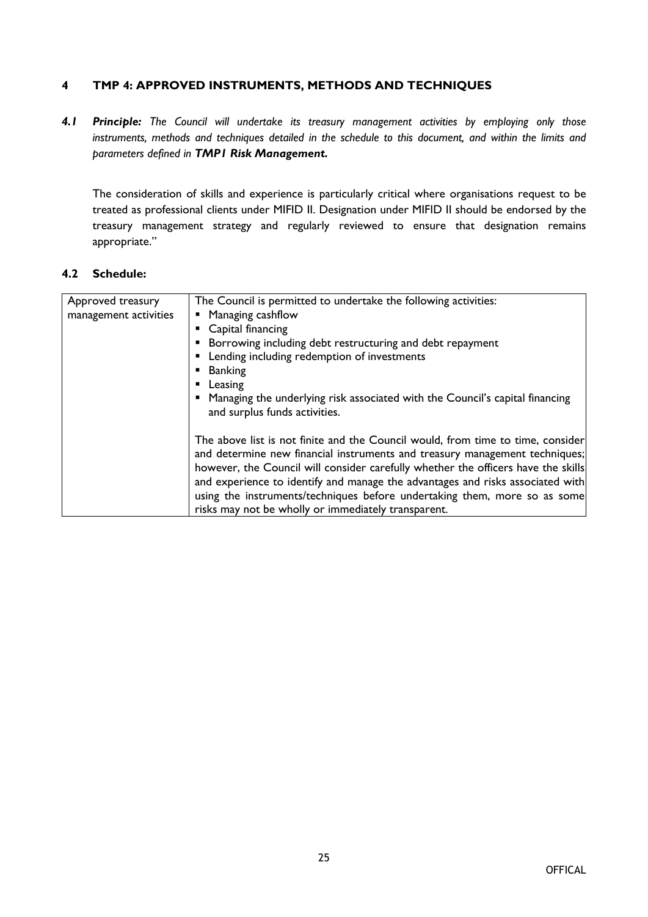#### **4 TMP 4: APPROVED INSTRUMENTS, METHODS AND TECHNIQUES**

*4.1 Principle: The Council will undertake its treasury management activities by employing only those instruments, methods and techniques detailed in the schedule to this document, and within the limits and parameters defined in TMP1 Risk Management.*

The consideration of skills and experience is particularly critical where organisations request to be treated as professional clients under MIFID II. Designation under MIFID II should be endorsed by the treasury management strategy and regularly reviewed to ensure that designation remains appropriate."

| Approved treasury     | The Council is permitted to undertake the following activities:                                                                                                                                                                                                                                                                                                                                                                                                           |
|-----------------------|---------------------------------------------------------------------------------------------------------------------------------------------------------------------------------------------------------------------------------------------------------------------------------------------------------------------------------------------------------------------------------------------------------------------------------------------------------------------------|
| management activities | • Managing cashflow                                                                                                                                                                                                                                                                                                                                                                                                                                                       |
|                       | • Capital financing                                                                                                                                                                                                                                                                                                                                                                                                                                                       |
|                       | • Borrowing including debt restructuring and debt repayment                                                                                                                                                                                                                                                                                                                                                                                                               |
|                       | • Lending including redemption of investments                                                                                                                                                                                                                                                                                                                                                                                                                             |
|                       | Banking                                                                                                                                                                                                                                                                                                                                                                                                                                                                   |
|                       | • Leasing                                                                                                                                                                                                                                                                                                                                                                                                                                                                 |
|                       | • Managing the underlying risk associated with the Council's capital financing<br>and surplus funds activities.                                                                                                                                                                                                                                                                                                                                                           |
|                       | The above list is not finite and the Council would, from time to time, consider<br>and determine new financial instruments and treasury management techniques;<br>however, the Council will consider carefully whether the officers have the skills<br>and experience to identify and manage the advantages and risks associated with<br>using the instruments/techniques before undertaking them, more so as some<br>risks may not be wholly or immediately transparent. |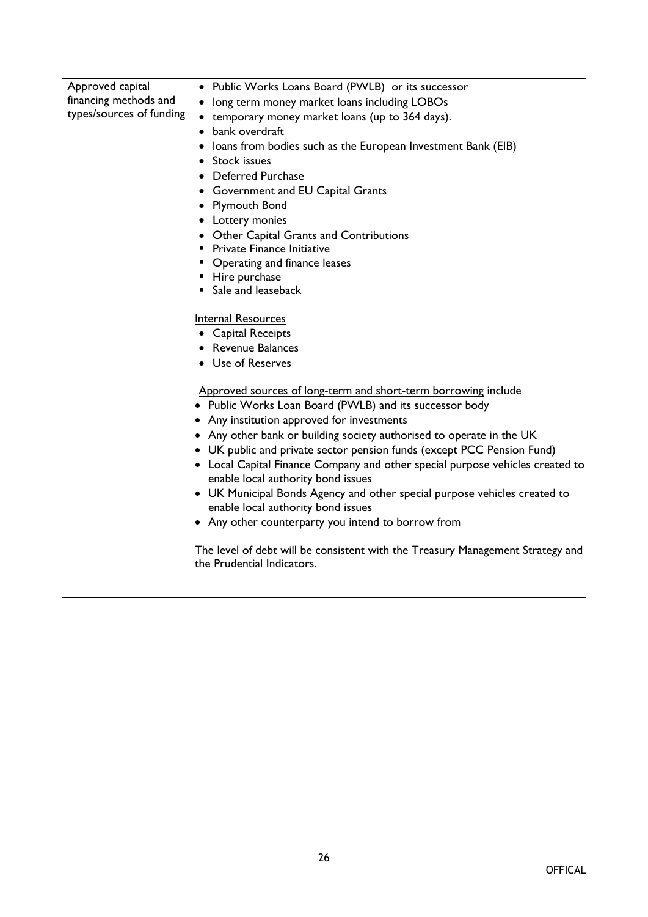| Approved capital         | • Public Works Loans Board (PWLB) or its successor                                                                  |
|--------------------------|---------------------------------------------------------------------------------------------------------------------|
| financing methods and    | • long term money market loans including LOBOs                                                                      |
| types/sources of funding | • temporary money market loans (up to 364 days).                                                                    |
|                          | bank overdraft<br>$\bullet$                                                                                         |
|                          | loans from bodies such as the European Investment Bank (EIB)                                                        |
|                          | Stock issues                                                                                                        |
|                          | Deferred Purchase                                                                                                   |
|                          | • Government and EU Capital Grants                                                                                  |
|                          | • Plymouth Bond                                                                                                     |
|                          | • Lottery monies                                                                                                    |
|                          | • Other Capital Grants and Contributions                                                                            |
|                          | Private Finance Initiative                                                                                          |
|                          | • Operating and finance leases                                                                                      |
|                          | ■ Hire purchase                                                                                                     |
|                          | Sale and leaseback                                                                                                  |
|                          | Internal Resources                                                                                                  |
|                          | • Capital Receipts                                                                                                  |
|                          | <b>Revenue Balances</b>                                                                                             |
|                          | Use of Reserves                                                                                                     |
|                          |                                                                                                                     |
|                          | Approved sources of long-term and short-term borrowing include                                                      |
|                          | • Public Works Loan Board (PWLB) and its successor body                                                             |
|                          | • Any institution approved for investments                                                                          |
|                          | • Any other bank or building society authorised to operate in the UK                                                |
|                          | • UK public and private sector pension funds (except PCC Pension Fund)                                              |
|                          | • Local Capital Finance Company and other special purpose vehicles created to<br>enable local authority bond issues |
|                          | • UK Municipal Bonds Agency and other special purpose vehicles created to                                           |
|                          | enable local authority bond issues                                                                                  |
|                          | • Any other counterparty you intend to borrow from                                                                  |
|                          | The level of debt will be consistent with the Treasury Management Strategy and                                      |
|                          | the Prudential Indicators.                                                                                          |
|                          |                                                                                                                     |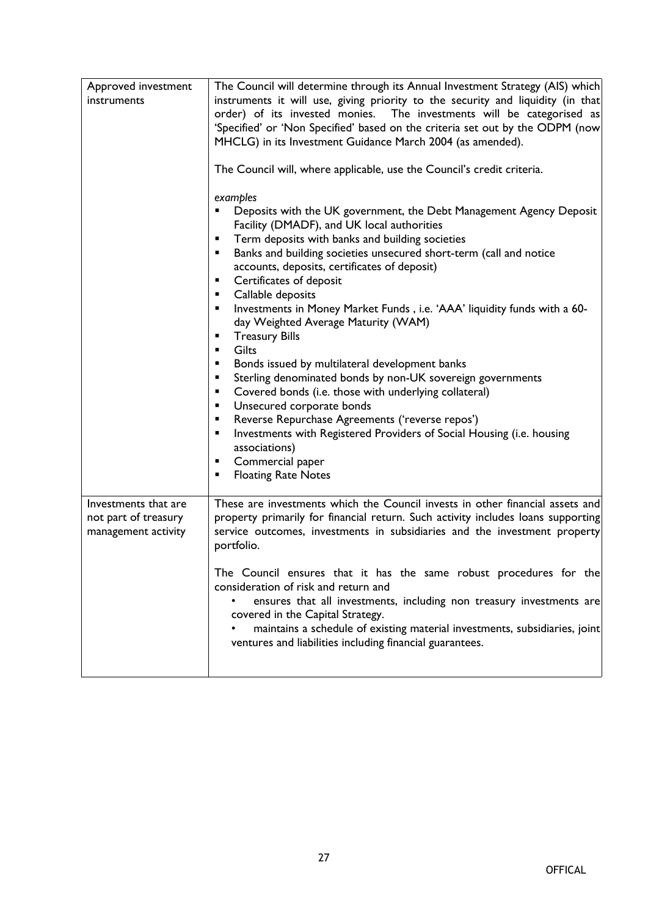| Approved investment                                                 | The Council will determine through its Annual Investment Strategy (AIS) which                                                                                                                                                                                                                                                                                                                                                                                                                                                                                                                                                                                                                                                                                                                                                                                                                                                                                                               |
|---------------------------------------------------------------------|---------------------------------------------------------------------------------------------------------------------------------------------------------------------------------------------------------------------------------------------------------------------------------------------------------------------------------------------------------------------------------------------------------------------------------------------------------------------------------------------------------------------------------------------------------------------------------------------------------------------------------------------------------------------------------------------------------------------------------------------------------------------------------------------------------------------------------------------------------------------------------------------------------------------------------------------------------------------------------------------|
| instruments                                                         | instruments it will use, giving priority to the security and liquidity (in that<br>order) of its invested monies. The investments will be categorised as<br>'Specified' or 'Non Specified' based on the criteria set out by the ODPM (now<br>MHCLG) in its Investment Guidance March 2004 (as amended).                                                                                                                                                                                                                                                                                                                                                                                                                                                                                                                                                                                                                                                                                     |
|                                                                     | The Council will, where applicable, use the Council's credit criteria.                                                                                                                                                                                                                                                                                                                                                                                                                                                                                                                                                                                                                                                                                                                                                                                                                                                                                                                      |
|                                                                     | examples<br>Deposits with the UK government, the Debt Management Agency Deposit<br>Facility (DMADF), and UK local authorities<br>Term deposits with banks and building societies<br>п<br>Banks and building societies unsecured short-term (call and notice<br>п<br>accounts, deposits, certificates of deposit)<br>Certificates of deposit<br>٠<br>Callable deposits<br>٠<br>Investments in Money Market Funds, i.e. 'AAA' liquidity funds with a 60-<br>٠<br>day Weighted Average Maturity (WAM)<br><b>Treasury Bills</b><br>٠<br>Gilts<br>٠<br>Bonds issued by multilateral development banks<br>٠<br>Sterling denominated bonds by non-UK sovereign governments<br>п<br>Covered bonds (i.e. those with underlying collateral)<br>٠<br>Unsecured corporate bonds<br>٠<br>Reverse Repurchase Agreements ('reverse repos')<br>٠<br>Investments with Registered Providers of Social Housing (i.e. housing<br>٠<br>associations)<br>Commercial paper<br>٠<br><b>Floating Rate Notes</b><br>п |
| Investments that are<br>not part of treasury<br>management activity | These are investments which the Council invests in other financial assets and<br>property primarily for financial return. Such activity includes loans supporting<br>service outcomes, investments in subsidiaries and the investment property<br>portfolio.                                                                                                                                                                                                                                                                                                                                                                                                                                                                                                                                                                                                                                                                                                                                |
|                                                                     | The Council ensures that it has the same robust procedures for the<br>consideration of risk and return and<br>ensures that all investments, including non treasury investments are<br>covered in the Capital Strategy.<br>maintains a schedule of existing material investments, subsidiaries, joint<br>ventures and liabilities including financial guarantees.                                                                                                                                                                                                                                                                                                                                                                                                                                                                                                                                                                                                                            |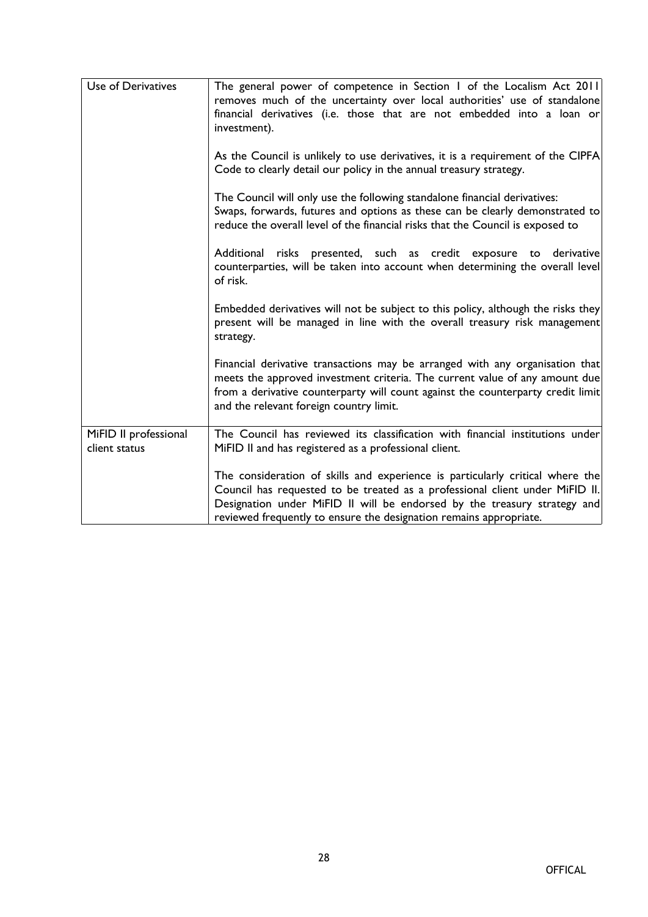| Use of Derivatives                     | The general power of competence in Section 1 of the Localism Act 2011<br>removes much of the uncertainty over local authorities' use of standalone<br>financial derivatives (i.e. those that are not embedded into a loan or<br>investment).                                                                    |
|----------------------------------------|-----------------------------------------------------------------------------------------------------------------------------------------------------------------------------------------------------------------------------------------------------------------------------------------------------------------|
|                                        | As the Council is unlikely to use derivatives, it is a requirement of the CIPFA<br>Code to clearly detail our policy in the annual treasury strategy.                                                                                                                                                           |
|                                        | The Council will only use the following standalone financial derivatives:<br>Swaps, forwards, futures and options as these can be clearly demonstrated to<br>reduce the overall level of the financial risks that the Council is exposed to                                                                     |
|                                        | risks presented, such as credit exposure to<br>Additional<br>derivative<br>counterparties, will be taken into account when determining the overall level<br>of risk.                                                                                                                                            |
|                                        | Embedded derivatives will not be subject to this policy, although the risks they<br>present will be managed in line with the overall treasury risk management<br>strategy.                                                                                                                                      |
|                                        | Financial derivative transactions may be arranged with any organisation that<br>meets the approved investment criteria. The current value of any amount due<br>from a derivative counterparty will count against the counterparty credit limit<br>and the relevant foreign country limit.                       |
| MiFID II professional<br>client status | The Council has reviewed its classification with financial institutions under<br>MiFID II and has registered as a professional client.                                                                                                                                                                          |
|                                        | The consideration of skills and experience is particularly critical where the<br>Council has requested to be treated as a professional client under MiFID II.<br>Designation under MiFID II will be endorsed by the treasury strategy and<br>reviewed frequently to ensure the designation remains appropriate. |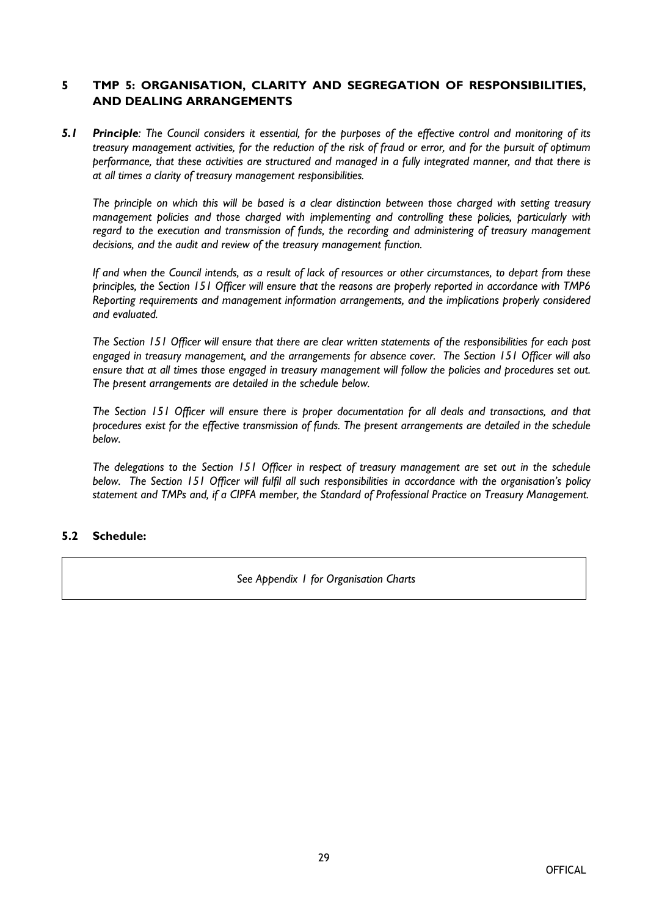#### **5 TMP 5: ORGANISATION, CLARITY AND SEGREGATION OF RESPONSIBILITIES, AND DEALING ARRANGEMENTS**

5.1 Principle: The Council considers it essential, for the purposes of the effective control and monitoring of its treasury management activities, for the reduction of the risk of fraud or error, and for the pursuit of optimum performance, that these activities are structured and managed in a fully integrated manner, and that there is *at all times a clarity of treasury management responsibilities.*

The principle on which this will be based is a clear distinction between those charged with setting treasury *management policies and those charged with implementing and controlling these policies, particularly with regard to the execution and transmission of funds, the recording and administering of treasury management decisions, and the audit and review of the treasury management function.*

If and when the Council intends, as a result of lack of resources or other circumstances, to depart from these principles, the Section 151 Officer will ensure that the reasons are properly reported in accordance with TMP6 *Reporting requirements and management information arrangements, and the implications properly considered and evaluated.*

The Section 151 Officer will ensure that there are clear written statements of the responsibilities for each post *engaged in treasury management, and the arrangements for absence cover. The Section 151 Officer will also* ensure that at all times those engaged in treasury management will follow the policies and procedures set out. *The present arrangements are detailed in the schedule below.*

The Section 151 Officer will ensure there is proper documentation for all deals and transactions, and that *procedures exist for the effective transmission of funds. The present arrangements are detailed in the schedule below.*

The delegations to the Section 151 Officer in respect of treasury management are set out in the schedule *below. The Section 151 Officer will fulfil all such responsibilities in accordance with the organisation's policy statement and TMPs and, if a CIPFA member, the Standard of Professional Practice on Treasury Management.*

#### **5.2 Schedule:**

*See Appendix 1 for Organisation Charts*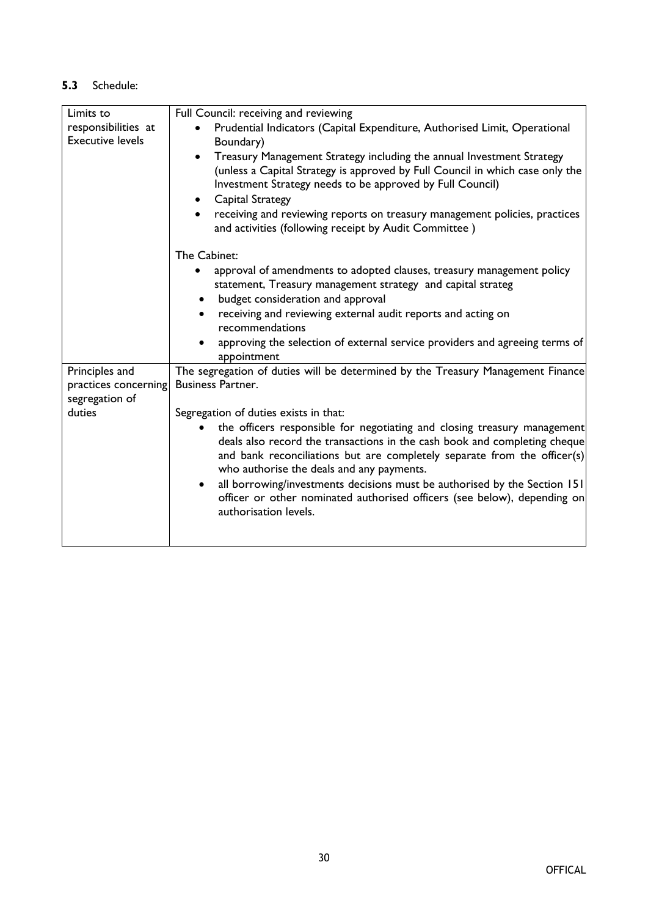| Limits to                              | Full Council: receiving and reviewing                                                                                                                                                                                                                                                                                                                                          |
|----------------------------------------|--------------------------------------------------------------------------------------------------------------------------------------------------------------------------------------------------------------------------------------------------------------------------------------------------------------------------------------------------------------------------------|
| responsibilities at                    | Prudential Indicators (Capital Expenditure, Authorised Limit, Operational                                                                                                                                                                                                                                                                                                      |
| <b>Executive levels</b>                | Boundary)                                                                                                                                                                                                                                                                                                                                                                      |
|                                        | Treasury Management Strategy including the annual Investment Strategy<br>(unless a Capital Strategy is approved by Full Council in which case only the<br>Investment Strategy needs to be approved by Full Council)<br>Capital Strategy<br>receiving and reviewing reports on treasury management policies, practices<br>and activities (following receipt by Audit Committee) |
|                                        |                                                                                                                                                                                                                                                                                                                                                                                |
|                                        | The Cabinet:                                                                                                                                                                                                                                                                                                                                                                   |
|                                        | approval of amendments to adopted clauses, treasury management policy<br>statement, Treasury management strategy and capital strateg                                                                                                                                                                                                                                           |
|                                        | budget consideration and approval                                                                                                                                                                                                                                                                                                                                              |
|                                        | receiving and reviewing external audit reports and acting on<br>recommendations                                                                                                                                                                                                                                                                                                |
|                                        | approving the selection of external service providers and agreeing terms of<br>appointment                                                                                                                                                                                                                                                                                     |
| Principles and<br>practices concerning | The segregation of duties will be determined by the Treasury Management Finance<br><b>Business Partner.</b>                                                                                                                                                                                                                                                                    |
| segregation of                         |                                                                                                                                                                                                                                                                                                                                                                                |
| duties                                 | Segregation of duties exists in that:                                                                                                                                                                                                                                                                                                                                          |
|                                        | the officers responsible for negotiating and closing treasury management<br>deals also record the transactions in the cash book and completing cheque<br>and bank reconciliations but are completely separate from the officer(s)<br>who authorise the deals and any payments.                                                                                                 |
|                                        | all borrowing/investments decisions must be authorised by the Section 151<br>officer or other nominated authorised officers (see below), depending on<br>authorisation levels.                                                                                                                                                                                                 |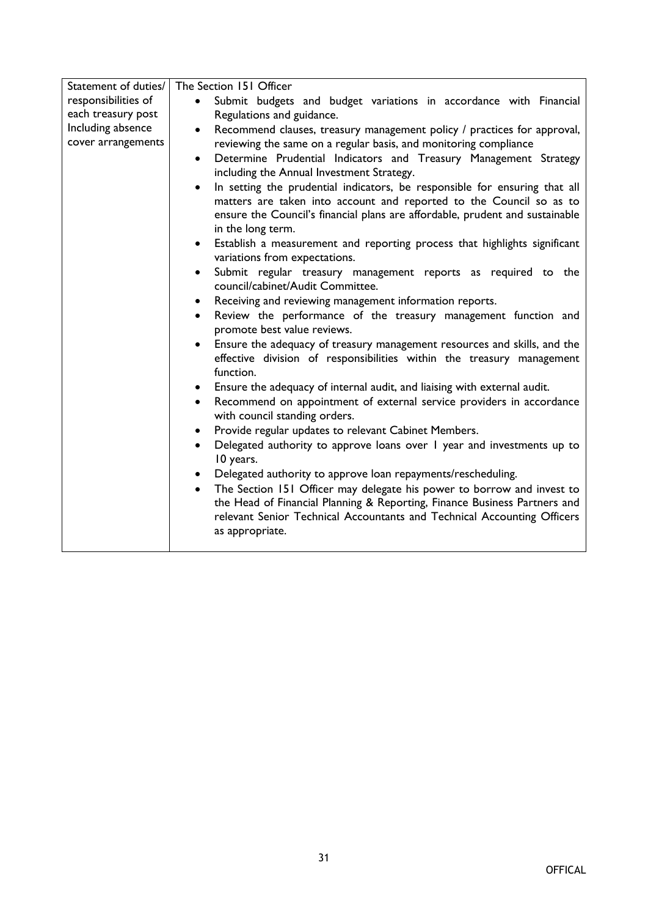| Statement of duties/<br>The Section 151 Officer<br>responsibilities of<br>Submit budgets and budget variations in accordance with Financial<br>each treasury post<br>Regulations and guidance.<br>Including absence<br>Recommend clauses, treasury management policy / practices for approval,<br>$\bullet$<br>cover arrangements<br>reviewing the same on a regular basis, and monitoring compliance                                                                                                                                                                                                      |  |
|------------------------------------------------------------------------------------------------------------------------------------------------------------------------------------------------------------------------------------------------------------------------------------------------------------------------------------------------------------------------------------------------------------------------------------------------------------------------------------------------------------------------------------------------------------------------------------------------------------|--|
| Determine Prudential Indicators and Treasury Management Strategy<br>$\bullet$<br>including the Annual Investment Strategy.<br>In setting the prudential indicators, be responsible for ensuring that all<br>$\bullet$<br>matters are taken into account and reported to the Council so as to<br>ensure the Council's financial plans are affordable, prudent and sustainable<br>in the long term.<br>Establish a measurement and reporting process that highlights significant<br>$\bullet$<br>variations from expectations.<br>Submit regular treasury management reports as required to the<br>$\bullet$ |  |
| council/cabinet/Audit Committee.                                                                                                                                                                                                                                                                                                                                                                                                                                                                                                                                                                           |  |
| Receiving and reviewing management information reports.<br>$\bullet$                                                                                                                                                                                                                                                                                                                                                                                                                                                                                                                                       |  |
| Review the performance of the treasury management function and<br>$\bullet$<br>promote best value reviews.                                                                                                                                                                                                                                                                                                                                                                                                                                                                                                 |  |
| Ensure the adequacy of treasury management resources and skills, and the<br>effective division of responsibilities within the treasury management<br>function.                                                                                                                                                                                                                                                                                                                                                                                                                                             |  |
| Ensure the adequacy of internal audit, and liaising with external audit.<br>$\bullet$                                                                                                                                                                                                                                                                                                                                                                                                                                                                                                                      |  |
| Recommend on appointment of external service providers in accordance<br>$\bullet$<br>with council standing orders.                                                                                                                                                                                                                                                                                                                                                                                                                                                                                         |  |
| Provide regular updates to relevant Cabinet Members.<br>$\bullet$                                                                                                                                                                                                                                                                                                                                                                                                                                                                                                                                          |  |
| Delegated authority to approve loans over I year and investments up to<br>$\bullet$<br>10 years.                                                                                                                                                                                                                                                                                                                                                                                                                                                                                                           |  |
| Delegated authority to approve loan repayments/rescheduling.<br>$\bullet$                                                                                                                                                                                                                                                                                                                                                                                                                                                                                                                                  |  |
| The Section 151 Officer may delegate his power to borrow and invest to<br>the Head of Financial Planning & Reporting, Finance Business Partners and<br>relevant Senior Technical Accountants and Technical Accounting Officers<br>as appropriate.                                                                                                                                                                                                                                                                                                                                                          |  |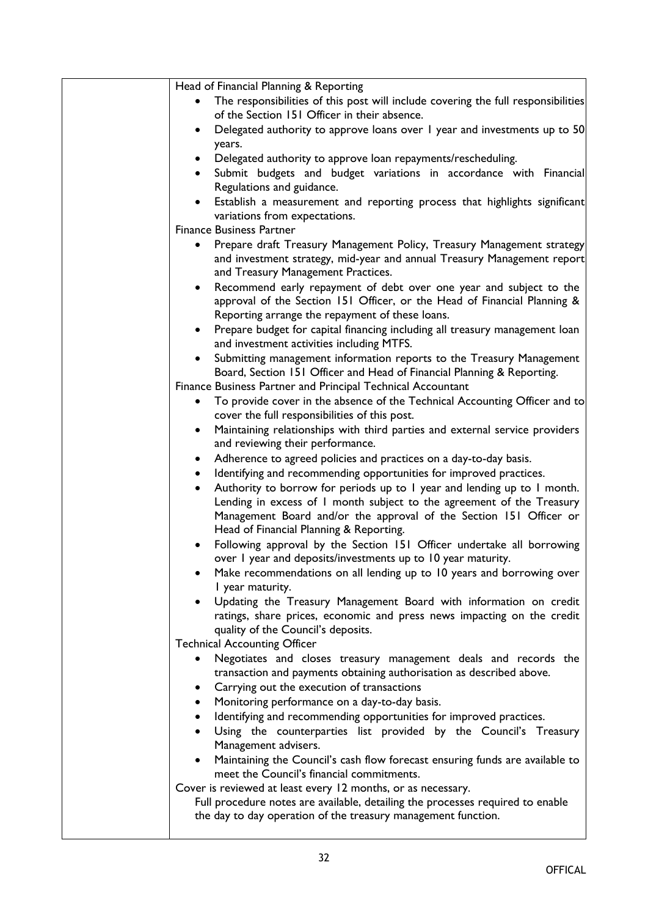| Head of Financial Planning & Reporting                                                                                                                                                                                     |
|----------------------------------------------------------------------------------------------------------------------------------------------------------------------------------------------------------------------------|
| The responsibilities of this post will include covering the full responsibilities<br>of the Section 151 Officer in their absence.                                                                                          |
| Delegated authority to approve loans over 1 year and investments up to 50<br>years.                                                                                                                                        |
| Delegated authority to approve loan repayments/rescheduling.                                                                                                                                                               |
| Submit budgets and budget variations in accordance with Financial<br>$\bullet$                                                                                                                                             |
| Regulations and guidance.                                                                                                                                                                                                  |
| Establish a measurement and reporting process that highlights significant                                                                                                                                                  |
| variations from expectations.                                                                                                                                                                                              |
| <b>Finance Business Partner</b>                                                                                                                                                                                            |
| Prepare draft Treasury Management Policy, Treasury Management strategy<br>$\bullet$<br>and investment strategy, mid-year and annual Treasury Management report<br>and Treasury Management Practices.                       |
| Recommend early repayment of debt over one year and subject to the<br>$\bullet$<br>approval of the Section 151 Officer, or the Head of Financial Planning &<br>Reporting arrange the repayment of these loans.             |
| Prepare budget for capital financing including all treasury management loan<br>$\bullet$<br>and investment activities including MTFS.                                                                                      |
| Submitting management information reports to the Treasury Management<br>$\bullet$<br>Board, Section 151 Officer and Head of Financial Planning & Reporting.<br>Finance Business Partner and Principal Technical Accountant |
| To provide cover in the absence of the Technical Accounting Officer and to                                                                                                                                                 |
| cover the full responsibilities of this post.                                                                                                                                                                              |
| Maintaining relationships with third parties and external service providers<br>$\bullet$<br>and reviewing their performance.                                                                                               |
| Adherence to agreed policies and practices on a day-to-day basis.<br>$\bullet$                                                                                                                                             |
| Identifying and recommending opportunities for improved practices.<br>$\bullet$                                                                                                                                            |
| Authority to borrow for periods up to I year and lending up to I month.<br>$\bullet$<br>Lending in excess of I month subject to the agreement of the Treasury                                                              |
| Management Board and/or the approval of the Section 151 Officer or<br>Head of Financial Planning & Reporting.                                                                                                              |
| Following approval by the Section 151 Officer undertake all borrowing<br>over I year and deposits/investments up to 10 year maturity.                                                                                      |
| Make recommendations on all lending up to 10 years and borrowing over<br>I year maturity.                                                                                                                                  |
| Updating the Treasury Management Board with information on credit<br>ratings, share prices, economic and press news impacting on the credit<br>quality of the Council's deposits.                                          |
| <b>Technical Accounting Officer</b>                                                                                                                                                                                        |
| Negotiates and closes treasury management deals and records the<br>transaction and payments obtaining authorisation as described above.                                                                                    |
| Carrying out the execution of transactions                                                                                                                                                                                 |
| Monitoring performance on a day-to-day basis.<br>٠                                                                                                                                                                         |
| Identifying and recommending opportunities for improved practices.<br>٠<br>Using the counterparties list provided by the Council's Treasury                                                                                |
| Management advisers.                                                                                                                                                                                                       |
| Maintaining the Council's cash flow forecast ensuring funds are available to<br>$\bullet$<br>meet the Council's financial commitments.                                                                                     |
| Cover is reviewed at least every 12 months, or as necessary.                                                                                                                                                               |
| Full procedure notes are available, detailing the processes required to enable<br>the day to day operation of the treasury management function.                                                                            |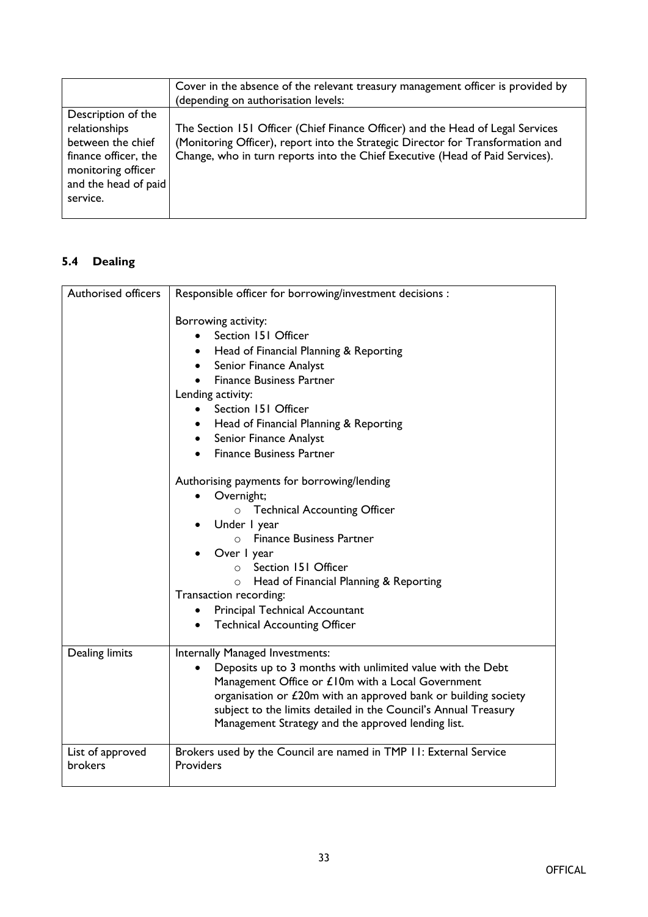|                                                                                                                                            | Cover in the absence of the relevant treasury management officer is provided by<br>(depending on authorisation levels:                                                                                                                             |
|--------------------------------------------------------------------------------------------------------------------------------------------|----------------------------------------------------------------------------------------------------------------------------------------------------------------------------------------------------------------------------------------------------|
| Description of the<br>relationships<br>between the chief<br>finance officer, the<br>monitoring officer<br>and the head of paid<br>service. | The Section 151 Officer (Chief Finance Officer) and the Head of Legal Services<br>(Monitoring Officer), report into the Strategic Director for Transformation and<br>Change, who in turn reports into the Chief Executive (Head of Paid Services). |

# **5.4 Dealing**

| <b>Authorised officers</b>  | Responsible officer for borrowing/investment decisions :                                                                                                                                                                                                                                                                                                                                               |
|-----------------------------|--------------------------------------------------------------------------------------------------------------------------------------------------------------------------------------------------------------------------------------------------------------------------------------------------------------------------------------------------------------------------------------------------------|
|                             | Borrowing activity:<br>Section 151 Officer<br>Head of Financial Planning & Reporting<br>Senior Finance Analyst<br><b>Finance Business Partner</b><br>Lending activity:<br>Section 151 Officer<br>$\bullet$<br>Head of Financial Planning & Reporting<br>Senior Finance Analyst<br>$\bullet$<br><b>Finance Business Partner</b>                                                                         |
|                             | Authorising payments for borrowing/lending<br>Overnight;<br>o Technical Accounting Officer<br>Under I year<br>$\bullet$<br><b>Finance Business Partner</b><br>$\circ$<br>Over I year<br>Section 151 Officer<br>$\cap$<br>Head of Financial Planning & Reporting<br>$\circ$<br>Transaction recording:<br><b>Principal Technical Accountant</b><br>٠<br><b>Technical Accounting Officer</b><br>$\bullet$ |
| Dealing limits              | Internally Managed Investments:<br>Deposits up to 3 months with unlimited value with the Debt<br>Management Office or £10m with a Local Government<br>organisation or £20m with an approved bank or building society<br>subject to the limits detailed in the Council's Annual Treasury<br>Management Strategy and the approved lending list.                                                          |
| List of approved<br>brokers | Brokers used by the Council are named in TMP 11: External Service<br>Providers                                                                                                                                                                                                                                                                                                                         |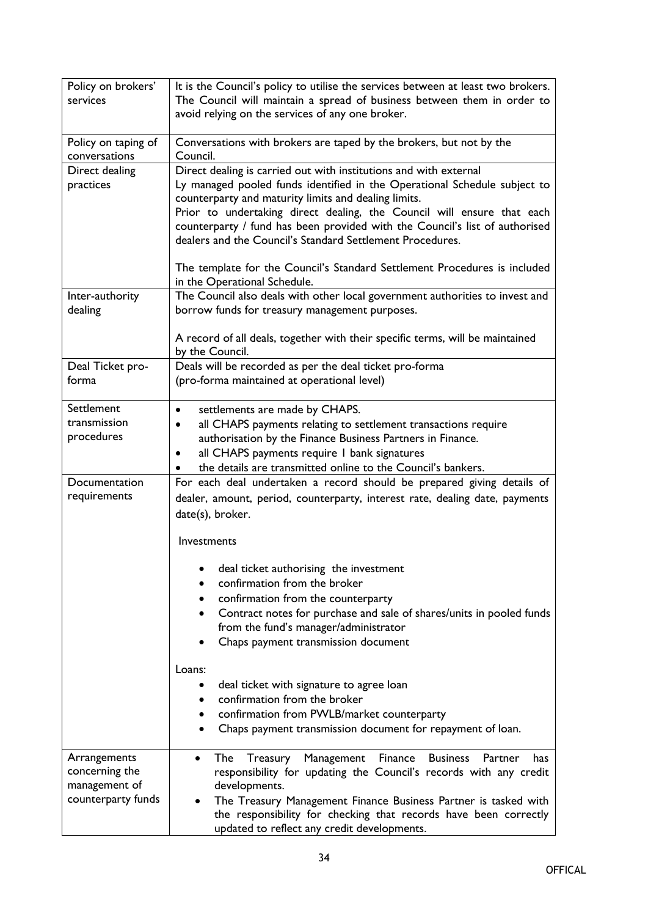| Policy on brokers'<br>services                                        | It is the Council's policy to utilise the services between at least two brokers.<br>The Council will maintain a spread of business between them in order to<br>avoid relying on the services of any one broker.                                                                                                                                                                                                              |
|-----------------------------------------------------------------------|------------------------------------------------------------------------------------------------------------------------------------------------------------------------------------------------------------------------------------------------------------------------------------------------------------------------------------------------------------------------------------------------------------------------------|
| Policy on taping of<br>conversations                                  | Conversations with brokers are taped by the brokers, but not by the<br>Council.                                                                                                                                                                                                                                                                                                                                              |
| Direct dealing<br>practices                                           | Direct dealing is carried out with institutions and with external<br>Ly managed pooled funds identified in the Operational Schedule subject to<br>counterparty and maturity limits and dealing limits.<br>Prior to undertaking direct dealing, the Council will ensure that each<br>counterparty / fund has been provided with the Council's list of authorised<br>dealers and the Council's Standard Settlement Procedures. |
|                                                                       | The template for the Council's Standard Settlement Procedures is included<br>in the Operational Schedule.                                                                                                                                                                                                                                                                                                                    |
| Inter-authority<br>dealing                                            | The Council also deals with other local government authorities to invest and<br>borrow funds for treasury management purposes.                                                                                                                                                                                                                                                                                               |
|                                                                       | A record of all deals, together with their specific terms, will be maintained<br>by the Council.                                                                                                                                                                                                                                                                                                                             |
| Deal Ticket pro-<br>forma                                             | Deals will be recorded as per the deal ticket pro-forma<br>(pro-forma maintained at operational level)                                                                                                                                                                                                                                                                                                                       |
| Settlement<br>transmission<br>procedures                              | settlements are made by CHAPS.<br>$\bullet$<br>all CHAPS payments relating to settlement transactions require<br>$\bullet$<br>authorisation by the Finance Business Partners in Finance.<br>all CHAPS payments require I bank signatures<br>$\bullet$<br>the details are transmitted online to the Council's bankers.<br>$\bullet$                                                                                           |
| Documentation                                                         | For each deal undertaken a record should be prepared giving details of                                                                                                                                                                                                                                                                                                                                                       |
| requirements                                                          | dealer, amount, period, counterparty, interest rate, dealing date, payments<br>date(s), broker.                                                                                                                                                                                                                                                                                                                              |
|                                                                       | Investments                                                                                                                                                                                                                                                                                                                                                                                                                  |
|                                                                       | deal ticket authorising the investment<br>confirmation from the broker<br>$\bullet$<br>confirmation from the counterparty<br>٠<br>Contract notes for purchase and sale of shares/units in pooled funds<br>$\bullet$<br>from the fund's manager/administrator<br>Chaps payment transmission document                                                                                                                          |
|                                                                       | Loans:<br>deal ticket with signature to agree loan<br>٠<br>confirmation from the broker<br>$\bullet$<br>confirmation from PWLB/market counterparty<br>٠<br>Chaps payment transmission document for repayment of loan.<br>$\bullet$                                                                                                                                                                                           |
| Arrangements<br>concerning the<br>management of<br>counterparty funds | Treasury Management<br>Finance<br><b>Business</b><br>The<br>Partner<br>has<br>$\bullet$<br>responsibility for updating the Council's records with any credit<br>developments.<br>The Treasury Management Finance Business Partner is tasked with<br>the responsibility for checking that records have been correctly<br>updated to reflect any credit developments.                                                          |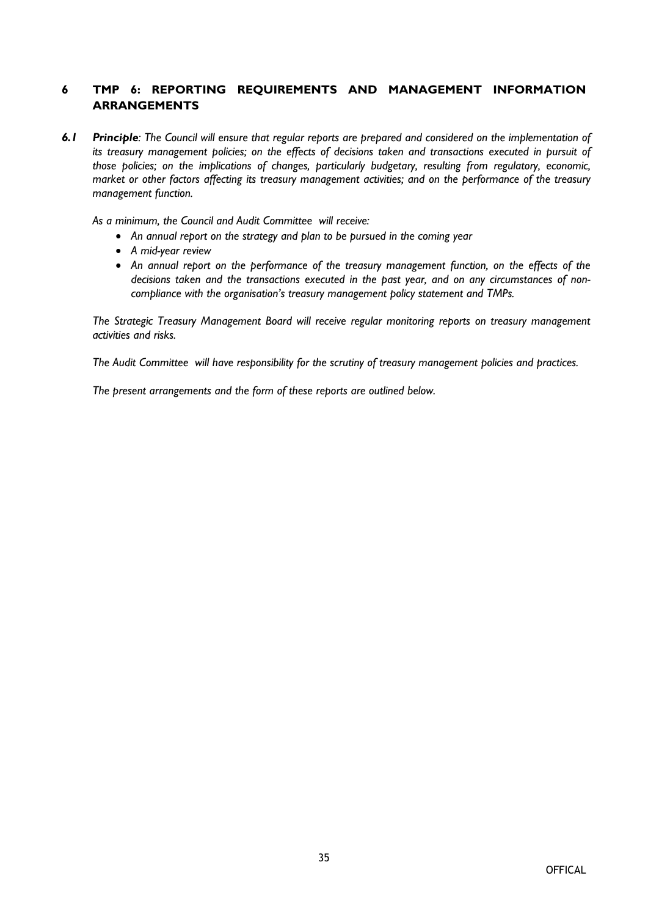# **6 TMP 6: REPORTING REQUIREMENTS AND MANAGEMENT INFORMATION ARRANGEMENTS**

6.1 Principle: The Council will ensure that regular reports are prepared and considered on the implementation of *its treasury management policies; on the effects of decisions taken and transactions executed in pursuit of those policies; on the implications of changes, particularly budgetary, resulting from regulatory, economic, market or other factors affecting its treasury management activities; and on the performance of the treasury management function.*

*As a minimum, the Council and Audit Committee will receive:*

- *An annual report on the strategy and plan to be pursued in the coming year*
- *A mid-year review*
- *An annual report on the performance of the treasury management function, on the effects of the decisions taken and the transactions executed in the past year, and on any circumstances of noncompliance with the organisation's treasury management policy statement and TMPs.*

*The Strategic Treasury Management Board will receive regular monitoring reports on treasury management activities and risks.*

*The Audit Committee will have responsibility for the scrutiny of treasury management policies and practices.*

*The present arrangements and the form of these reports are outlined below.*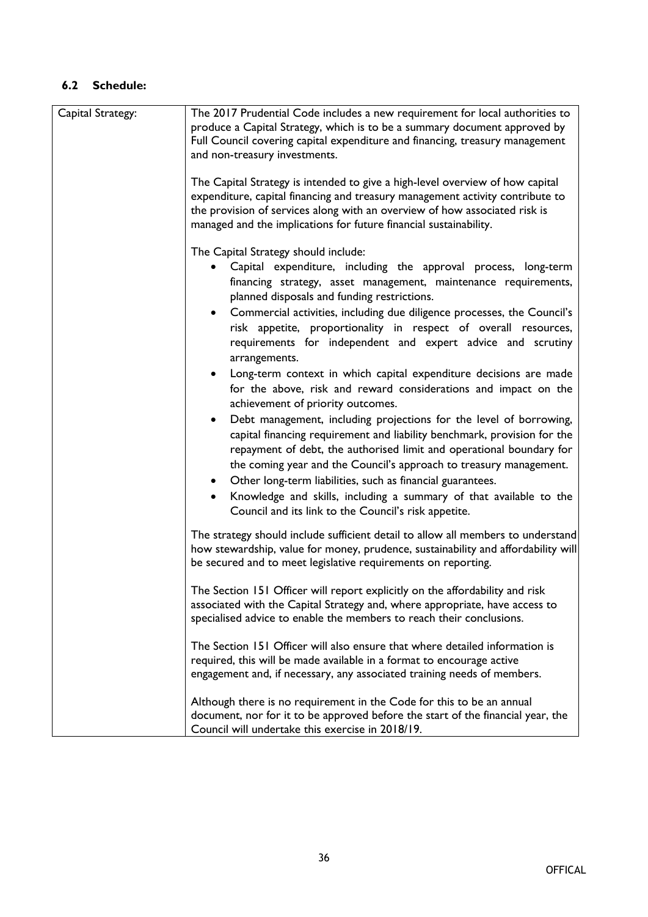| Capital Strategy: | The 2017 Prudential Code includes a new requirement for local authorities to                                                                                                                                                                                                                                                                                                                                                                                                                                                                                                                                                                                                                                                                                                                                                                                                                                                                                                                                                                                                           |
|-------------------|----------------------------------------------------------------------------------------------------------------------------------------------------------------------------------------------------------------------------------------------------------------------------------------------------------------------------------------------------------------------------------------------------------------------------------------------------------------------------------------------------------------------------------------------------------------------------------------------------------------------------------------------------------------------------------------------------------------------------------------------------------------------------------------------------------------------------------------------------------------------------------------------------------------------------------------------------------------------------------------------------------------------------------------------------------------------------------------|
|                   | produce a Capital Strategy, which is to be a summary document approved by                                                                                                                                                                                                                                                                                                                                                                                                                                                                                                                                                                                                                                                                                                                                                                                                                                                                                                                                                                                                              |
|                   | Full Council covering capital expenditure and financing, treasury management                                                                                                                                                                                                                                                                                                                                                                                                                                                                                                                                                                                                                                                                                                                                                                                                                                                                                                                                                                                                           |
|                   | and non-treasury investments.                                                                                                                                                                                                                                                                                                                                                                                                                                                                                                                                                                                                                                                                                                                                                                                                                                                                                                                                                                                                                                                          |
|                   | The Capital Strategy is intended to give a high-level overview of how capital<br>expenditure, capital financing and treasury management activity contribute to<br>the provision of services along with an overview of how associated risk is<br>managed and the implications for future financial sustainability.                                                                                                                                                                                                                                                                                                                                                                                                                                                                                                                                                                                                                                                                                                                                                                      |
|                   |                                                                                                                                                                                                                                                                                                                                                                                                                                                                                                                                                                                                                                                                                                                                                                                                                                                                                                                                                                                                                                                                                        |
|                   | The Capital Strategy should include:<br>Capital expenditure, including the approval process, long-term<br>financing strategy, asset management, maintenance requirements,<br>planned disposals and funding restrictions.<br>Commercial activities, including due diligence processes, the Council's<br>risk appetite, proportionality in respect of overall resources,<br>requirements for independent and expert advice and scrutiny<br>arrangements.<br>Long-term context in which capital expenditure decisions are made<br>for the above, risk and reward considerations and impact on the<br>achievement of priority outcomes.<br>Debt management, including projections for the level of borrowing,<br>capital financing requirement and liability benchmark, provision for the<br>repayment of debt, the authorised limit and operational boundary for<br>the coming year and the Council's approach to treasury management.<br>• Other long-term liabilities, such as financial guarantees.<br>Knowledge and skills, including a summary of that available to the<br>$\bullet$ |
|                   | Council and its link to the Council's risk appetite.                                                                                                                                                                                                                                                                                                                                                                                                                                                                                                                                                                                                                                                                                                                                                                                                                                                                                                                                                                                                                                   |
|                   | The strategy should include sufficient detail to allow all members to understand<br>how stewardship, value for money, prudence, sustainability and affordability will<br>be secured and to meet legislative requirements on reporting.                                                                                                                                                                                                                                                                                                                                                                                                                                                                                                                                                                                                                                                                                                                                                                                                                                                 |
|                   | The Section 151 Officer will report explicitly on the affordability and risk<br>associated with the Capital Strategy and, where appropriate, have access to<br>specialised advice to enable the members to reach their conclusions.                                                                                                                                                                                                                                                                                                                                                                                                                                                                                                                                                                                                                                                                                                                                                                                                                                                    |
|                   | The Section 151 Officer will also ensure that where detailed information is<br>required, this will be made available in a format to encourage active<br>engagement and, if necessary, any associated training needs of members.                                                                                                                                                                                                                                                                                                                                                                                                                                                                                                                                                                                                                                                                                                                                                                                                                                                        |
|                   | Although there is no requirement in the Code for this to be an annual<br>document, nor for it to be approved before the start of the financial year, the<br>Council will undertake this exercise in 2018/19.                                                                                                                                                                                                                                                                                                                                                                                                                                                                                                                                                                                                                                                                                                                                                                                                                                                                           |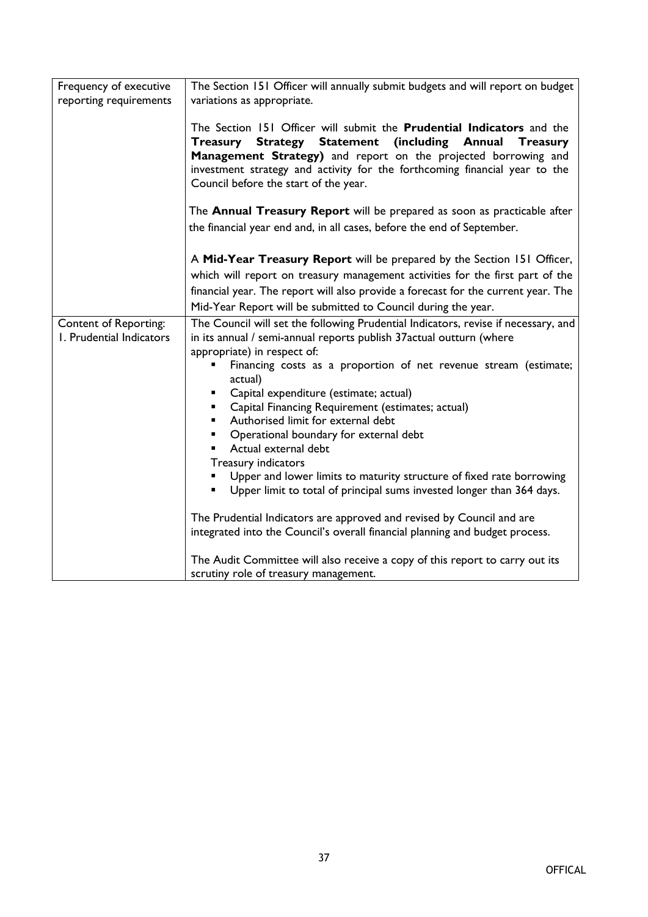| Frequency of executive<br>reporting requirements         | The Section 151 Officer will annually submit budgets and will report on budget<br>variations as appropriate.                                                                                                                                                                                                                                                                                                                                                                                                                                                                                                                                                                                                                                                                                                                                                                                          |
|----------------------------------------------------------|-------------------------------------------------------------------------------------------------------------------------------------------------------------------------------------------------------------------------------------------------------------------------------------------------------------------------------------------------------------------------------------------------------------------------------------------------------------------------------------------------------------------------------------------------------------------------------------------------------------------------------------------------------------------------------------------------------------------------------------------------------------------------------------------------------------------------------------------------------------------------------------------------------|
|                                                          | The Section 151 Officer will submit the Prudential Indicators and the<br>Treasury Strategy Statement (including Annual<br><b>Treasury</b><br>Management Strategy) and report on the projected borrowing and<br>investment strategy and activity for the forthcoming financial year to the<br>Council before the start of the year.                                                                                                                                                                                                                                                                                                                                                                                                                                                                                                                                                                    |
|                                                          | The Annual Treasury Report will be prepared as soon as practicable after<br>the financial year end and, in all cases, before the end of September.                                                                                                                                                                                                                                                                                                                                                                                                                                                                                                                                                                                                                                                                                                                                                    |
|                                                          | A Mid-Year Treasury Report will be prepared by the Section 151 Officer,<br>which will report on treasury management activities for the first part of the<br>financial year. The report will also provide a forecast for the current year. The<br>Mid-Year Report will be submitted to Council during the year.                                                                                                                                                                                                                                                                                                                                                                                                                                                                                                                                                                                        |
| <b>Content of Reporting:</b><br>I. Prudential Indicators | The Council will set the following Prudential Indicators, revise if necessary, and<br>in its annual / semi-annual reports publish 37 actual outturn (where<br>appropriate) in respect of:<br>Financing costs as a proportion of net revenue stream (estimate;<br>actual)<br>Capital expenditure (estimate; actual)<br>Capital Financing Requirement (estimates; actual)<br>Authorised limit for external debt<br>Operational boundary for external debt<br>٠<br>Actual external debt<br>Treasury indicators<br>Upper and lower limits to maturity structure of fixed rate borrowing<br>Upper limit to total of principal sums invested longer than 364 days.<br>The Prudential Indicators are approved and revised by Council and are<br>integrated into the Council's overall financial planning and budget process.<br>The Audit Committee will also receive a copy of this report to carry out its |
|                                                          | scrutiny role of treasury management.                                                                                                                                                                                                                                                                                                                                                                                                                                                                                                                                                                                                                                                                                                                                                                                                                                                                 |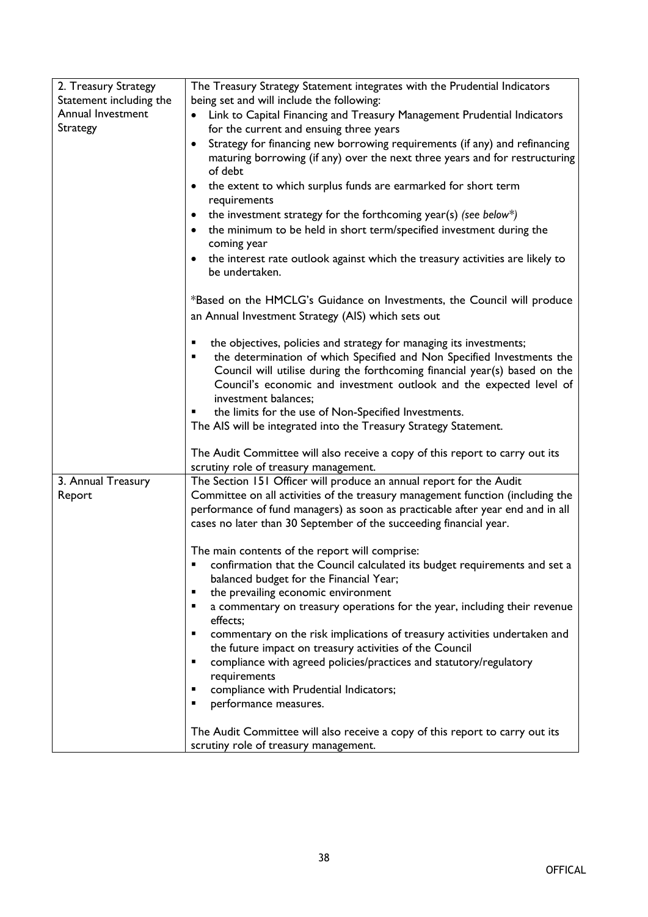| 2. Treasury Strategy    | The Treasury Strategy Statement integrates with the Prudential Indicators                  |
|-------------------------|--------------------------------------------------------------------------------------------|
| Statement including the | being set and will include the following:                                                  |
| Annual Investment       | Link to Capital Financing and Treasury Management Prudential Indicators                    |
| Strategy                | for the current and ensuing three years                                                    |
|                         | Strategy for financing new borrowing requirements (if any) and refinancing<br>$\bullet$    |
|                         | maturing borrowing (if any) over the next three years and for restructuring                |
|                         | of debt                                                                                    |
|                         | the extent to which surplus funds are earmarked for short term<br>$\bullet$                |
|                         | requirements                                                                               |
|                         | the investment strategy for the forthcoming year(s) (see below*)<br>$\bullet$              |
|                         | the minimum to be held in short term/specified investment during the<br>$\bullet$          |
|                         | coming year                                                                                |
|                         | the interest rate outlook against which the treasury activities are likely to<br>$\bullet$ |
|                         | be undertaken.                                                                             |
|                         |                                                                                            |
|                         | *Based on the HMCLG's Guidance on Investments, the Council will produce                    |
|                         | an Annual Investment Strategy (AIS) which sets out                                         |
|                         | the objectives, policies and strategy for managing its investments;<br>٠                   |
|                         | the determination of which Specified and Non Specified Investments the<br>٠                |
|                         | Council will utilise during the forthcoming financial year(s) based on the                 |
|                         | Council's economic and investment outlook and the expected level of                        |
|                         | investment balances;                                                                       |
|                         | the limits for the use of Non-Specified Investments.                                       |
|                         | The AIS will be integrated into the Treasury Strategy Statement.                           |
|                         | The Audit Committee will also receive a copy of this report to carry out its               |
|                         | scrutiny role of treasury management.                                                      |
| 3. Annual Treasury      | The Section 151 Officer will produce an annual report for the Audit                        |
| Report                  | Committee on all activities of the treasury management function (including the             |
|                         | performance of fund managers) as soon as practicable after year end and in all             |
|                         | cases no later than 30 September of the succeeding financial year.                         |
|                         |                                                                                            |
|                         | The main contents of the report will comprise:                                             |
|                         | confirmation that the Council calculated its budget requirements and set a                 |
|                         | balanced budget for the Financial Year;                                                    |
|                         | the prevailing economic environment<br>٠                                                   |
|                         | a commentary on treasury operations for the year, including their revenue<br>٠<br>effects; |
|                         | commentary on the risk implications of treasury activities undertaken and<br>٠             |
|                         | the future impact on treasury activities of the Council                                    |
|                         | compliance with agreed policies/practices and statutory/regulatory<br>٠                    |
|                         | requirements                                                                               |
|                         | compliance with Prudential Indicators;<br>٠                                                |
|                         | performance measures.<br>٠                                                                 |
|                         |                                                                                            |
|                         | The Audit Committee will also receive a copy of this report to carry out its               |
|                         | scrutiny role of treasury management.                                                      |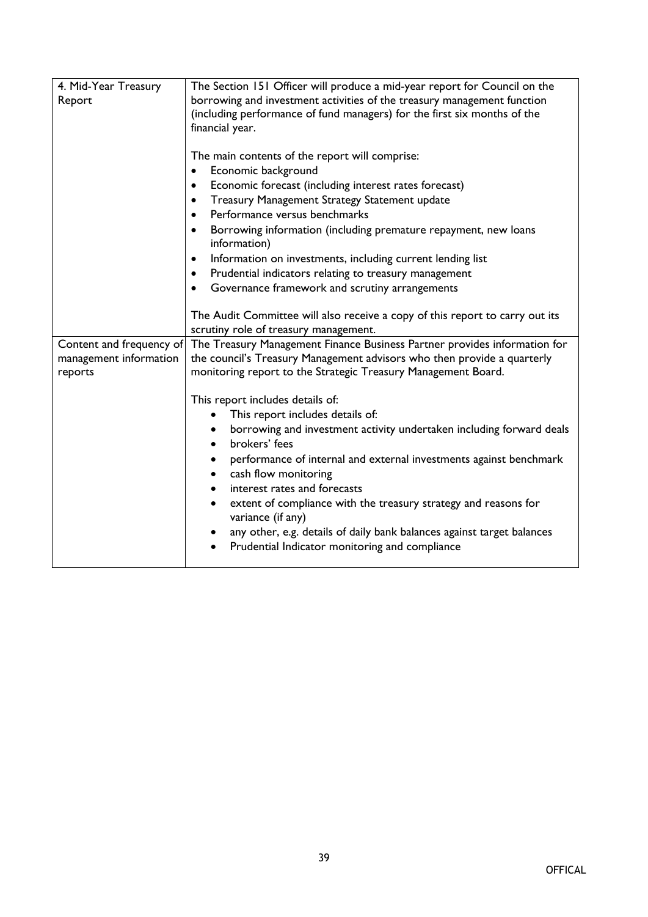| 4. Mid-Year Treasury     | The Section 151 Officer will produce a mid-year report for Council on the                              |
|--------------------------|--------------------------------------------------------------------------------------------------------|
| Report                   | borrowing and investment activities of the treasury management function                                |
|                          | (including performance of fund managers) for the first six months of the                               |
|                          | financial year.                                                                                        |
|                          |                                                                                                        |
|                          | The main contents of the report will comprise:                                                         |
|                          | Economic background<br>$\bullet$<br>Economic forecast (including interest rates forecast)<br>$\bullet$ |
|                          | Treasury Management Strategy Statement update<br>$\bullet$                                             |
|                          | Performance versus benchmarks<br>$\bullet$                                                             |
|                          | Borrowing information (including premature repayment, new loans<br>$\bullet$                           |
|                          | information)                                                                                           |
|                          | Information on investments, including current lending list<br>$\bullet$                                |
|                          | Prudential indicators relating to treasury management<br>$\bullet$                                     |
|                          | Governance framework and scrutiny arrangements<br>$\bullet$                                            |
|                          |                                                                                                        |
|                          | The Audit Committee will also receive a copy of this report to carry out its                           |
|                          | scrutiny role of treasury management.                                                                  |
| Content and frequency of | The Treasury Management Finance Business Partner provides information for                              |
| management information   | the council's Treasury Management advisors who then provide a quarterly                                |
| reports                  | monitoring report to the Strategic Treasury Management Board.                                          |
|                          | This report includes details of:                                                                       |
|                          | This report includes details of:                                                                       |
|                          | borrowing and investment activity undertaken including forward deals                                   |
|                          | brokers' fees                                                                                          |
|                          | performance of internal and external investments against benchmark                                     |
|                          | cash flow monitoring                                                                                   |
|                          | interest rates and forecasts                                                                           |
|                          | extent of compliance with the treasury strategy and reasons for                                        |
|                          | variance (if any)                                                                                      |
|                          | any other, e.g. details of daily bank balances against target balances                                 |
|                          | Prudential Indicator monitoring and compliance<br>$\bullet$                                            |
|                          |                                                                                                        |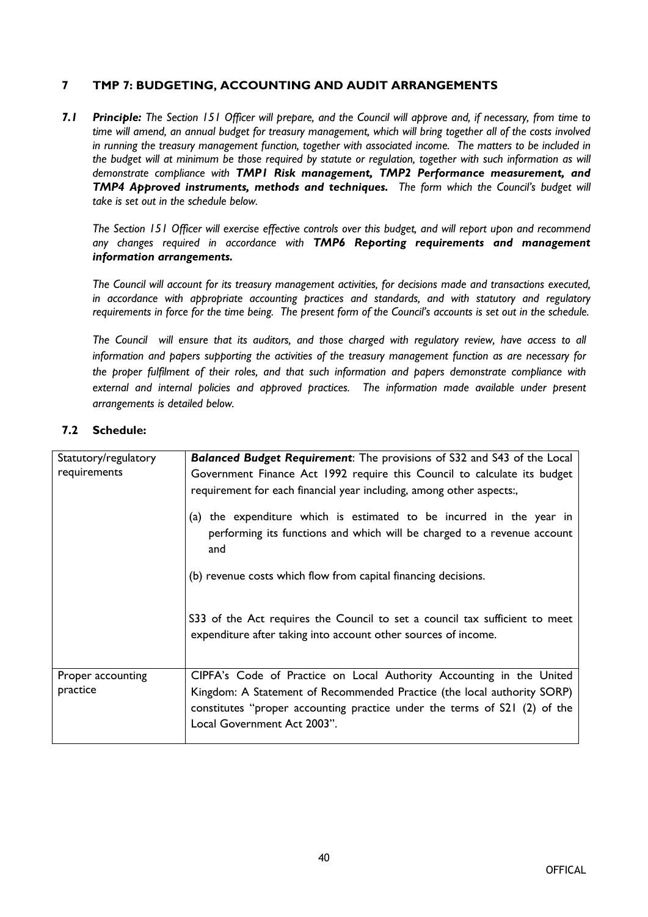#### **7 TMP 7: BUDGETING, ACCOUNTING AND AUDIT ARRANGEMENTS**

7.1 Principle: The Section 151 Officer will prepare, and the Council will approve and, if necessary, from time to time will amend, an annual budget for treasury management, which will bring together all of the costs involved *in running the treasury management function, together with associated income. The matters to be included in* the budget will at minimum be those required by statute or regulation, together with such information as will *demonstrate compliance with TMP1 Risk management, TMP2 Performance measurement, and TMP4 Approved instruments, methods and techniques. The form which the Council's budget will take is set out in the schedule below.* 

The Section 151 Officer will exercise effective controls over this budget, and will report upon and recommend *any changes required in accordance with TMP6 Reporting requirements and management information arrangements.*

*The Council will account for its treasury management activities, for decisions made and transactions executed, in accordance with appropriate accounting practices and standards, and with statutory and regulatory* requirements in force for the time being. The present form of the Council's accounts is set out in the schedule.

*The Council will ensure that its auditors, and those charged with regulatory review, have access to all information and papers supporting the activities of the treasury management function as are necessary for the proper fulfilment of their roles, and that such information and papers demonstrate compliance with external and internal policies and approved practices. The information made available under present arrangements is detailed below.*

| Statutory/regulatory<br>requirements | <b>Balanced Budget Requirement:</b> The provisions of S32 and S43 of the Local<br>Government Finance Act 1992 require this Council to calculate its budget<br>requirement for each financial year including, among other aspects:, |
|--------------------------------------|------------------------------------------------------------------------------------------------------------------------------------------------------------------------------------------------------------------------------------|
|                                      | (a) the expenditure which is estimated to be incurred in the year in<br>performing its functions and which will be charged to a revenue account<br>and                                                                             |
|                                      | (b) revenue costs which flow from capital financing decisions.                                                                                                                                                                     |
|                                      | \$33 of the Act requires the Council to set a council tax sufficient to meet<br>expenditure after taking into account other sources of income.                                                                                     |
| Proper accounting                    | CIPFA's Code of Practice on Local Authority Accounting in the United                                                                                                                                                               |
| practice                             | Kingdom: A Statement of Recommended Practice (the local authority SORP)<br>constitutes "proper accounting practice under the terms of S21 (2) of the<br>Local Government Act 2003".                                                |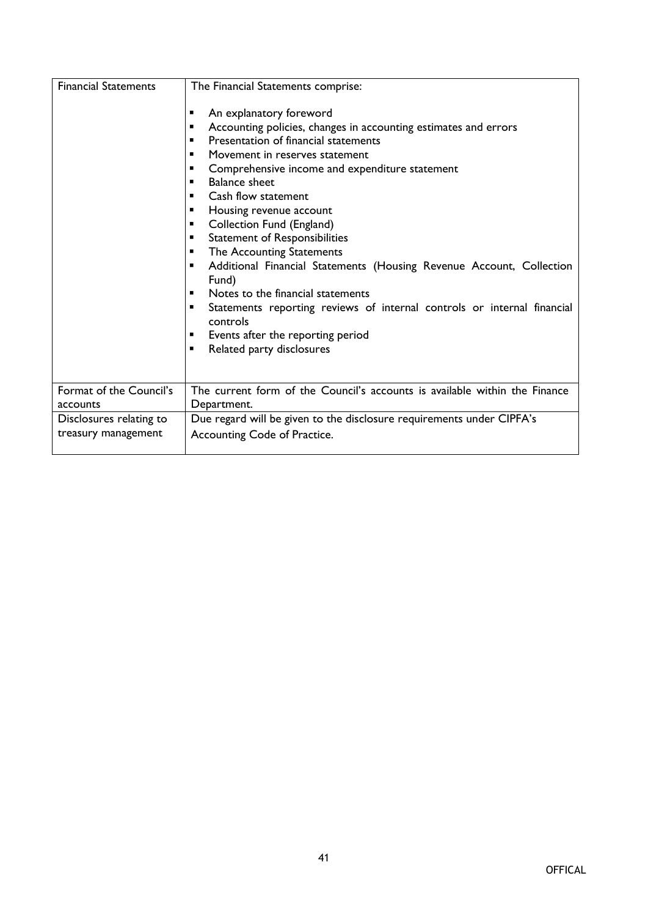| <b>Financial Statements</b>                                                                                                        | The Financial Statements comprise:                                                                                                                                                                                                                                                                                                                                                                                                          |
|------------------------------------------------------------------------------------------------------------------------------------|---------------------------------------------------------------------------------------------------------------------------------------------------------------------------------------------------------------------------------------------------------------------------------------------------------------------------------------------------------------------------------------------------------------------------------------------|
|                                                                                                                                    | An explanatory foreword<br>Accounting policies, changes in accounting estimates and errors<br>п<br>Presentation of financial statements<br>Movement in reserves statement<br>Comprehensive income and expenditure statement<br><b>Balance sheet</b><br>٠<br>Cash flow statement<br>Housing revenue account<br>٠<br>Collection Fund (England)<br>٠<br><b>Statement of Responsibilities</b><br>٠<br>The Accounting Statements<br>$\mathbf{r}$ |
| Fund)<br>Notes to the financial statements<br>٠<br>controls<br>Events after the reporting period<br>Related party disclosures<br>٠ | Additional Financial Statements (Housing Revenue Account, Collection<br>Statements reporting reviews of internal controls or internal financial                                                                                                                                                                                                                                                                                             |
| Format of the Council's<br>accounts                                                                                                | The current form of the Council's accounts is available within the Finance<br>Department.                                                                                                                                                                                                                                                                                                                                                   |
| Disclosures relating to<br>treasury management                                                                                     | Due regard will be given to the disclosure requirements under CIPFA's<br>Accounting Code of Practice.                                                                                                                                                                                                                                                                                                                                       |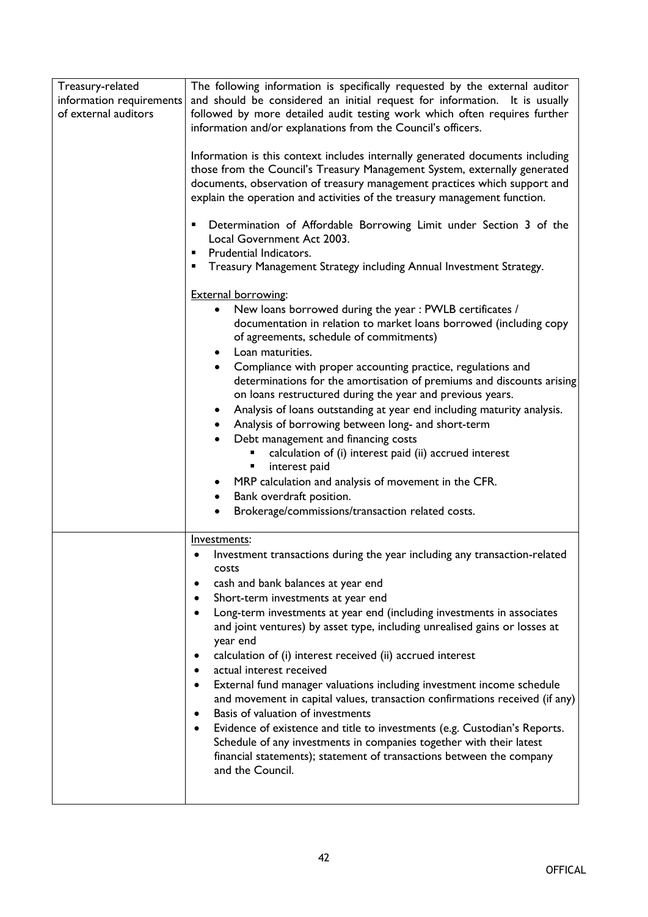| Treasury-related         | The following information is specifically requested by the external auditor            |
|--------------------------|----------------------------------------------------------------------------------------|
| information requirements | and should be considered an initial request for information. It is usually             |
| of external auditors     | followed by more detailed audit testing work which often requires further              |
|                          | information and/or explanations from the Council's officers.                           |
|                          |                                                                                        |
|                          | Information is this context includes internally generated documents including          |
|                          | those from the Council's Treasury Management System, externally generated              |
|                          | documents, observation of treasury management practices which support and              |
|                          | explain the operation and activities of the treasury management function.              |
|                          |                                                                                        |
|                          | Determination of Affordable Borrowing Limit under Section 3 of the<br>٠                |
|                          | Local Government Act 2003.                                                             |
|                          | Prudential Indicators.<br>٠                                                            |
|                          | Treasury Management Strategy including Annual Investment Strategy.                     |
|                          | <b>External borrowing:</b>                                                             |
|                          | New loans borrowed during the year : PWLB certificates /<br>$\bullet$                  |
|                          | documentation in relation to market loans borrowed (including copy                     |
|                          | of agreements, schedule of commitments)                                                |
|                          | Loan maturities.<br>$\bullet$                                                          |
|                          | Compliance with proper accounting practice, regulations and                            |
|                          | determinations for the amortisation of premiums and discounts arising                  |
|                          | on loans restructured during the year and previous years.                              |
|                          | Analysis of loans outstanding at year end including maturity analysis.<br>٠            |
|                          | Analysis of borrowing between long- and short-term                                     |
|                          | Debt management and financing costs                                                    |
|                          | calculation of (i) interest paid (ii) accrued interest                                 |
|                          | interest paid<br>٠                                                                     |
|                          | MRP calculation and analysis of movement in the CFR.<br>$\bullet$                      |
|                          | Bank overdraft position.                                                               |
|                          | Brokerage/commissions/transaction related costs.<br>$\bullet$                          |
|                          |                                                                                        |
|                          | Investments:                                                                           |
|                          | Investment transactions during the year including any transaction-related<br>٠         |
|                          | costs                                                                                  |
|                          | cash and bank balances at year end<br>٠                                                |
|                          | Short-term investments at year end<br>٠                                                |
|                          | Long-term investments at year end (including investments in associates                 |
|                          | and joint ventures) by asset type, including unrealised gains or losses at             |
|                          | year end                                                                               |
|                          | calculation of (i) interest received (ii) accrued interest<br>٠                        |
|                          | actual interest received<br>$\bullet$                                                  |
|                          | External fund manager valuations including investment income schedule<br>$\bullet$     |
|                          | and movement in capital values, transaction confirmations received (if any)            |
|                          | Basis of valuation of investments<br>$\bullet$                                         |
|                          | Evidence of existence and title to investments (e.g. Custodian's Reports.<br>$\bullet$ |
|                          | Schedule of any investments in companies together with their latest                    |
|                          | financial statements); statement of transactions between the company                   |
|                          | and the Council.                                                                       |
|                          |                                                                                        |
|                          |                                                                                        |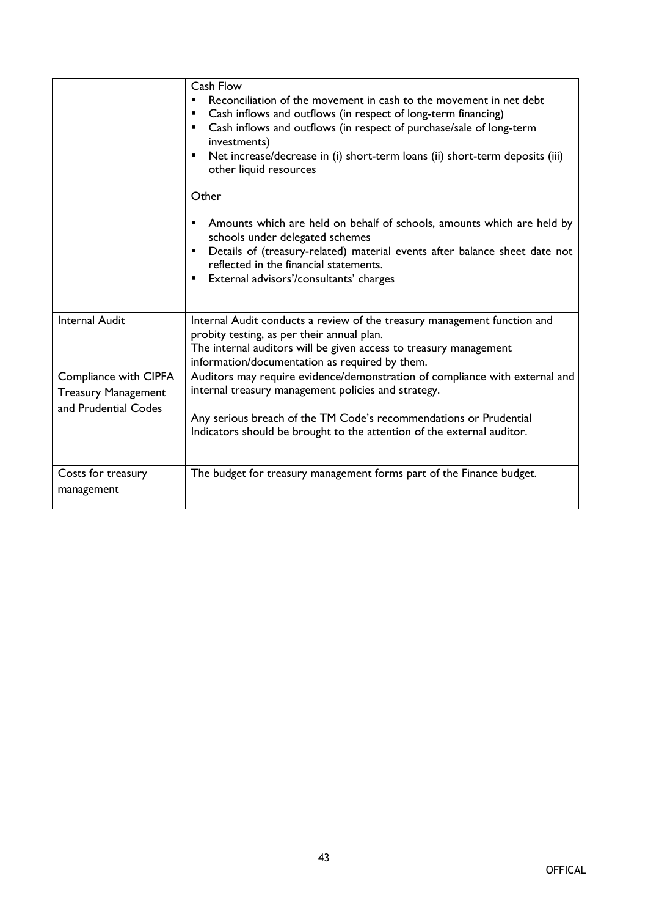|                                                                             | Cash Flow<br>Reconciliation of the movement in cash to the movement in net debt<br>٠<br>Cash inflows and outflows (in respect of long-term financing)<br>٠<br>Cash inflows and outflows (in respect of purchase/sale of long-term<br>٠<br>investments)<br>Net increase/decrease in (i) short-term loans (ii) short-term deposits (iii)<br>٠<br>other liquid resources<br>Other<br>Amounts which are held on behalf of schools, amounts which are held by<br>schools under delegated schemes<br>Details of (treasury-related) material events after balance sheet date not<br>reflected in the financial statements.<br>External advisors'/consultants' charges<br>٠ |
|-----------------------------------------------------------------------------|---------------------------------------------------------------------------------------------------------------------------------------------------------------------------------------------------------------------------------------------------------------------------------------------------------------------------------------------------------------------------------------------------------------------------------------------------------------------------------------------------------------------------------------------------------------------------------------------------------------------------------------------------------------------|
| <b>Internal Audit</b>                                                       | Internal Audit conducts a review of the treasury management function and<br>probity testing, as per their annual plan.<br>The internal auditors will be given access to treasury management<br>information/documentation as required by them.                                                                                                                                                                                                                                                                                                                                                                                                                       |
| Compliance with CIPFA<br><b>Treasury Management</b><br>and Prudential Codes | Auditors may require evidence/demonstration of compliance with external and<br>internal treasury management policies and strategy.<br>Any serious breach of the TM Code's recommendations or Prudential<br>Indicators should be brought to the attention of the external auditor.                                                                                                                                                                                                                                                                                                                                                                                   |
| Costs for treasury<br>management                                            | The budget for treasury management forms part of the Finance budget.                                                                                                                                                                                                                                                                                                                                                                                                                                                                                                                                                                                                |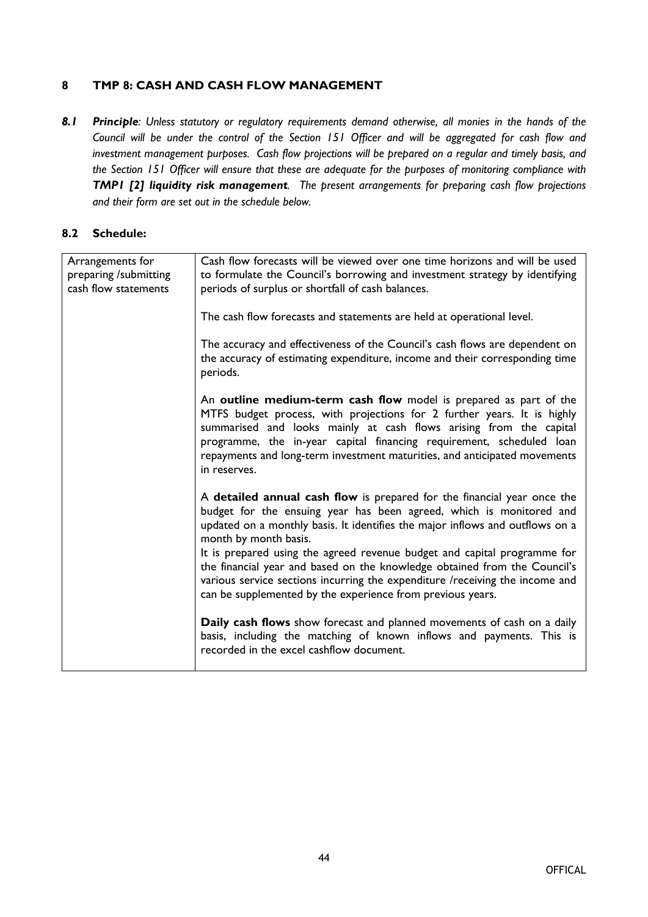# **8 TMP 8: CASH AND CASH FLOW MANAGEMENT**

8.1 Principle: Unless statutory or regulatory requirements demand otherwise, all monies in the hands of the Council will be under the control of the Section 151 Officer and will be aggregated for cash flow and *investment management purposes. Cash flow projections will be prepared on a regular and timely basis, and* the Section 151 Officer will ensure that these are adequate for the purposes of monitoring compliance with *TMP1 [2] liquidity risk management. The present arrangements for preparing cash flow projections and their form are set out in the schedule below.*

| Arrangements for<br>preparing /submitting<br>cash flow statements | Cash flow forecasts will be viewed over one time horizons and will be used<br>to formulate the Council's borrowing and investment strategy by identifying<br>periods of surplus or shortfall of cash balances.                                                                                                                                                                                                                                                                                                                                                  |
|-------------------------------------------------------------------|-----------------------------------------------------------------------------------------------------------------------------------------------------------------------------------------------------------------------------------------------------------------------------------------------------------------------------------------------------------------------------------------------------------------------------------------------------------------------------------------------------------------------------------------------------------------|
|                                                                   | The cash flow forecasts and statements are held at operational level.                                                                                                                                                                                                                                                                                                                                                                                                                                                                                           |
|                                                                   | The accuracy and effectiveness of the Council's cash flows are dependent on<br>the accuracy of estimating expenditure, income and their corresponding time<br>periods.                                                                                                                                                                                                                                                                                                                                                                                          |
|                                                                   | An outline medium-term cash flow model is prepared as part of the<br>MTFS budget process, with projections for 2 further years. It is highly<br>summarised and looks mainly at cash flows arising from the capital<br>programme, the in-year capital financing requirement, scheduled loan<br>repayments and long-term investment maturities, and anticipated movements<br>in reserves.                                                                                                                                                                         |
|                                                                   | A detailed annual cash flow is prepared for the financial year once the<br>budget for the ensuing year has been agreed, which is monitored and<br>updated on a monthly basis. It identifies the major inflows and outflows on a<br>month by month basis.<br>It is prepared using the agreed revenue budget and capital programme for<br>the financial year and based on the knowledge obtained from the Council's<br>various service sections incurring the expenditure /receiving the income and<br>can be supplemented by the experience from previous years. |
|                                                                   | Daily cash flows show forecast and planned movements of cash on a daily<br>basis, including the matching of known inflows and payments. This is<br>recorded in the excel cashflow document.                                                                                                                                                                                                                                                                                                                                                                     |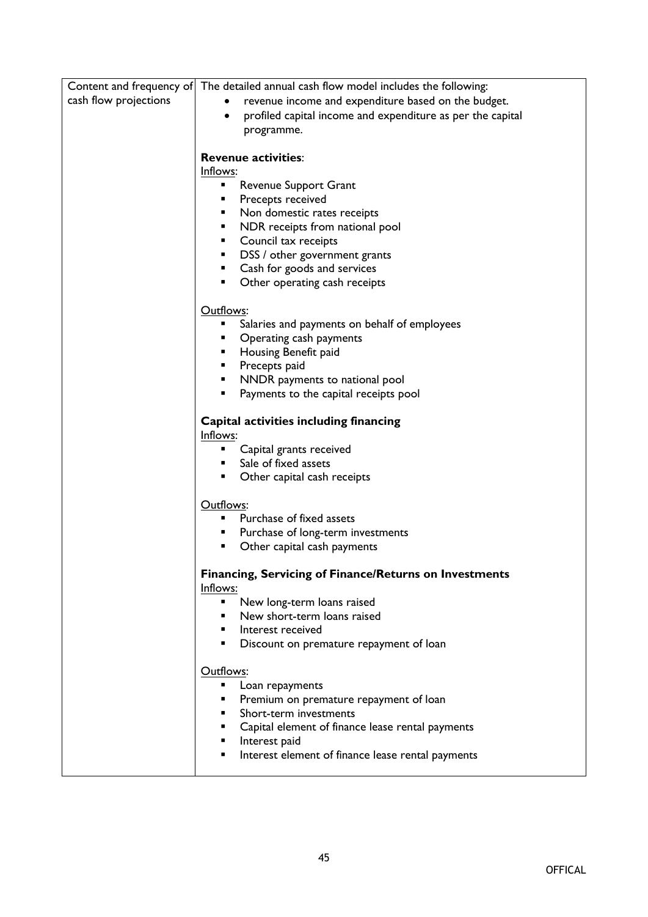| Content and frequency of | The detailed annual cash flow model includes the following:     |
|--------------------------|-----------------------------------------------------------------|
| cash flow projections    | revenue income and expenditure based on the budget.             |
|                          | profiled capital income and expenditure as per the capital<br>٠ |
|                          | programme.                                                      |
|                          |                                                                 |
|                          | <b>Revenue activities:</b>                                      |
|                          | Inflows:                                                        |
|                          | Revenue Support Grant<br>٠                                      |
|                          | Precepts received                                               |
|                          | Non domestic rates receipts<br>٠                                |
|                          | NDR receipts from national pool<br>٠                            |
|                          | Council tax receipts<br>٠                                       |
|                          | DSS / other government grants<br>٠                              |
|                          | Cash for goods and services<br>٠                                |
|                          | Other operating cash receipts<br>٠                              |
|                          | Outflows:                                                       |
|                          | Salaries and payments on behalf of employees<br>٠               |
|                          | Operating cash payments<br>٠                                    |
|                          | Housing Benefit paid                                            |
|                          | Precepts paid<br>٠                                              |
|                          | NNDR payments to national pool<br>٠                             |
|                          | Payments to the capital receipts pool<br>٠                      |
|                          |                                                                 |
|                          | Capital activities including financing                          |
|                          | Inflows:                                                        |
|                          | Capital grants received<br>٠                                    |
|                          | Sale of fixed assets                                            |
|                          | Other capital cash receipts                                     |
|                          |                                                                 |
|                          | Outflows:                                                       |
|                          | Purchase of fixed assets                                        |
|                          | Purchase of long-term investments                               |
|                          | Other capital cash payments                                     |
|                          | Financing, Servicing of Finance/Returns on Investments          |
|                          | Inflows:<br>٠                                                   |
|                          | New long-term loans raised                                      |
|                          | New short-term loans raised<br>Interest received                |
|                          | Discount on premature repayment of loan<br>٠                    |
|                          |                                                                 |
|                          | Outflows:                                                       |
|                          | Loan repayments<br>٠                                            |
|                          | Premium on premature repayment of loan<br>٠                     |
|                          | Short-term investments<br>٠                                     |
|                          | Capital element of finance lease rental payments<br>٠           |
|                          | Interest paid<br>٠                                              |
|                          | Interest element of finance lease rental payments<br>٠          |
|                          |                                                                 |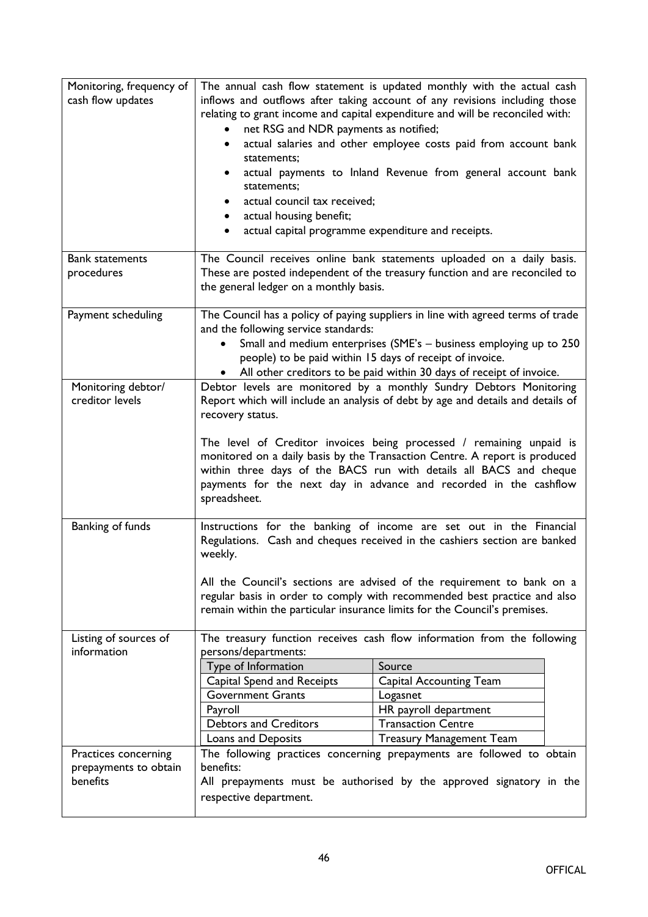| Monitoring, frequency of<br>cash flow updates<br><b>Bank statements</b> | net RSG and NDR payments as notified;<br>٠<br>statements;<br>$\bullet$<br>statements;<br>actual council tax received;<br>$\bullet$<br>actual housing benefit;<br>actual capital programme expenditure and receipts. | The annual cash flow statement is updated monthly with the actual cash<br>inflows and outflows after taking account of any revisions including those<br>relating to grant income and capital expenditure and will be reconciled with:<br>actual salaries and other employee costs paid from account bank<br>actual payments to Inland Revenue from general account bank<br>The Council receives online bank statements uploaded on a daily basis.      |
|-------------------------------------------------------------------------|---------------------------------------------------------------------------------------------------------------------------------------------------------------------------------------------------------------------|--------------------------------------------------------------------------------------------------------------------------------------------------------------------------------------------------------------------------------------------------------------------------------------------------------------------------------------------------------------------------------------------------------------------------------------------------------|
| procedures                                                              | the general ledger on a monthly basis.                                                                                                                                                                              | These are posted independent of the treasury function and are reconciled to                                                                                                                                                                                                                                                                                                                                                                            |
| Payment scheduling                                                      | and the following service standards:                                                                                                                                                                                | The Council has a policy of paying suppliers in line with agreed terms of trade<br>Small and medium enterprises (SME's - business employing up to 250<br>people) to be paid within 15 days of receipt of invoice.<br>All other creditors to be paid within 30 days of receipt of invoice.                                                                                                                                                              |
| Monitoring debtor/<br>creditor levels                                   | recovery status.<br>spreadsheet.                                                                                                                                                                                    | Debtor levels are monitored by a monthly Sundry Debtors Monitoring<br>Report which will include an analysis of debt by age and details and details of<br>The level of Creditor invoices being processed / remaining unpaid is<br>monitored on a daily basis by the Transaction Centre. A report is produced<br>within three days of the BACS run with details all BACS and cheque<br>payments for the next day in advance and recorded in the cashflow |
| Banking of funds                                                        | weekly.                                                                                                                                                                                                             | Instructions for the banking of income are set out in the Financial<br>Regulations. Cash and cheques received in the cashiers section are banked<br>All the Council's sections are advised of the requirement to bank on a<br>regular basis in order to comply with recommended best practice and also<br>remain within the particular insurance limits for the Council's premises.                                                                    |
| Listing of sources of<br>information                                    | persons/departments:<br>Type of Information<br>Capital Spend and Receipts<br><b>Government Grants</b><br>Payroll<br><b>Debtors and Creditors</b><br>Loans and Deposits                                              | The treasury function receives cash flow information from the following<br>Source<br><b>Capital Accounting Team</b><br>Logasnet<br>HR payroll department<br><b>Transaction Centre</b><br><b>Treasury Management Team</b>                                                                                                                                                                                                                               |
| Practices concerning<br>prepayments to obtain<br>benefits               | benefits:<br>respective department.                                                                                                                                                                                 | The following practices concerning prepayments are followed to obtain<br>All prepayments must be authorised by the approved signatory in the                                                                                                                                                                                                                                                                                                           |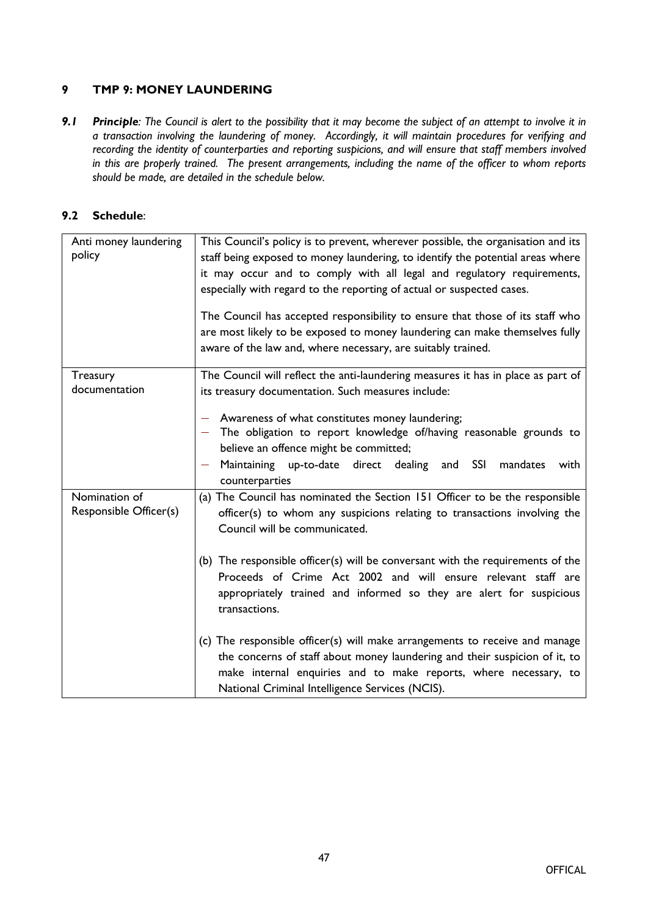# **9 TMP 9: MONEY LAUNDERING**

9.1 Principle: The Council is alert to the possibility that it may become the subject of an attempt to involve it in *a transaction involving the laundering of money. Accordingly, it will maintain procedures for verifying and recording the identity of counterparties and reporting suspicions, and will ensure that staff members involved in this are properly trained. The present arrangements, including the name of the officer to whom reports should be made, are detailed in the schedule below.*

| Anti money laundering<br>policy         | This Council's policy is to prevent, wherever possible, the organisation and its<br>staff being exposed to money laundering, to identify the potential areas where<br>it may occur and to comply with all legal and regulatory requirements,<br>especially with regard to the reporting of actual or suspected cases.<br>The Council has accepted responsibility to ensure that those of its staff who<br>are most likely to be exposed to money laundering can make themselves fully<br>aware of the law and, where necessary, are suitably trained.                                                                                                                                                                   |
|-----------------------------------------|-------------------------------------------------------------------------------------------------------------------------------------------------------------------------------------------------------------------------------------------------------------------------------------------------------------------------------------------------------------------------------------------------------------------------------------------------------------------------------------------------------------------------------------------------------------------------------------------------------------------------------------------------------------------------------------------------------------------------|
| Treasury<br>documentation               | The Council will reflect the anti-laundering measures it has in place as part of<br>its treasury documentation. Such measures include:<br>Awareness of what constitutes money laundering;<br>- The obligation to report knowledge of/having reasonable grounds to<br>believe an offence might be committed;<br>Maintaining up-to-date direct dealing<br><b>SSI</b><br>mandates<br>and<br>with<br>$\overline{\phantom{m}}$<br>counterparties                                                                                                                                                                                                                                                                             |
| Nomination of<br>Responsible Officer(s) | (a) The Council has nominated the Section 151 Officer to be the responsible<br>officer(s) to whom any suspicions relating to transactions involving the<br>Council will be communicated.<br>(b) The responsible officer(s) will be conversant with the requirements of the<br>Proceeds of Crime Act 2002 and will ensure relevant staff are<br>appropriately trained and informed so they are alert for suspicious<br>transactions.<br>(c) The responsible officer(s) will make arrangements to receive and manage<br>the concerns of staff about money laundering and their suspicion of it, to<br>make internal enquiries and to make reports, where necessary, to<br>National Criminal Intelligence Services (NCIS). |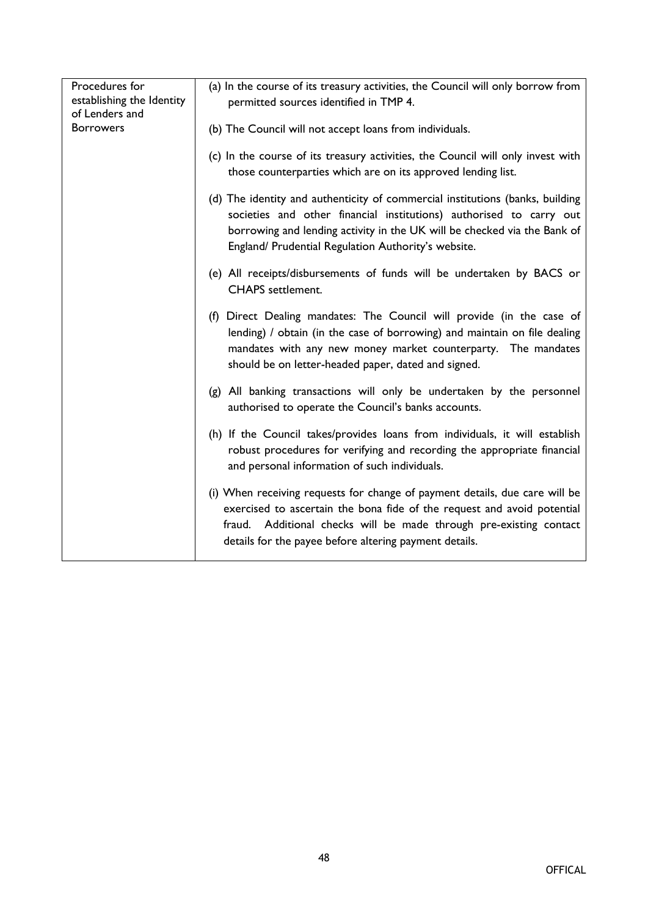| Procedures for<br>establishing the Identity<br>of Lenders and | (a) In the course of its treasury activities, the Council will only borrow from<br>permitted sources identified in TMP 4.                                                                                                                                                               |
|---------------------------------------------------------------|-----------------------------------------------------------------------------------------------------------------------------------------------------------------------------------------------------------------------------------------------------------------------------------------|
| <b>Borrowers</b>                                              | (b) The Council will not accept loans from individuals.                                                                                                                                                                                                                                 |
|                                                               | (c) In the course of its treasury activities, the Council will only invest with<br>those counterparties which are on its approved lending list.                                                                                                                                         |
|                                                               | (d) The identity and authenticity of commercial institutions (banks, building<br>societies and other financial institutions) authorised to carry out<br>borrowing and lending activity in the UK will be checked via the Bank of<br>England/ Prudential Regulation Authority's website. |
|                                                               | (e) All receipts/disbursements of funds will be undertaken by BACS or<br><b>CHAPS</b> settlement.                                                                                                                                                                                       |
|                                                               | (f) Direct Dealing mandates: The Council will provide (in the case of<br>lending) / obtain (in the case of borrowing) and maintain on file dealing<br>mandates with any new money market counterparty. The mandates<br>should be on letter-headed paper, dated and signed.              |
|                                                               | (g) All banking transactions will only be undertaken by the personnel<br>authorised to operate the Council's banks accounts.                                                                                                                                                            |
|                                                               | (h) If the Council takes/provides loans from individuals, it will establish<br>robust procedures for verifying and recording the appropriate financial<br>and personal information of such individuals.                                                                                 |
|                                                               | (i) When receiving requests for change of payment details, due care will be<br>exercised to ascertain the bona fide of the request and avoid potential<br>fraud. Additional checks will be made through pre-existing contact<br>details for the payee before altering payment details.  |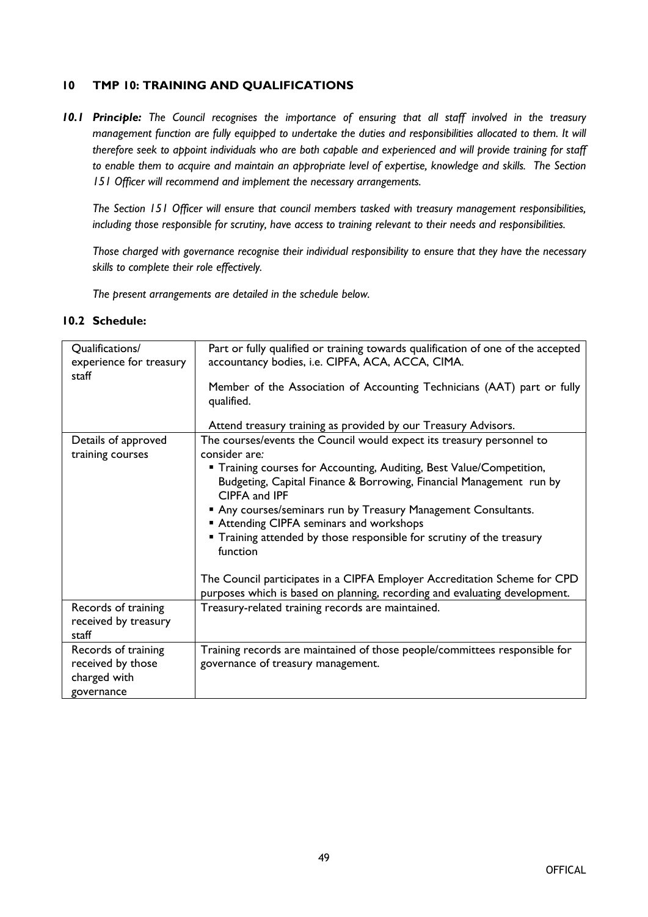#### **10 TMP 10: TRAINING AND QUALIFICATIONS**

*10.1 Principle: The Council recognises the importance of ensuring that all staff involved in the treasury management function are fully equipped to undertake the duties and responsibilities allocated to them. It will* therefore seek to appoint individuals who are both capable and experienced and will provide training for staff *to enable them to acquire and maintain an appropriate level of expertise, knowledge and skills. The Section 151 Officer will recommend and implement the necessary arrangements.*

*The Section 151 Officer will ensure that council members tasked with treasury management responsibilities, including those responsible for scrutiny, have access to training relevant to their needs and responsibilities.*

*Those charged with governance recognise their individual responsibility to ensure that they have the necessary skills to complete their role effectively.*

*The present arrangements are detailed in the schedule below.*

| Qualifications/<br>experience for treasury<br>staff                    | Part or fully qualified or training towards qualification of one of the accepted<br>accountancy bodies, i.e. CIPFA, ACA, ACCA, CIMA.<br>Member of the Association of Accounting Technicians (AAT) part or fully<br>qualified.<br>Attend treasury training as provided by our Treasury Advisors.                                                                                                                                                                                                                                                                                                                         |
|------------------------------------------------------------------------|-------------------------------------------------------------------------------------------------------------------------------------------------------------------------------------------------------------------------------------------------------------------------------------------------------------------------------------------------------------------------------------------------------------------------------------------------------------------------------------------------------------------------------------------------------------------------------------------------------------------------|
| Details of approved<br>training courses                                | The courses/events the Council would expect its treasury personnel to<br>consider are:<br>" Training courses for Accounting, Auditing, Best Value/Competition,<br>Budgeting, Capital Finance & Borrowing, Financial Management run by<br>CIPFA and IPF<br>Any courses/seminars run by Treasury Management Consultants.<br><b>Attending CIPFA seminars and workshops</b><br>" Training attended by those responsible for scrutiny of the treasury<br>function<br>The Council participates in a CIPFA Employer Accreditation Scheme for CPD<br>purposes which is based on planning, recording and evaluating development. |
| Records of training<br>received by treasury<br>staff                   | Treasury-related training records are maintained.                                                                                                                                                                                                                                                                                                                                                                                                                                                                                                                                                                       |
| Records of training<br>received by those<br>charged with<br>governance | Training records are maintained of those people/committees responsible for<br>governance of treasury management.                                                                                                                                                                                                                                                                                                                                                                                                                                                                                                        |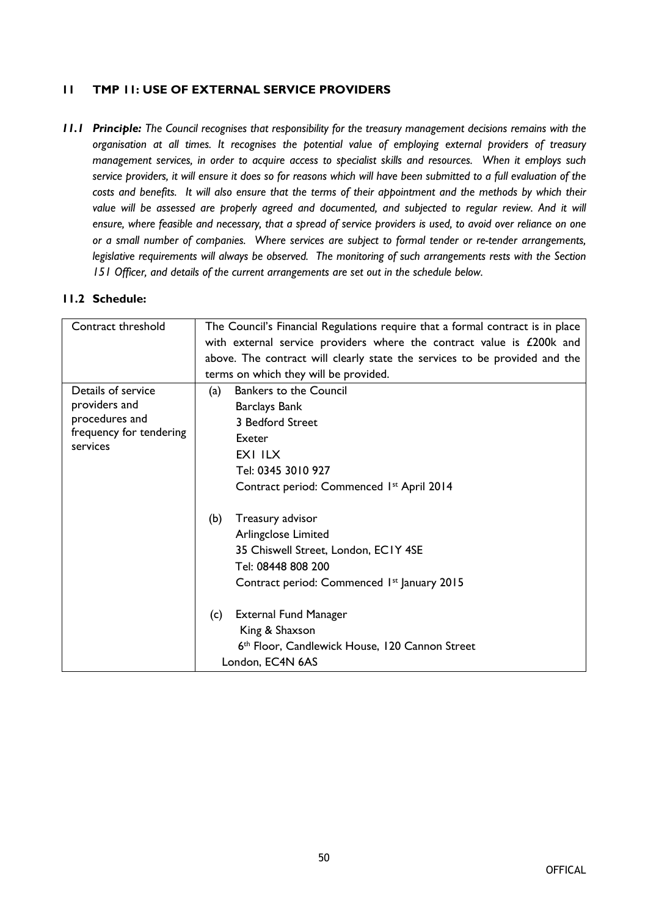# **11 TMP 11: USE OF EXTERNAL SERVICE PROVIDERS**

*11.1 Principle: The Council recognises that responsibility for the treasury management decisions remains with the organisation at all times. It recognises the potential value of employing external providers of treasury management services, in order to acquire access to specialist skills and resources. When it employs such* service providers, it will ensure it does so for reasons which will have been submitted to a full evaluation of the costs and benefits. It will also ensure that the terms of their appointment and the methods by which their *value will be assessed are properly agreed and documented, and subjected to regular review. And it will* ensure, where feasible and necessary, that a spread of service providers is used, to avoid over reliance on one *or a small number of companies. Where services are subject to formal tender or re-tender arrangements, legislative requirements will always be observed. The monitoring of such arrangements rests with the Section 151 Officer, and details of the current arrangements are set out in the schedule below.*

| Contract threshold                  | The Council's Financial Regulations require that a formal contract is in place |
|-------------------------------------|--------------------------------------------------------------------------------|
|                                     | with external service providers where the contract value is £200k and          |
|                                     | above. The contract will clearly state the services to be provided and the     |
|                                     | terms on which they will be provided.                                          |
| Details of service                  | <b>Bankers to the Council</b><br>(a)                                           |
| providers and                       | <b>Barclays Bank</b>                                                           |
| procedures and                      | 3 Bedford Street                                                               |
| frequency for tendering<br>services | Exeter                                                                         |
|                                     | EXI ILX                                                                        |
|                                     | Tel: 0345 3010 927                                                             |
|                                     | Contract period: Commenced 1st April 2014                                      |
|                                     | (b)<br>Treasury advisor                                                        |
|                                     | Arlingclose Limited                                                            |
|                                     | 35 Chiswell Street, London, EC1Y 4SE                                           |
|                                     | Tel: 08448 808 200                                                             |
|                                     | Contract period: Commenced 1 <sup>st</sup> January 2015                        |
|                                     | <b>External Fund Manager</b><br>(c)                                            |
|                                     | King & Shaxson                                                                 |
|                                     | 6th Floor, Candlewick House, 120 Cannon Street                                 |
|                                     | London, EC4N 6AS                                                               |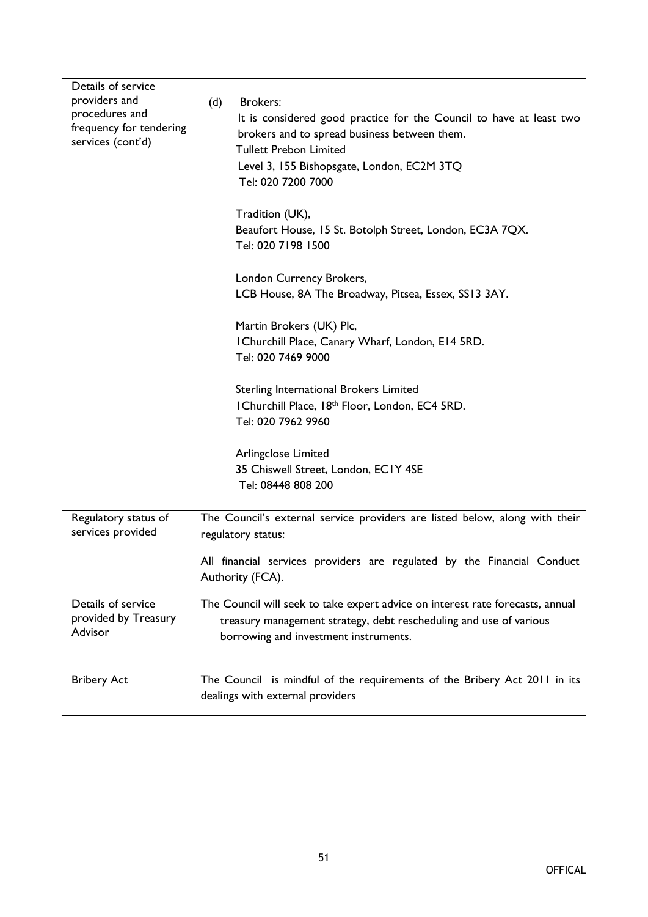| Details of service<br>providers and<br>procedures and<br>frequency for tendering<br>services (cont'd) | <b>Brokers:</b><br>(d)<br>It is considered good practice for the Council to have at least two<br>brokers and to spread business between them.<br><b>Tullett Prebon Limited</b><br>Level 3, 155 Bishopsgate, London, EC2M 3TQ<br>Tel: 020 7200 7000 |
|-------------------------------------------------------------------------------------------------------|----------------------------------------------------------------------------------------------------------------------------------------------------------------------------------------------------------------------------------------------------|
|                                                                                                       | Tradition (UK),<br>Beaufort House, 15 St. Botolph Street, London, EC3A 7QX.<br>Tel: 020 7198 1500                                                                                                                                                  |
|                                                                                                       | London Currency Brokers,<br>LCB House, 8A The Broadway, Pitsea, Essex, SS13 3AY.                                                                                                                                                                   |
|                                                                                                       | Martin Brokers (UK) Plc,<br>I Churchill Place, Canary Wharf, London, E14 5RD.<br>Tel: 020 7469 9000                                                                                                                                                |
|                                                                                                       | Sterling International Brokers Limited<br>I Churchill Place, 18th Floor, London, EC4 5RD.<br>Tel: 020 7962 9960                                                                                                                                    |
|                                                                                                       | Arlingclose Limited<br>35 Chiswell Street, London, ECIY 4SE<br>Tel: 08448 808 200                                                                                                                                                                  |
| Regulatory status of<br>services provided                                                             | The Council's external service providers are listed below, along with their<br>regulatory status:                                                                                                                                                  |
|                                                                                                       | All financial services providers are regulated by the Financial Conduct<br>Authority (FCA).                                                                                                                                                        |
| Details of service<br>provided by Treasury<br>Advisor                                                 | The Council will seek to take expert advice on interest rate forecasts, annual<br>treasury management strategy, debt rescheduling and use of various<br>borrowing and investment instruments.                                                      |
| <b>Bribery Act</b>                                                                                    | The Council is mindful of the requirements of the Bribery Act 2011 in its<br>dealings with external providers                                                                                                                                      |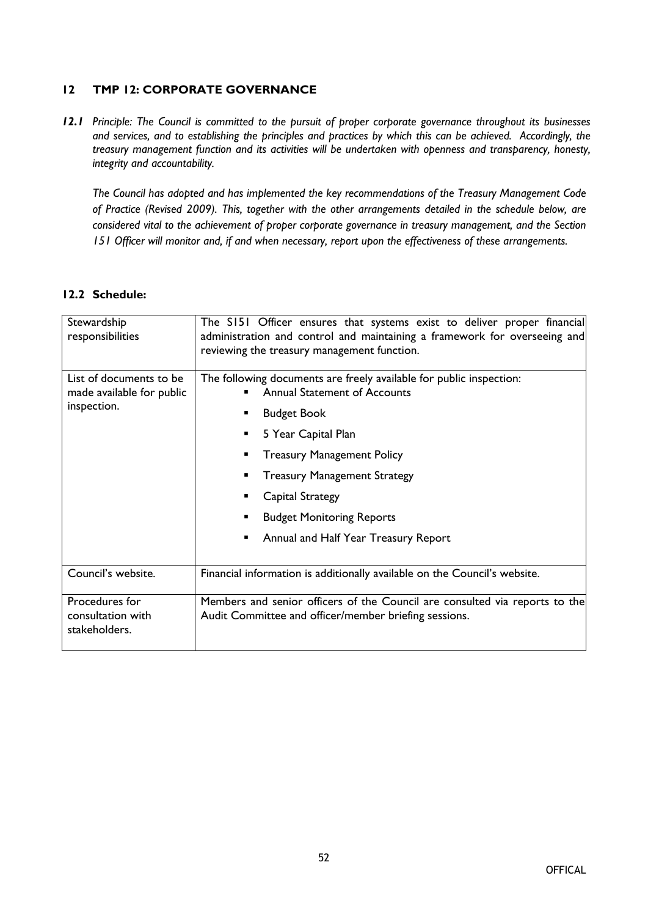# **12 TMP 12: CORPORATE GOVERNANCE**

*12.1 Principle: The Council is committed to the pursuit of proper corporate governance throughout its businesses and services, and to establishing the principles and practices by which this can be achieved. Accordingly, the treasury management function and its activities will be undertaken with openness and transparency, honesty, integrity and accountability.*

*The Council has adopted and has implemented the key recommendations of the Treasury Management Code of Practice (Revised 2009). This, together with the other arrangements detailed in the schedule below, are considered vital to the achievement of proper corporate governance in treasury management, and the Section 151 Officer will monitor and, if and when necessary, report upon the effectiveness of these arrangements.*

| Stewardship<br>responsibilities                                     | The S151 Officer ensures that systems exist to deliver proper financial<br>administration and control and maintaining a framework for overseeing and<br>reviewing the treasury management function. |
|---------------------------------------------------------------------|-----------------------------------------------------------------------------------------------------------------------------------------------------------------------------------------------------|
| List of documents to be<br>made available for public<br>inspection. | The following documents are freely available for public inspection:<br><b>Annual Statement of Accounts</b>                                                                                          |
|                                                                     | <b>Budget Book</b><br>■                                                                                                                                                                             |
|                                                                     | 5 Year Capital Plan<br>٠                                                                                                                                                                            |
|                                                                     | <b>Treasury Management Policy</b><br>٠                                                                                                                                                              |
|                                                                     | <b>Treasury Management Strategy</b>                                                                                                                                                                 |
|                                                                     | Capital Strategy                                                                                                                                                                                    |
|                                                                     | <b>Budget Monitoring Reports</b><br>■                                                                                                                                                               |
|                                                                     | Annual and Half Year Treasury Report<br>п                                                                                                                                                           |
| Council's website.                                                  | Financial information is additionally available on the Council's website.                                                                                                                           |
| Procedures for<br>consultation with<br>stakeholders.                | Members and senior officers of the Council are consulted via reports to the<br>Audit Committee and officer/member briefing sessions.                                                                |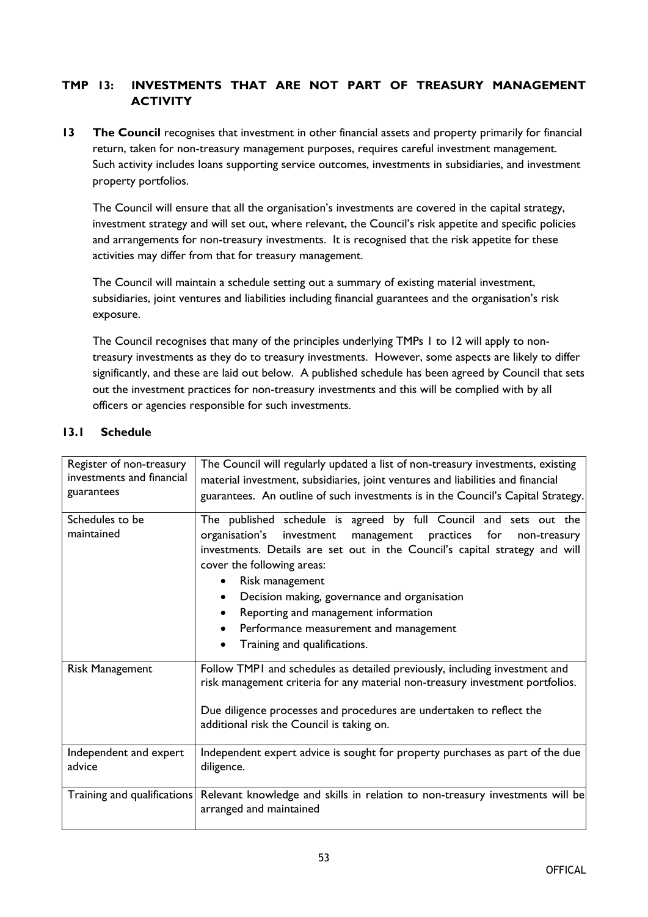# **TMP 13: INVESTMENTS THAT ARE NOT PART OF TREASURY MANAGEMENT ACTIVITY**

**13 The Council** recognises that investment in other financial assets and property primarily for financial return, taken for non-treasury management purposes, requires careful investment management. Such activity includes loans supporting service outcomes, investments in subsidiaries, and investment property portfolios.

The Council will ensure that all the organisation's investments are covered in the capital strategy, investment strategy and will set out, where relevant, the Council's risk appetite and specific policies and arrangements for non-treasury investments. It is recognised that the risk appetite for these activities may differ from that for treasury management.

The Council will maintain a schedule setting out a summary of existing material investment, subsidiaries, joint ventures and liabilities including financial guarantees and the organisation's risk exposure.

The Council recognises that many of the principles underlying TMPs 1 to 12 will apply to nontreasury investments as they do to treasury investments. However, some aspects are likely to differ significantly, and these are laid out below. A published schedule has been agreed by Council that sets out the investment practices for non-treasury investments and this will be complied with by all officers or agencies responsible for such investments.

| Register of non-treasury<br>investments and financial<br>guarantees | The Council will regularly updated a list of non-treasury investments, existing<br>material investment, subsidiaries, joint ventures and liabilities and financial<br>guarantees. An outline of such investments is in the Council's Capital Strategy.                                                                                                                                                                                                             |
|---------------------------------------------------------------------|--------------------------------------------------------------------------------------------------------------------------------------------------------------------------------------------------------------------------------------------------------------------------------------------------------------------------------------------------------------------------------------------------------------------------------------------------------------------|
| Schedules to be<br>maintained                                       | The published schedule is agreed by full Council and sets out the<br>organisation's<br>investment<br>management<br>practices<br>for<br>non-treasury<br>investments. Details are set out in the Council's capital strategy and will<br>cover the following areas:<br>Risk management<br>Decision making, governance and organisation<br>$\bullet$<br>Reporting and management information<br>Performance measurement and management<br>Training and qualifications. |
| <b>Risk Management</b>                                              | Follow TMPI and schedules as detailed previously, including investment and<br>risk management criteria for any material non-treasury investment portfolios.<br>Due diligence processes and procedures are undertaken to reflect the<br>additional risk the Council is taking on.                                                                                                                                                                                   |
| Independent and expert<br>advice                                    | Independent expert advice is sought for property purchases as part of the due<br>diligence.                                                                                                                                                                                                                                                                                                                                                                        |
|                                                                     | Training and qualifications Relevant knowledge and skills in relation to non-treasury investments will be<br>arranged and maintained                                                                                                                                                                                                                                                                                                                               |

# **13.1 Schedule**